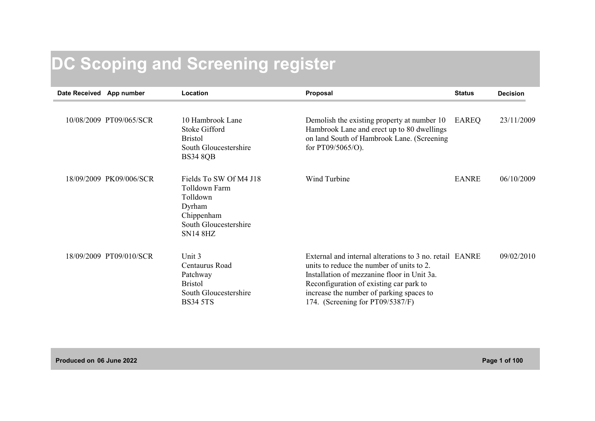## **DC Scoping and Screening register**

| Date Received App number |                         | Location                                                                                                                | Proposal                                                                                                                                                                                                                                                                       | <b>Status</b> | <b>Decision</b> |
|--------------------------|-------------------------|-------------------------------------------------------------------------------------------------------------------------|--------------------------------------------------------------------------------------------------------------------------------------------------------------------------------------------------------------------------------------------------------------------------------|---------------|-----------------|
|                          | 10/08/2009 PT09/065/SCR | 10 Hambrook Lane<br><b>Stoke Gifford</b><br><b>Bristol</b><br>South Gloucestershire<br><b>BS34 8QB</b>                  | Demolish the existing property at number 10<br>Hambrook Lane and erect up to 80 dwellings<br>on land South of Hambrook Lane. (Screening<br>for $PT09/5065/O$ ).                                                                                                                | EAREQ         | 23/11/2009      |
|                          | 18/09/2009 PK09/006/SCR | Fields To SW Of M4 J18<br>Tolldown Farm<br>Tolldown<br>Dyrham<br>Chippenham<br>South Gloucestershire<br><b>SN14 8HZ</b> | Wind Turbine                                                                                                                                                                                                                                                                   | <b>EANRE</b>  | 06/10/2009      |
|                          | 18/09/2009 PT09/010/SCR | Unit 3<br>Centaurus Road<br>Patchway<br><b>Bristol</b><br>South Gloucestershire<br><b>BS34 5TS</b>                      | External and internal alterations to 3 no. retail EANRE<br>units to reduce the number of units to 2.<br>Installation of mezzanine floor in Unit 3a.<br>Reconfiguration of existing car park to<br>increase the number of parking spaces to<br>174. (Screening for PT09/5387/F) |               | 09/02/2010      |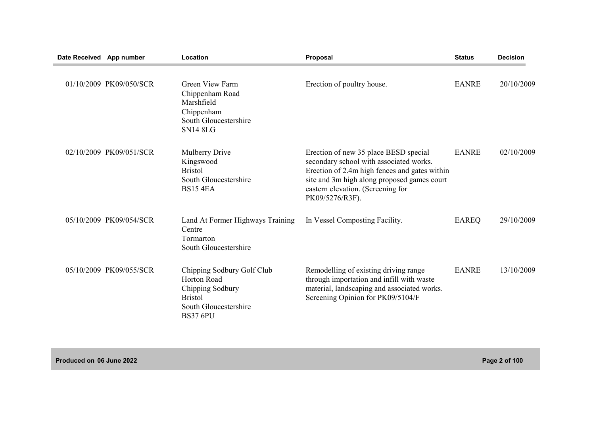| Date Received App number |                         | Location                                                                                                                    | Proposal                                                                                                                                                                                                                                 | <b>Status</b> | <b>Decision</b> |
|--------------------------|-------------------------|-----------------------------------------------------------------------------------------------------------------------------|------------------------------------------------------------------------------------------------------------------------------------------------------------------------------------------------------------------------------------------|---------------|-----------------|
|                          | 01/10/2009 PK09/050/SCR | <b>Green View Farm</b><br>Chippenham Road<br>Marshfield<br>Chippenham<br>South Gloucestershire<br><b>SN14 8LG</b>           | Erection of poultry house.                                                                                                                                                                                                               | <b>EANRE</b>  | 20/10/2009      |
|                          | 02/10/2009 PK09/051/SCR | Mulberry Drive<br>Kingswood<br><b>Bristol</b><br>South Gloucestershire<br><b>BS15 4EA</b>                                   | Erection of new 35 place BESD special<br>secondary school with associated works.<br>Erection of 2.4m high fences and gates within<br>site and 3m high along proposed games court<br>eastern elevation. (Screening for<br>PK09/5276/R3F). | <b>EANRE</b>  | 02/10/2009      |
|                          | 05/10/2009 PK09/054/SCR | Land At Former Highways Training<br>Centre<br>Tormarton<br>South Gloucestershire                                            | In Vessel Composting Facility.                                                                                                                                                                                                           | <b>EAREQ</b>  | 29/10/2009      |
|                          | 05/10/2009 PK09/055/SCR | Chipping Sodbury Golf Club<br>Horton Road<br>Chipping Sodbury<br><b>Bristol</b><br>South Gloucestershire<br><b>BS37 6PU</b> | Remodelling of existing driving range<br>through importation and infill with waste<br>material, landscaping and associated works.<br>Screening Opinion for PK09/5104/F                                                                   | <b>EANRE</b>  | 13/10/2009      |

**Produced on 06 June 2022 Page 2 of 100**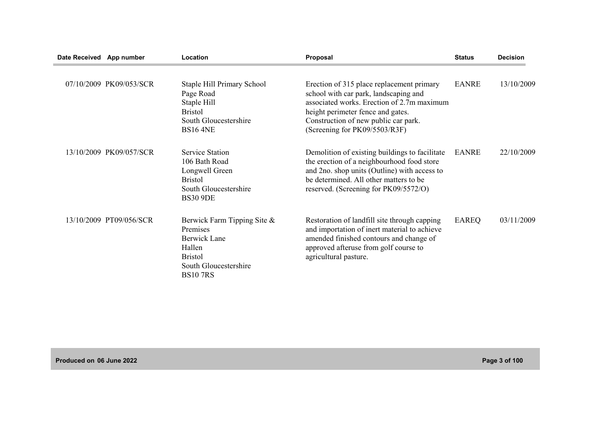| Date Received App number |                         | Location                                                                                                                              | Proposal                                                                                                                                                                                                                                       | <b>Status</b> | <b>Decision</b> |
|--------------------------|-------------------------|---------------------------------------------------------------------------------------------------------------------------------------|------------------------------------------------------------------------------------------------------------------------------------------------------------------------------------------------------------------------------------------------|---------------|-----------------|
|                          | 07/10/2009 PK09/053/SCR | Staple Hill Primary School<br>Page Road<br>Staple Hill<br><b>Bristol</b><br>South Gloucestershire<br><b>BS16 4NE</b>                  | Erection of 315 place replacement primary<br>school with car park, landscaping and<br>associated works. Erection of 2.7m maximum<br>height perimeter fence and gates.<br>Construction of new public car park.<br>(Screening for PK09/5503/R3F) | <b>EANRE</b>  | 13/10/2009      |
|                          | 13/10/2009 PK09/057/SCR | <b>Service Station</b><br>106 Bath Road<br>Longwell Green<br><b>Bristol</b><br>South Gloucestershire<br><b>BS30 9DE</b>               | Demolition of existing buildings to facilitate<br>the erection of a neighbourhood food store<br>and 2no. shop units (Outline) with access to<br>be determined. All other matters to be<br>reserved. (Screening for PK09/5572/O)                | <b>EANRE</b>  | 22/10/2009      |
|                          | 13/10/2009 PT09/056/SCR | Berwick Farm Tipping Site &<br>Premises<br><b>Berwick Lane</b><br>Hallen<br><b>Bristol</b><br>South Gloucestershire<br><b>BS107RS</b> | Restoration of landfill site through capping<br>and importation of inert material to achieve<br>amended finished contours and change of<br>approved afteruse from golf course to<br>agricultural pasture.                                      | <b>EAREQ</b>  | 03/11/2009      |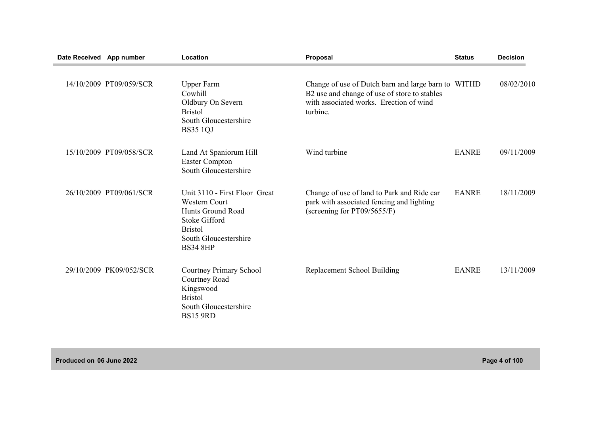| Date Received App number |                         | Location                                                                                                                                                  | Proposal                                                                                                                                                   | <b>Status</b> | <b>Decision</b> |
|--------------------------|-------------------------|-----------------------------------------------------------------------------------------------------------------------------------------------------------|------------------------------------------------------------------------------------------------------------------------------------------------------------|---------------|-----------------|
|                          | 14/10/2009 PT09/059/SCR | <b>Upper Farm</b><br>Cowhill<br>Oldbury On Severn<br><b>Bristol</b><br>South Gloucestershire<br><b>BS35 1QJ</b>                                           | Change of use of Dutch barn and large barn to WITHD<br>B2 use and change of use of store to stables<br>with associated works. Erection of wind<br>turbine. |               | 08/02/2010      |
|                          | 15/10/2009 PT09/058/SCR | Land At Spaniorum Hill<br>Easter Compton<br>South Gloucestershire                                                                                         | Wind turbine                                                                                                                                               | <b>EANRE</b>  | 09/11/2009      |
|                          | 26/10/2009 PT09/061/SCR | Unit 3110 - First Floor Great<br>Western Court<br>Hunts Ground Road<br><b>Stoke Gifford</b><br><b>Bristol</b><br>South Gloucestershire<br><b>BS34 8HP</b> | Change of use of land to Park and Ride car<br>park with associated fencing and lighting<br>(screening for PT09/5655/F)                                     | <b>EANRE</b>  | 18/11/2009      |
|                          | 29/10/2009 PK09/052/SCR | Courtney Primary School<br>Courtney Road<br>Kingswood<br><b>Bristol</b><br>South Gloucestershire<br><b>BS15 9RD</b>                                       | Replacement School Building                                                                                                                                | <b>EANRE</b>  | 13/11/2009      |

**Produced on 06 June 2022 Page 4 of 100**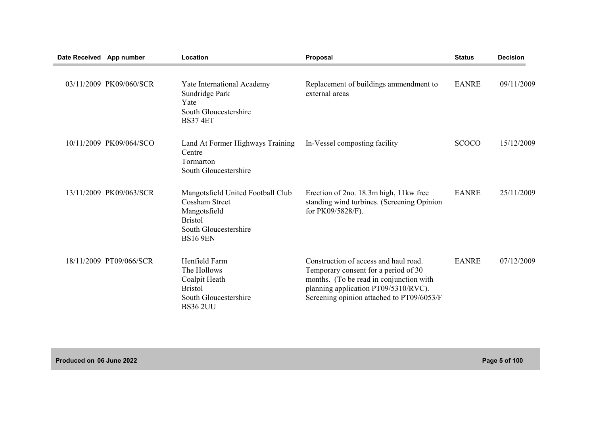| Date Received App number |                         | Location                                                                                                                                 | Proposal                                                                                                                                                                                                      | <b>Status</b> | <b>Decision</b> |
|--------------------------|-------------------------|------------------------------------------------------------------------------------------------------------------------------------------|---------------------------------------------------------------------------------------------------------------------------------------------------------------------------------------------------------------|---------------|-----------------|
|                          | 03/11/2009 PK09/060/SCR | <b>Yate International Academy</b><br>Sundridge Park<br>Yate<br>South Gloucestershire<br><b>BS37 4ET</b>                                  | Replacement of buildings ammendment to<br>external areas                                                                                                                                                      | <b>EANRE</b>  | 09/11/2009      |
|                          | 10/11/2009 PK09/064/SCO | Land At Former Highways Training<br>Centre<br>Tormarton<br>South Gloucestershire                                                         | In-Vessel composting facility                                                                                                                                                                                 | <b>SCOCO</b>  | 15/12/2009      |
|                          | 13/11/2009 PK09/063/SCR | Mangotsfield United Football Club<br><b>Cossham Street</b><br>Mangotsfield<br><b>Bristol</b><br>South Gloucestershire<br><b>BS16 9EN</b> | Erection of 2no. 18.3m high, 11 kw free<br>standing wind turbines. (Screening Opinion<br>for PK09/5828/F).                                                                                                    | <b>EANRE</b>  | 25/11/2009      |
|                          | 18/11/2009 PT09/066/SCR | Henfield Farm<br>The Hollows<br>Coalpit Heath<br><b>Bristol</b><br>South Gloucestershire<br><b>BS36 2UU</b>                              | Construction of access and haul road.<br>Temporary consent for a period of 30<br>months. (To be read in conjunction with<br>planning application PT09/5310/RVC).<br>Screening opinion attached to PT09/6053/F | <b>EANRE</b>  | 07/12/2009      |

**Produced on 06 June 2022 Page 5 of 100**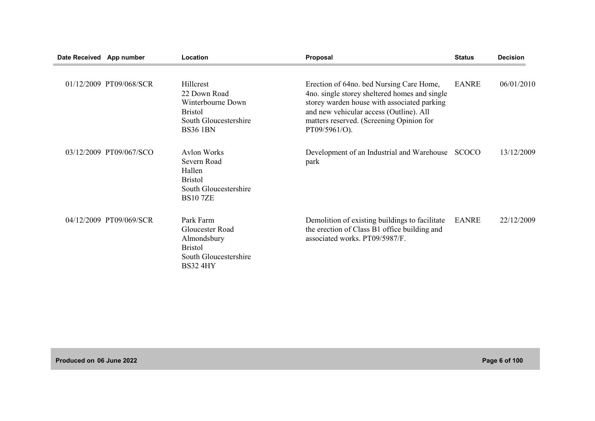| Date Received App number |                         | Location                                                                                                         | Proposal                                                                                                                                                                                                                                         | <b>Status</b> | <b>Decision</b> |
|--------------------------|-------------------------|------------------------------------------------------------------------------------------------------------------|--------------------------------------------------------------------------------------------------------------------------------------------------------------------------------------------------------------------------------------------------|---------------|-----------------|
|                          | 01/12/2009 PT09/068/SCR | Hillcrest<br>22 Down Road<br>Winterbourne Down<br><b>Bristol</b><br>South Gloucestershire<br><b>BS36 1BN</b>     | Erection of 64no. bed Nursing Care Home,<br>4no. single storey sheltered homes and single<br>storey warden house with associated parking<br>and new vehicular access (Outline). All<br>matters reserved. (Screening Opinion for<br>PT09/5961/O). | <b>EANRE</b>  | 06/01/2010      |
|                          | 03/12/2009 PT09/067/SCO | <b>Aylon Works</b><br>Severn Road<br>Hallen<br><b>Bristol</b><br>South Gloucestershire<br><b>BS107ZE</b>         | Development of an Industrial and Warehouse<br>park                                                                                                                                                                                               | <b>SCOCO</b>  | 13/12/2009      |
|                          | 04/12/2009 PT09/069/SCR | Park Farm<br><b>Gloucester Road</b><br>Almondsbury<br><b>Bristol</b><br>South Gloucestershire<br><b>BS32 4HY</b> | Demolition of existing buildings to facilitate<br>the erection of Class B1 office building and<br>associated works. PT09/5987/F.                                                                                                                 | <b>EANRE</b>  | 22/12/2009      |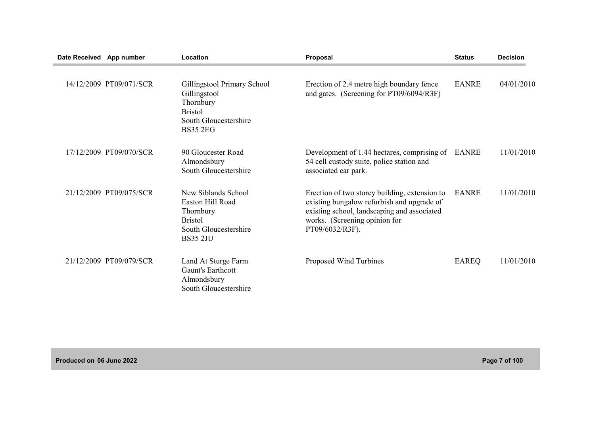| Date Received App number |                         | Location                                                                                                               | <b>Proposal</b>                                                                                                                                                                                | <b>Status</b> | <b>Decision</b> |
|--------------------------|-------------------------|------------------------------------------------------------------------------------------------------------------------|------------------------------------------------------------------------------------------------------------------------------------------------------------------------------------------------|---------------|-----------------|
|                          | 14/12/2009 PT09/071/SCR | Gillingstool Primary School<br>Gillingstool<br>Thornbury<br><b>Bristol</b><br>South Gloucestershire<br><b>BS35 2EG</b> | Erection of 2.4 metre high boundary fence<br>and gates. (Screening for PT09/6094/R3F)                                                                                                          | <b>EANRE</b>  | 04/01/2010      |
|                          | 17/12/2009 PT09/070/SCR | 90 Gloucester Road<br>Almondsbury<br>South Gloucestershire                                                             | Development of 1.44 hectares, comprising of<br>54 cell custody suite, police station and<br>associated car park.                                                                               | EANRE         | 11/01/2010      |
|                          | 21/12/2009 PT09/075/SCR | New Siblands School<br>Easton Hill Road<br>Thornbury<br><b>Bristol</b><br>South Gloucestershire<br><b>BS35 2JU</b>     | Erection of two storey building, extension to<br>existing bungalow refurbish and upgrade of<br>existing school, landscaping and associated<br>works. (Screening opinion for<br>PT09/6032/R3F). | <b>EANRE</b>  | 11/01/2010      |
|                          | 21/12/2009 PT09/079/SCR | Land At Sturge Farm<br>Gaunt's Earthcott<br>Almondsbury<br>South Gloucestershire                                       | Proposed Wind Turbines                                                                                                                                                                         | <b>EAREQ</b>  | 11/01/2010      |

**Produced on 06 June 2022 Page 7 of 100**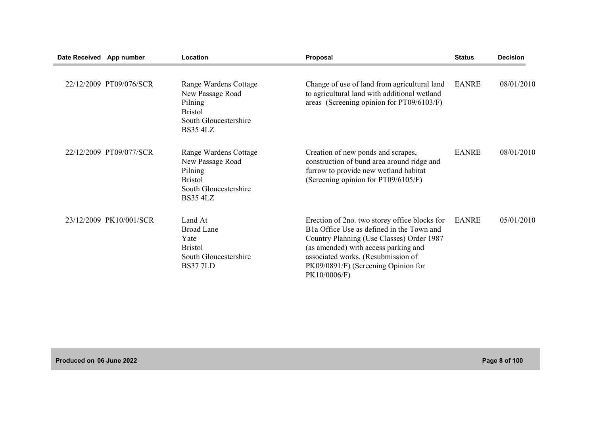| Date Received App number |                         | Location                                                                                                           | Proposal                                                                                                                                                                                                                                                                                  | <b>Status</b> | <b>Decision</b> |
|--------------------------|-------------------------|--------------------------------------------------------------------------------------------------------------------|-------------------------------------------------------------------------------------------------------------------------------------------------------------------------------------------------------------------------------------------------------------------------------------------|---------------|-----------------|
|                          | 22/12/2009 PT09/076/SCR | Range Wardens Cottage<br>New Passage Road<br>Pilning<br><b>Bristol</b><br>South Gloucestershire<br><b>BS35 4LZ</b> | Change of use of land from agricultural land<br>to agricultural land with additional wetland<br>areas (Screening opinion for PT09/6103/F)                                                                                                                                                 | <b>EANRE</b>  | 08/01/2010      |
|                          | 22/12/2009 PT09/077/SCR | Range Wardens Cottage<br>New Passage Road<br>Pilning<br><b>Bristol</b><br>South Gloucestershire<br><b>BS35 4LZ</b> | Creation of new ponds and scrapes,<br>construction of bund area around ridge and<br>furrow to provide new wetland habitat<br>(Screening opinion for PT09/6105/F)                                                                                                                          | <b>EANRE</b>  | 08/01/2010      |
|                          | 23/12/2009 PK10/001/SCR | Land At<br><b>Broad Lane</b><br>Yate<br><b>Bristol</b><br>South Gloucestershire<br><b>BS377LD</b>                  | Erection of 2no. two storey office blocks for<br>B <sub>1</sub> a Office Use as defined in the Town and<br>Country Planning (Use Classes) Order 1987<br>(as amended) with access parking and<br>associated works. (Resubmission of<br>PK09/0891/F) (Screening Opinion for<br>PK10/0006/F) | <b>EANRE</b>  | 05/01/2010      |

**Produced on 06 June 2022 Page 8 of 100**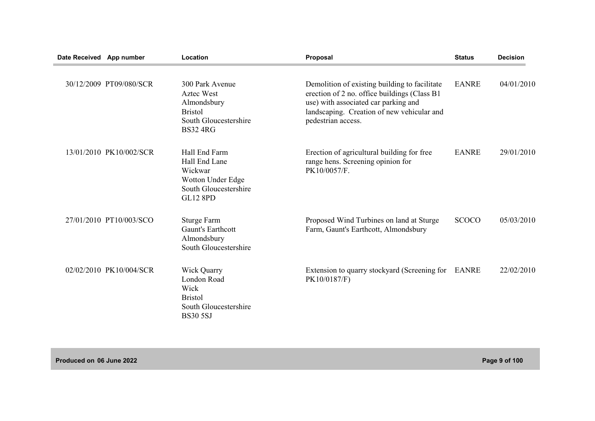| Date Received App number |                         | Location                                                                                                          | Proposal                                                                                                                                                                                                   | <b>Status</b> | <b>Decision</b> |
|--------------------------|-------------------------|-------------------------------------------------------------------------------------------------------------------|------------------------------------------------------------------------------------------------------------------------------------------------------------------------------------------------------------|---------------|-----------------|
|                          | 30/12/2009 PT09/080/SCR | 300 Park Avenue<br><b>Aztec West</b><br>Almondsbury<br><b>Bristol</b><br>South Gloucestershire<br><b>BS32 4RG</b> | Demolition of existing building to facilitate<br>erection of 2 no. office buildings (Class B1)<br>use) with associated car parking and<br>landscaping. Creation of new vehicular and<br>pedestrian access. | <b>EANRE</b>  | 04/01/2010      |
|                          | 13/01/2010 PK10/002/SCR | Hall End Farm<br>Hall End Lane<br>Wickwar<br>Wotton Under Edge<br>South Gloucestershire<br><b>GL12 8PD</b>        | Erection of agricultural building for free<br>range hens. Screening opinion for<br>PK10/0057/F.                                                                                                            | <b>EANRE</b>  | 29/01/2010      |
|                          | 27/01/2010 PT10/003/SCO | <b>Sturge Farm</b><br><b>Gaunt's Earthcott</b><br>Almondsbury<br>South Gloucestershire                            | Proposed Wind Turbines on land at Sturge<br>Farm, Gaunt's Earthcott, Almondsbury                                                                                                                           | <b>SCOCO</b>  | 05/03/2010      |
|                          | 02/02/2010 PK10/004/SCR | <b>Wick Quarry</b><br>London Road<br>Wick<br><b>Bristol</b><br>South Gloucestershire<br><b>BS30 5SJ</b>           | Extension to quarry stockyard (Screening for EANRE<br>PK10/0187/F)                                                                                                                                         |               | 22/02/2010      |

**Produced on 06 June 2022 Page 9 of 100**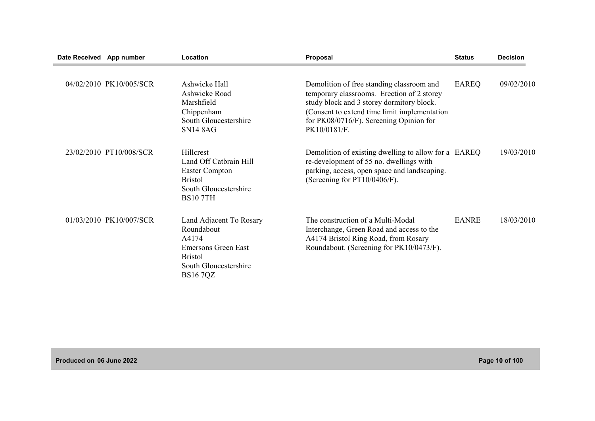| Date Received App number |                         | Location                                                                                                                            | Proposal                                                                                                                                                                                                                                         | <b>Status</b> | <b>Decision</b> |
|--------------------------|-------------------------|-------------------------------------------------------------------------------------------------------------------------------------|--------------------------------------------------------------------------------------------------------------------------------------------------------------------------------------------------------------------------------------------------|---------------|-----------------|
|                          | 04/02/2010 PK10/005/SCR | Ashwicke Hall<br>Ashwicke Road<br>Marshfield<br>Chippenham<br>South Gloucestershire<br><b>SN14 8AG</b>                              | Demolition of free standing classroom and<br>temporary classrooms. Erection of 2 storey<br>study block and 3 storey dormitory block.<br>(Consent to extend time limit implementation)<br>for PK08/0716/F). Screening Opinion for<br>PK10/0181/F. | <b>EAREQ</b>  | 09/02/2010      |
|                          | 23/02/2010 PT10/008/SCR | <b>Hillcrest</b><br>Land Off Catbrain Hill<br>Easter Compton<br><b>Bristol</b><br>South Gloucestershire<br><b>BS107TH</b>           | Demolition of existing dwelling to allow for a EAREQ<br>re-development of 55 no. dwellings with<br>parking, access, open space and landscaping.<br>(Screening for PT10/0406/F).                                                                  |               | 19/03/2010      |
|                          | 01/03/2010 PK10/007/SCR | Land Adjacent To Rosary<br>Roundabout<br>A4174<br>Emersons Green East<br><b>Bristol</b><br>South Gloucestershire<br><b>BS16 7QZ</b> | The construction of a Multi-Modal<br>Interchange, Green Road and access to the<br>A4174 Bristol Ring Road, from Rosary<br>Roundabout. (Screening for PK10/0473/F).                                                                               | <b>EANRE</b>  | 18/03/2010      |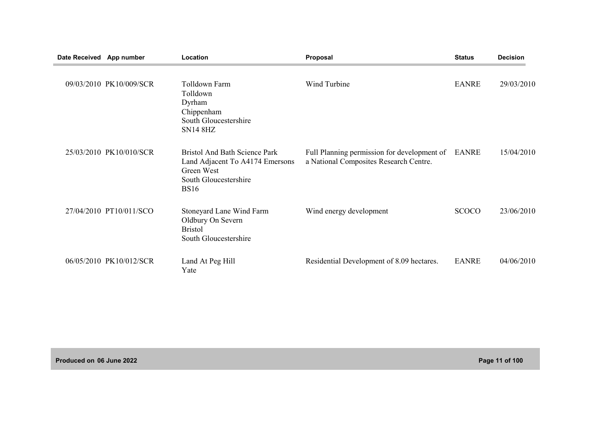| <b>Date Received</b> | App number              | Location                                                                                                               | Proposal                                                                              | <b>Status</b> | <b>Decision</b> |
|----------------------|-------------------------|------------------------------------------------------------------------------------------------------------------------|---------------------------------------------------------------------------------------|---------------|-----------------|
|                      | 09/03/2010 PK10/009/SCR | <b>Tolldown Farm</b><br>Tolldown<br>Dyrham<br>Chippenham<br>South Gloucestershire<br><b>SN14 8HZ</b>                   | Wind Turbine                                                                          | <b>EANRE</b>  | 29/03/2010      |
|                      | 25/03/2010 PK10/010/SCR | Bristol And Bath Science Park<br>Land Adjacent To A4174 Emersons<br>Green West<br>South Gloucestershire<br><b>BS16</b> | Full Planning permission for development of<br>a National Composites Research Centre. | EANRE         | 15/04/2010      |
|                      | 27/04/2010 PT10/011/SCO | Stoneyard Lane Wind Farm<br>Oldbury On Severn<br><b>Bristol</b><br>South Gloucestershire                               | Wind energy development                                                               | <b>SCOCO</b>  | 23/06/2010      |
|                      | 06/05/2010 PK10/012/SCR | Land At Peg Hill<br>Yate                                                                                               | Residential Development of 8.09 hectares.                                             | <b>EANRE</b>  | 04/06/2010      |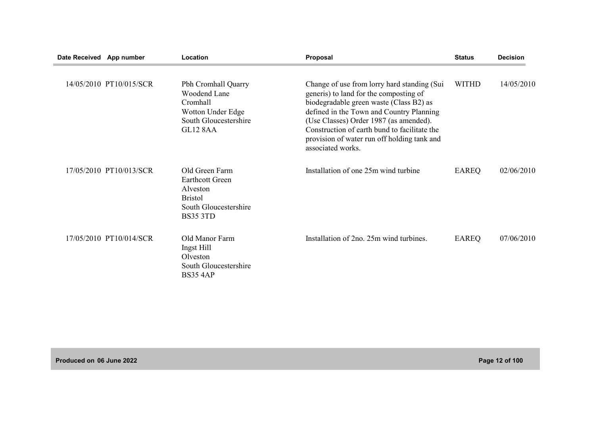| Date Received App number |                         | Location                                                                                                           | Proposal                                                                                                                                                                                                                                                                                                                                   | <b>Status</b> | <b>Decision</b> |
|--------------------------|-------------------------|--------------------------------------------------------------------------------------------------------------------|--------------------------------------------------------------------------------------------------------------------------------------------------------------------------------------------------------------------------------------------------------------------------------------------------------------------------------------------|---------------|-----------------|
|                          | 14/05/2010 PT10/015/SCR | Pbh Cromhall Quarry<br>Woodend Lane<br>Cromhall<br>Wotton Under Edge<br>South Gloucestershire<br><b>GL12 8AA</b>   | Change of use from lorry hard standing (Sui<br>generis) to land for the composting of<br>biodegradable green waste (Class B2) as<br>defined in the Town and Country Planning<br>(Use Classes) Order 1987 (as amended).<br>Construction of earth bund to facilitate the<br>provision of water run off holding tank and<br>associated works. | <b>WITHD</b>  | 14/05/2010      |
|                          | 17/05/2010 PT10/013/SCR | Old Green Farm<br><b>Earthcott Green</b><br>Alveston<br><b>Bristol</b><br>South Gloucestershire<br><b>BS35 3TD</b> | Installation of one 25m wind turbine                                                                                                                                                                                                                                                                                                       | <b>EAREQ</b>  | 02/06/2010      |
|                          | 17/05/2010 PT10/014/SCR | Old Manor Farm<br>Ingst Hill<br>Olveston<br>South Gloucestershire<br><b>BS35 4AP</b>                               | Installation of 2no. 25m wind turbines.                                                                                                                                                                                                                                                                                                    | <b>EAREQ</b>  | 07/06/2010      |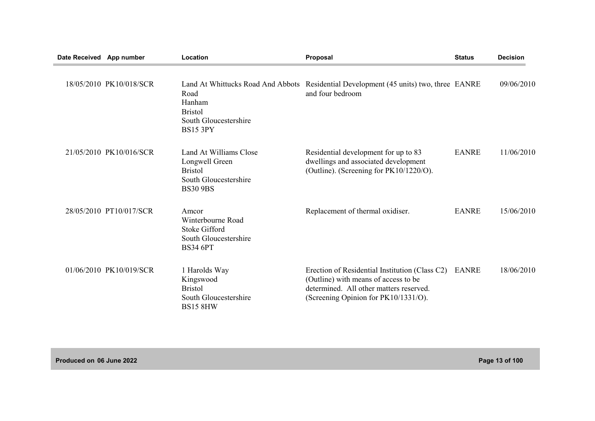| Date Received App number |                         | Location                                                                                               | Proposal                                                                                                                                                                  | <b>Status</b> | <b>Decision</b> |
|--------------------------|-------------------------|--------------------------------------------------------------------------------------------------------|---------------------------------------------------------------------------------------------------------------------------------------------------------------------------|---------------|-----------------|
|                          | 18/05/2010 PK10/018/SCR | Road<br>Hanham<br><b>Bristol</b><br>South Gloucestershire<br><b>BS15 3PY</b>                           | Land At Whittucks Road And Abbots Residential Development (45 units) two, three EANRE<br>and four bedroom                                                                 |               | 09/06/2010      |
|                          | 21/05/2010 PK10/016/SCR | Land At Williams Close<br>Longwell Green<br><b>Bristol</b><br>South Gloucestershire<br><b>BS30 9BS</b> | Residential development for up to 83<br>dwellings and associated development<br>(Outline). (Screening for PK10/1220/O).                                                   | <b>EANRE</b>  | 11/06/2010      |
|                          | 28/05/2010 PT10/017/SCR | Amcor<br>Winterbourne Road<br><b>Stoke Gifford</b><br>South Gloucestershire<br><b>BS34 6PT</b>         | Replacement of thermal oxidiser.                                                                                                                                          | <b>EANRE</b>  | 15/06/2010      |
|                          | 01/06/2010 PK10/019/SCR | 1 Harolds Way<br>Kingswood<br><b>Bristol</b><br>South Gloucestershire<br><b>BS15 8HW</b>               | Erection of Residential Institution (Class C2)<br>(Outline) with means of access to be<br>determined. All other matters reserved.<br>(Screening Opinion for PK10/1331/O). | <b>EANRE</b>  | 18/06/2010      |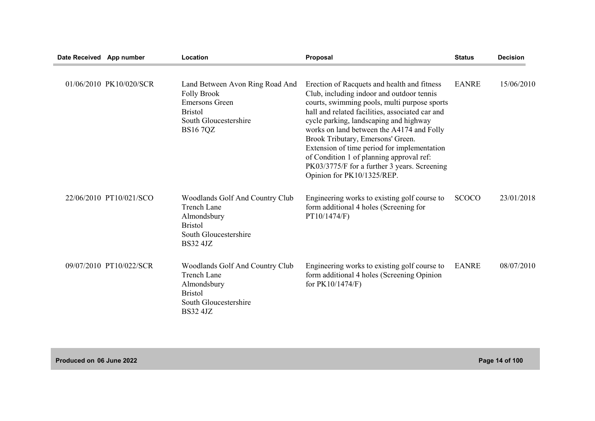| Date Received App number |                         | Location                                                                                                                                    | Proposal                                                                                                                                                                                                                                                                                                                                                                                                                                                                                         | <b>Status</b> | <b>Decision</b> |
|--------------------------|-------------------------|---------------------------------------------------------------------------------------------------------------------------------------------|--------------------------------------------------------------------------------------------------------------------------------------------------------------------------------------------------------------------------------------------------------------------------------------------------------------------------------------------------------------------------------------------------------------------------------------------------------------------------------------------------|---------------|-----------------|
|                          | 01/06/2010 PK10/020/SCR | Land Between Avon Ring Road And<br><b>Folly Brook</b><br><b>Emersons Green</b><br><b>Bristol</b><br>South Gloucestershire<br><b>BS167QZ</b> | Erection of Racquets and health and fitness<br>Club, including indoor and outdoor tennis<br>courts, swimming pools, multi purpose sports<br>hall and related facilities, associated car and<br>cycle parking, landscaping and highway<br>works on land between the A4174 and Folly<br>Brook Tributary, Emersons' Green.<br>Extension of time period for implementation<br>of Condition 1 of planning approval ref:<br>PK03/3775/F for a further 3 years. Screening<br>Opinion for PK10/1325/REP. | <b>EANRE</b>  | 15/06/2010      |
|                          | 22/06/2010 PT10/021/SCO | Woodlands Golf And Country Club<br><b>Trench Lane</b><br>Almondsbury<br><b>Bristol</b><br>South Gloucestershire<br><b>BS32 4JZ</b>          | Engineering works to existing golf course to<br>form additional 4 holes (Screening for<br>PT10/1474/F)                                                                                                                                                                                                                                                                                                                                                                                           | <b>SCOCO</b>  | 23/01/2018      |
|                          | 09/07/2010 PT10/022/SCR | Woodlands Golf And Country Club<br><b>Trench Lane</b><br>Almondsbury<br><b>Bristol</b><br>South Gloucestershire<br><b>BS32 4JZ</b>          | Engineering works to existing golf course to<br>form additional 4 holes (Screening Opinion<br>for PK10/1474/F)                                                                                                                                                                                                                                                                                                                                                                                   | <b>EANRE</b>  | 08/07/2010      |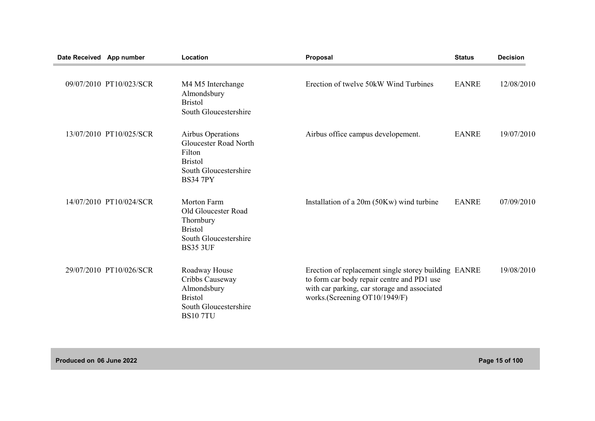| Date Received App number |                         | Location                                                                                                                  | Proposal                                                                                                                                                                            | <b>Status</b> | <b>Decision</b> |
|--------------------------|-------------------------|---------------------------------------------------------------------------------------------------------------------------|-------------------------------------------------------------------------------------------------------------------------------------------------------------------------------------|---------------|-----------------|
|                          | 09/07/2010 PT10/023/SCR | M4 M5 Interchange<br>Almondsbury<br><b>Bristol</b><br>South Gloucestershire                                               | Erection of twelve 50kW Wind Turbines                                                                                                                                               | <b>EANRE</b>  | 12/08/2010      |
|                          | 13/07/2010 PT10/025/SCR | <b>Airbus Operations</b><br>Gloucester Road North<br>Filton<br><b>Bristol</b><br>South Gloucestershire<br><b>BS34 7PY</b> | Airbus office campus developement.                                                                                                                                                  | <b>EANRE</b>  | 19/07/2010      |
|                          | 14/07/2010 PT10/024/SCR | <b>Morton Farm</b><br>Old Gloucester Road<br>Thornbury<br><b>Bristol</b><br>South Gloucestershire<br><b>BS35 3UF</b>      | Installation of a 20m (50Kw) wind turbine                                                                                                                                           | <b>EANRE</b>  | 07/09/2010      |
|                          | 29/07/2010 PT10/026/SCR | Roadway House<br>Cribbs Causeway<br>Almondsbury<br><b>Bristol</b><br>South Gloucestershire<br><b>BS107TU</b>              | Erection of replacement single storey building EANRE<br>to form car body repair centre and PD1 use<br>with car parking, car storage and associated<br>works.(Screening OT10/1949/F) |               | 19/08/2010      |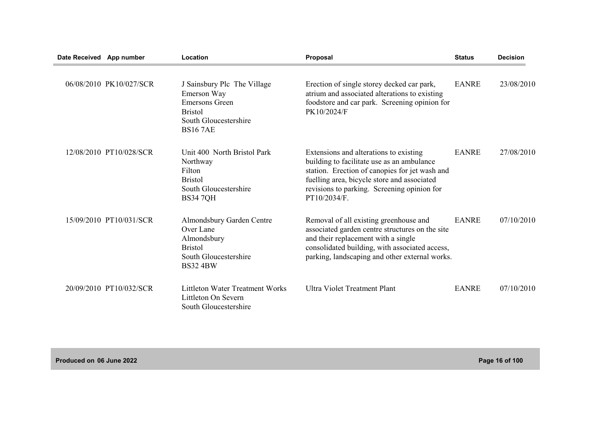| Date Received App number |                         | Location                                                                                                                         | Proposal                                                                                                                                                                                                                                             | <b>Status</b> | <b>Decision</b> |
|--------------------------|-------------------------|----------------------------------------------------------------------------------------------------------------------------------|------------------------------------------------------------------------------------------------------------------------------------------------------------------------------------------------------------------------------------------------------|---------------|-----------------|
|                          | 06/08/2010 PK10/027/SCR | J Sainsbury Plc The Village<br>Emerson Way<br><b>Emersons Green</b><br><b>Bristol</b><br>South Gloucestershire<br><b>BS167AE</b> | Erection of single storey decked car park,<br>atrium and associated alterations to existing<br>foodstore and car park. Screening opinion for<br>PK10/2024/F                                                                                          | <b>EANRE</b>  | 23/08/2010      |
|                          | 12/08/2010 PT10/028/SCR | Unit 400 North Bristol Park<br>Northway<br>Filton<br><b>Bristol</b><br>South Gloucestershire<br><b>BS34 7QH</b>                  | Extensions and alterations to existing<br>building to facilitate use as an ambulance<br>station. Erection of canopies for jet wash and<br>fuelling area, bicycle store and associated<br>revisions to parking. Screening opinion for<br>PT10/2034/F. | <b>EANRE</b>  | 27/08/2010      |
|                          | 15/09/2010 PT10/031/SCR | Almondsbury Garden Centre<br>Over Lane<br>Almondsbury<br><b>Bristol</b><br>South Gloucestershire<br><b>BS32 4BW</b>              | Removal of all existing greenhouse and<br>associated garden centre structures on the site<br>and their replacement with a single<br>consolidated building, with associated access,<br>parking, landscaping and other external works.                 | <b>EANRE</b>  | 07/10/2010      |
|                          | 20/09/2010 PT10/032/SCR | <b>Littleton Water Treatment Works</b><br>Littleton On Severn<br>South Gloucestershire                                           | <b>Ultra Violet Treatment Plant</b>                                                                                                                                                                                                                  | <b>EANRE</b>  | 07/10/2010      |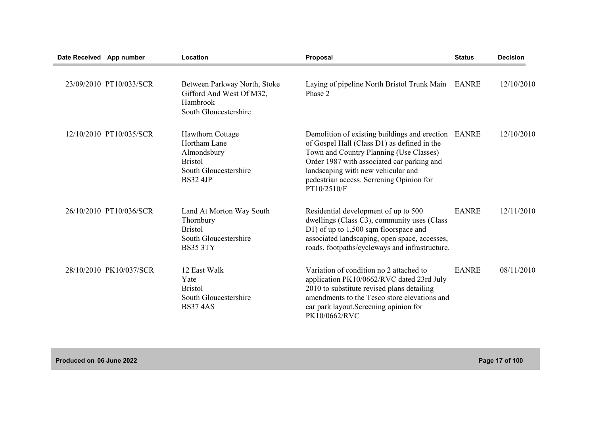| Date Received App number |                         | Location                                                                                                             | Proposal                                                                                                                                                                                                                                                                               | <b>Status</b> | <b>Decision</b> |
|--------------------------|-------------------------|----------------------------------------------------------------------------------------------------------------------|----------------------------------------------------------------------------------------------------------------------------------------------------------------------------------------------------------------------------------------------------------------------------------------|---------------|-----------------|
|                          | 23/09/2010 PT10/033/SCR | Between Parkway North, Stoke<br>Gifford And West Of M32,<br>Hambrook<br>South Gloucestershire                        | Laying of pipeline North Bristol Trunk Main<br>Phase 2                                                                                                                                                                                                                                 | <b>EANRE</b>  | 12/10/2010      |
|                          | 12/10/2010 PT10/035/SCR | <b>Hawthorn Cottage</b><br>Hortham Lane<br>Almondsbury<br><b>Bristol</b><br>South Gloucestershire<br><b>BS32 4JP</b> | Demolition of existing buildings and erection<br>of Gospel Hall (Class D1) as defined in the<br>Town and Country Planning (Use Classes)<br>Order 1987 with associated car parking and<br>landscaping with new vehicular and<br>pedestrian access. Scrrening Opinion for<br>PT10/2510/F | EANRE         | 12/10/2010      |
|                          | 26/10/2010 PT10/036/SCR | Land At Morton Way South<br>Thornbury<br><b>Bristol</b><br>South Gloucestershire<br><b>BS35 3TY</b>                  | Residential development of up to 500<br>dwellings (Class C3), community uses (Class<br>D1) of up to 1,500 sqm floorspace and<br>associated landscaping, open space, accesses,<br>roads, footpaths/cycleways and infrastructure.                                                        | <b>EANRE</b>  | 12/11/2010      |
|                          | 28/10/2010 PK10/037/SCR | 12 East Walk<br>Yate<br><b>Bristol</b><br>South Gloucestershire<br><b>BS374AS</b>                                    | Variation of condition no 2 attached to<br>application PK10/0662/RVC dated 23rd July<br>2010 to substitute revised plans detailing<br>amendments to the Tesco store elevations and<br>car park layout. Screening opinion for<br>PK10/0662/RVC                                          | <b>EANRE</b>  | 08/11/2010      |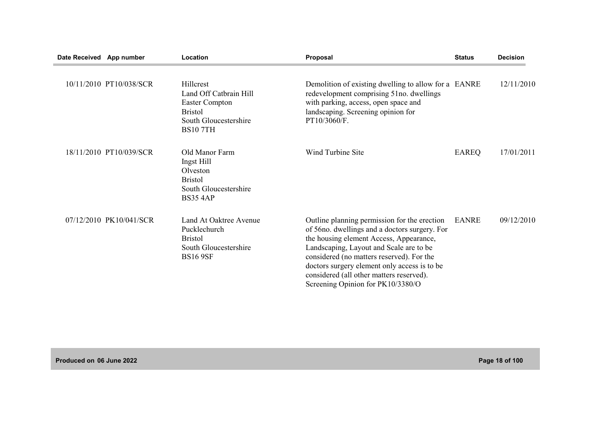| Date Received App number |                         | Location                                                                                                                  | Proposal                                                                                                                                                                                                                                                                                                                                                           | <b>Status</b> | <b>Decision</b> |
|--------------------------|-------------------------|---------------------------------------------------------------------------------------------------------------------------|--------------------------------------------------------------------------------------------------------------------------------------------------------------------------------------------------------------------------------------------------------------------------------------------------------------------------------------------------------------------|---------------|-----------------|
|                          | 10/11/2010 PT10/038/SCR | Hillcrest<br>Land Off Catbrain Hill<br><b>Easter Compton</b><br><b>Bristol</b><br>South Gloucestershire<br><b>BS107TH</b> | Demolition of existing dwelling to allow for a EANRE<br>redevelopment comprising 51no. dwellings<br>with parking, access, open space and<br>landscaping. Screening opinion for<br>PT10/3060/F.                                                                                                                                                                     |               | 12/11/2010      |
|                          | 18/11/2010 PT10/039/SCR | Old Manor Farm<br>Ingst Hill<br>Olveston<br><b>Bristol</b><br>South Gloucestershire<br><b>BS35 4AP</b>                    | Wind Turbine Site                                                                                                                                                                                                                                                                                                                                                  | EAREQ         | 17/01/2011      |
|                          | 07/12/2010 PK10/041/SCR | Land At Oaktree Avenue<br>Pucklechurch<br><b>Bristol</b><br>South Gloucestershire<br><b>BS16 9SF</b>                      | Outline planning permission for the erection<br>of 56 no. dwellings and a doctors surgery. For<br>the housing element Access, Appearance,<br>Landscaping, Layout and Scale are to be<br>considered (no matters reserved). For the<br>doctors surgery element only access is to be<br>considered (all other matters reserved).<br>Screening Opinion for PK10/3380/O | <b>EANRE</b>  | 09/12/2010      |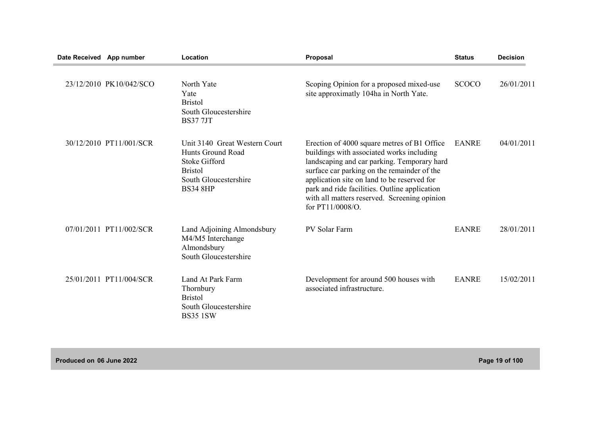| Date Received App number |                         | Location                                                                                                                                 | Proposal                                                                                                                                                                                                                                                                                                                                                   | <b>Status</b> | <b>Decision</b> |
|--------------------------|-------------------------|------------------------------------------------------------------------------------------------------------------------------------------|------------------------------------------------------------------------------------------------------------------------------------------------------------------------------------------------------------------------------------------------------------------------------------------------------------------------------------------------------------|---------------|-----------------|
|                          | 23/12/2010 PK10/042/SCO | North Yate<br>Yate<br><b>Bristol</b><br>South Gloucestershire<br><b>BS377JT</b>                                                          | Scoping Opinion for a proposed mixed-use<br>site approximatly 104ha in North Yate.                                                                                                                                                                                                                                                                         | <b>SCOCO</b>  | 26/01/2011      |
|                          | 30/12/2010 PT11/001/SCR | Unit 3140 Great Western Court<br>Hunts Ground Road<br><b>Stoke Gifford</b><br><b>Bristol</b><br>South Gloucestershire<br><b>BS34 8HP</b> | Erection of 4000 square metres of B1 Office<br>buildings with associated works including<br>landscaping and car parking. Temporary hard<br>surface car parking on the remainder of the<br>application site on land to be reserved for<br>park and ride facilities. Outline application<br>with all matters reserved. Screening opinion<br>for PT11/0008/O. | <b>EANRE</b>  | 04/01/2011      |
|                          | 07/01/2011 PT11/002/SCR | Land Adjoining Almondsbury<br>M4/M5 Interchange<br>Almondsbury<br>South Gloucestershire                                                  | PV Solar Farm                                                                                                                                                                                                                                                                                                                                              | <b>EANRE</b>  | 28/01/2011      |
|                          | 25/01/2011 PT11/004/SCR | Land At Park Farm<br>Thornbury<br><b>Bristol</b><br>South Gloucestershire<br><b>BS35 1SW</b>                                             | Development for around 500 houses with<br>associated infrastructure.                                                                                                                                                                                                                                                                                       | <b>EANRE</b>  | 15/02/2011      |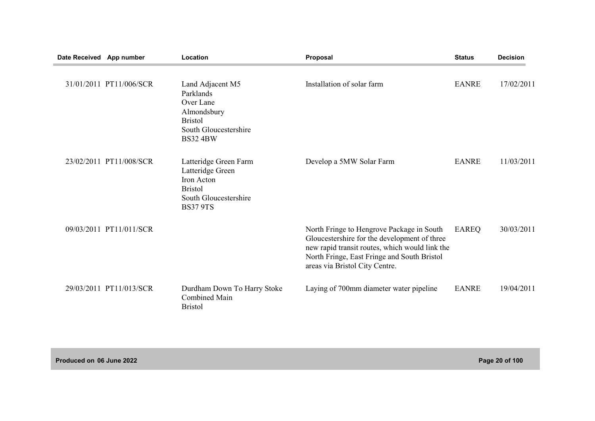| Date Received App number |                         | Location                                                                                                                | Proposal                                                                                                                                                                                                                     | <b>Status</b> | <b>Decision</b> |
|--------------------------|-------------------------|-------------------------------------------------------------------------------------------------------------------------|------------------------------------------------------------------------------------------------------------------------------------------------------------------------------------------------------------------------------|---------------|-----------------|
|                          | 31/01/2011 PT11/006/SCR | Land Adjacent M5<br>Parklands<br>Over Lane<br>Almondsbury<br><b>Bristol</b><br>South Gloucestershire<br><b>BS32 4BW</b> | Installation of solar farm                                                                                                                                                                                                   | <b>EANRE</b>  | 17/02/2011      |
|                          | 23/02/2011 PT11/008/SCR | Latteridge Green Farm<br>Latteridge Green<br>Iron Acton<br><b>Bristol</b><br>South Gloucestershire<br><b>BS37 9TS</b>   | Develop a 5MW Solar Farm                                                                                                                                                                                                     | <b>EANRE</b>  | 11/03/2011      |
|                          | 09/03/2011 PT11/011/SCR |                                                                                                                         | North Fringe to Hengrove Package in South<br>Gloucestershire for the development of three<br>new rapid transit routes, which would link the<br>North Fringe, East Fringe and South Bristol<br>areas via Bristol City Centre. | EAREQ         | 30/03/2011      |
|                          | 29/03/2011 PT11/013/SCR | Durdham Down To Harry Stoke<br><b>Combined Main</b><br><b>Bristol</b>                                                   | Laying of 700mm diameter water pipeline                                                                                                                                                                                      | <b>EANRE</b>  | 19/04/2011      |

**Produced on 06 June 2022 Page 20 of 100**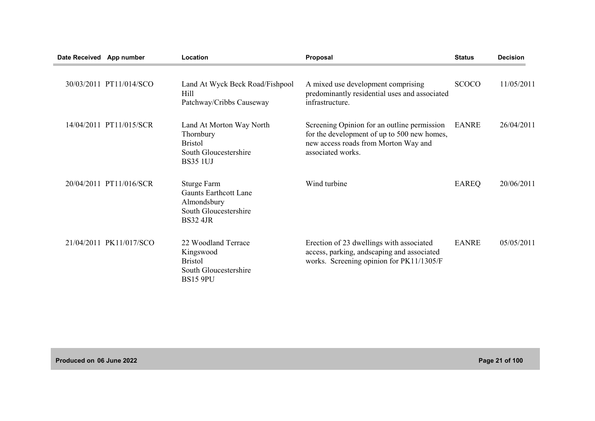| Date Received App number |                         | Location                                                                                                      | Proposal                                                                                                                                                | <b>Status</b> | <b>Decision</b> |
|--------------------------|-------------------------|---------------------------------------------------------------------------------------------------------------|---------------------------------------------------------------------------------------------------------------------------------------------------------|---------------|-----------------|
|                          | 30/03/2011 PT11/014/SCO | Land At Wyck Beck Road/Fishpool<br>Hill<br>Patchway/Cribbs Causeway                                           | A mixed use development comprising<br>predominantly residential uses and associated<br>infrastructure.                                                  | <b>SCOCO</b>  | 11/05/2011      |
|                          | 14/04/2011 PT11/015/SCR | Land At Morton Way North<br>Thornbury<br><b>Bristol</b><br>South Gloucestershire<br><b>BS35 1UJ</b>           | Screening Opinion for an outline permission<br>for the development of up to 500 new homes,<br>new access roads from Morton Way and<br>associated works. | <b>EANRE</b>  | 26/04/2011      |
|                          | 20/04/2011 PT11/016/SCR | <b>Sturge Farm</b><br><b>Gaunts Earthcott Lane</b><br>Almondsbury<br>South Gloucestershire<br><b>BS32 4JR</b> | Wind turbine                                                                                                                                            | <b>EAREQ</b>  | 20/06/2011      |
|                          | 21/04/2011 PK11/017/SCO | 22 Woodland Terrace<br>Kingswood<br><b>Bristol</b><br>South Gloucestershire<br><b>BS15 9PU</b>                | Erection of 23 dwellings with associated<br>access, parking, andscaping and associated<br>works. Screening opinion for PK11/1305/F                      | <b>EANRE</b>  | 05/05/2011      |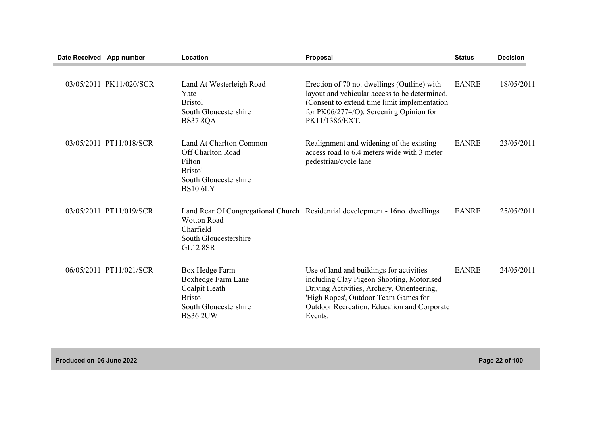| Date Received App number |                         | Location                                                                                                                    | Proposal                                                                                                                                                                                                                              | <b>Status</b> | <b>Decision</b> |
|--------------------------|-------------------------|-----------------------------------------------------------------------------------------------------------------------------|---------------------------------------------------------------------------------------------------------------------------------------------------------------------------------------------------------------------------------------|---------------|-----------------|
|                          | 03/05/2011 PK11/020/SCR | Land At Westerleigh Road<br>Yate<br><b>Bristol</b><br>South Gloucestershire<br><b>BS37 8QA</b>                              | Erection of 70 no. dwellings (Outline) with<br>layout and vehicular access to be determined.<br>(Consent to extend time limit implementation<br>for PK06/2774/O). Screening Opinion for<br>PK11/1386/EXT.                             | <b>EANRE</b>  | 18/05/2011      |
|                          | 03/05/2011 PT11/018/SCR | Land At Charlton Common<br><b>Off Charlton Road</b><br>Filton<br><b>Bristol</b><br>South Gloucestershire<br><b>BS10 6LY</b> | Realignment and widening of the existing<br>access road to 6.4 meters wide with 3 meter<br>pedestrian/cycle lane                                                                                                                      | <b>EANRE</b>  | 23/05/2011      |
|                          | 03/05/2011 PT11/019/SCR | <b>Wotton Road</b><br>Charfield<br>South Gloucestershire<br><b>GL12 8SR</b>                                                 | Land Rear Of Congregational Church Residential development - 16no. dwellings                                                                                                                                                          | <b>EANRE</b>  | 25/05/2011      |
|                          | 06/05/2011 PT11/021/SCR | Box Hedge Farm<br>Boxhedge Farm Lane<br>Coalpit Heath<br><b>Bristol</b><br>South Gloucestershire<br><b>BS36 2UW</b>         | Use of land and buildings for activities<br>including Clay Pigeon Shooting, Motorised<br>Driving Activities, Archery, Orienteering,<br>'High Ropes', Outdoor Team Games for<br>Outdoor Recreation, Education and Corporate<br>Events. | <b>EANRE</b>  | 24/05/2011      |

**Produced on 06 June 2022 Page 22 of 100**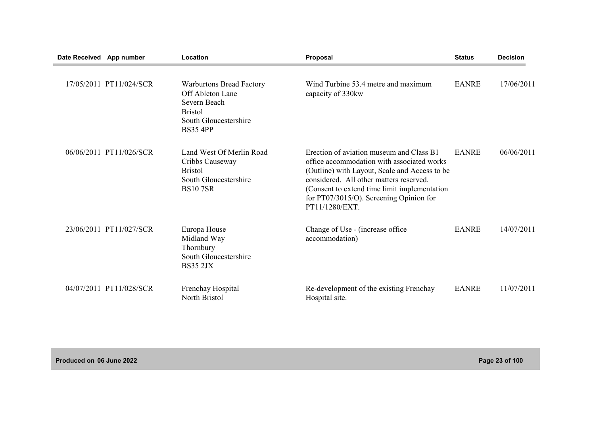| Date Received App number |                         | Location                                                                                                                          | Proposal                                                                                                                                                                                                                                                                                        | <b>Status</b> | <b>Decision</b> |
|--------------------------|-------------------------|-----------------------------------------------------------------------------------------------------------------------------------|-------------------------------------------------------------------------------------------------------------------------------------------------------------------------------------------------------------------------------------------------------------------------------------------------|---------------|-----------------|
|                          | 17/05/2011 PT11/024/SCR | <b>Warburtons Bread Factory</b><br>Off Ableton Lane<br>Severn Beach<br><b>Bristol</b><br>South Gloucestershire<br><b>BS35 4PP</b> | Wind Turbine 53.4 metre and maximum<br>capacity of 330kw                                                                                                                                                                                                                                        | <b>EANRE</b>  | 17/06/2011      |
|                          | 06/06/2011 PT11/026/SCR | Land West Of Merlin Road<br>Cribbs Causeway<br><b>Bristol</b><br>South Gloucestershire<br><b>BS107SR</b>                          | Erection of aviation museum and Class B1<br>office accommodation with associated works<br>(Outline) with Layout, Scale and Access to be<br>considered. All other matters reserved.<br>(Consent to extend time limit implementation<br>for PT07/3015/O). Screening Opinion for<br>PT11/1280/EXT. | <b>EANRE</b>  | 06/06/2011      |
|                          | 23/06/2011 PT11/027/SCR | Europa House<br>Midland Way<br>Thornbury<br>South Gloucestershire<br><b>BS35 2JX</b>                                              | Change of Use - (increase office)<br>accommodation)                                                                                                                                                                                                                                             | <b>EANRE</b>  | 14/07/2011      |
|                          | 04/07/2011 PT11/028/SCR | Frenchay Hospital<br>North Bristol                                                                                                | Re-development of the existing Frenchay<br>Hospital site.                                                                                                                                                                                                                                       | <b>EANRE</b>  | 11/07/2011      |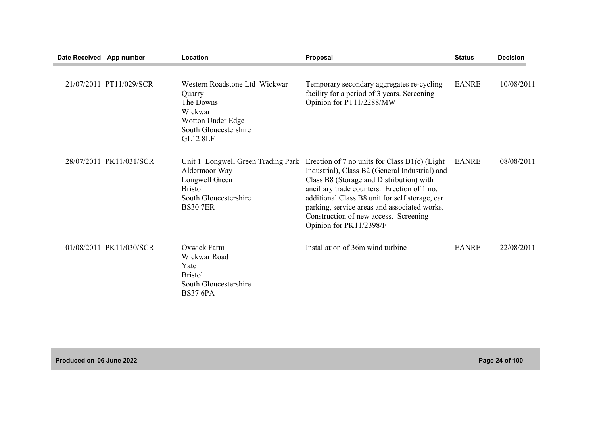| Date Received App number |                         | Location                                                                                                                            | Proposal                                                                                                                                                                                                                                                                                                                                                           | <b>Status</b> | <b>Decision</b> |
|--------------------------|-------------------------|-------------------------------------------------------------------------------------------------------------------------------------|--------------------------------------------------------------------------------------------------------------------------------------------------------------------------------------------------------------------------------------------------------------------------------------------------------------------------------------------------------------------|---------------|-----------------|
|                          | 21/07/2011 PT11/029/SCR | Western Roadstone Ltd Wickwar<br>Quarry<br>The Downs<br>Wickwar<br>Wotton Under Edge<br>South Gloucestershire<br><b>GL12 8LF</b>    | Temporary secondary aggregates re-cycling<br>facility for a period of 3 years. Screening<br>Opinion for PT11/2288/MW                                                                                                                                                                                                                                               | <b>EANRE</b>  | 10/08/2011      |
|                          | 28/07/2011 PK11/031/SCR | Unit 1 Longwell Green Trading Park<br>Aldermoor Way<br>Longwell Green<br><b>Bristol</b><br>South Gloucestershire<br><b>BS30 7ER</b> | Erection of 7 no units for Class $B1(c)$ (Light<br>Industrial), Class B2 (General Industrial) and<br>Class B8 (Storage and Distribution) with<br>ancillary trade counters. Erection of 1 no.<br>additional Class B8 unit for self storage, car<br>parking, service areas and associated works.<br>Construction of new access. Screening<br>Opinion for PK11/2398/F | <b>EANRE</b>  | 08/08/2011      |
|                          | 01/08/2011 PK11/030/SCR | Oxwick Farm<br>Wickwar Road<br>Yate<br><b>Bristol</b><br>South Gloucestershire<br><b>BS37 6PA</b>                                   | Installation of 36m wind turbine                                                                                                                                                                                                                                                                                                                                   | <b>EANRE</b>  | 22/08/2011      |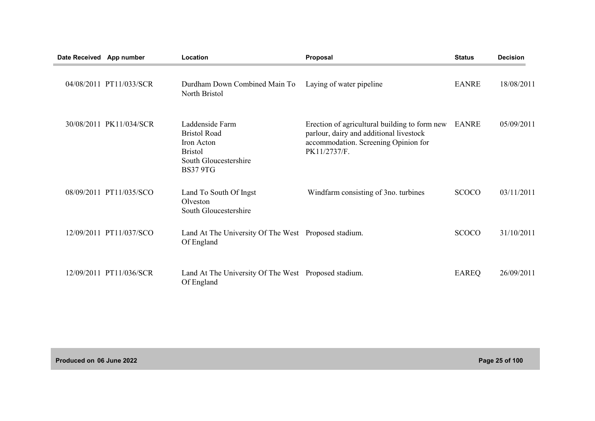| Date Received App number |                         | Location                                                                                                           | Proposal                                                                                                                                         | <b>Status</b> | <b>Decision</b> |
|--------------------------|-------------------------|--------------------------------------------------------------------------------------------------------------------|--------------------------------------------------------------------------------------------------------------------------------------------------|---------------|-----------------|
|                          | 04/08/2011 PT11/033/SCR | Durdham Down Combined Main To<br>North Bristol                                                                     | Laying of water pipeline                                                                                                                         | <b>EANRE</b>  | 18/08/2011      |
|                          | 30/08/2011 PK11/034/SCR | Laddenside Farm<br><b>Bristol Road</b><br>Iron Acton<br><b>Bristol</b><br>South Gloucestershire<br><b>BS37 9TG</b> | Erection of agricultural building to form new<br>parlour, dairy and additional livestock<br>accommodation. Screening Opinion for<br>PK11/2737/F. | EANRE         | 05/09/2011      |
|                          | 08/09/2011 PT11/035/SCO | Land To South Of Ingst<br>Olveston<br>South Gloucestershire                                                        | Windfarm consisting of 3no. turbines                                                                                                             | <b>SCOCO</b>  | 03/11/2011      |
|                          | 12/09/2011 PT11/037/SCO | Land At The University Of The West Proposed stadium.<br>Of England                                                 |                                                                                                                                                  | <b>SCOCO</b>  | 31/10/2011      |
|                          | 12/09/2011 PT11/036/SCR | Land At The University Of The West Proposed stadium.<br>Of England                                                 |                                                                                                                                                  | <b>EAREQ</b>  | 26/09/2011      |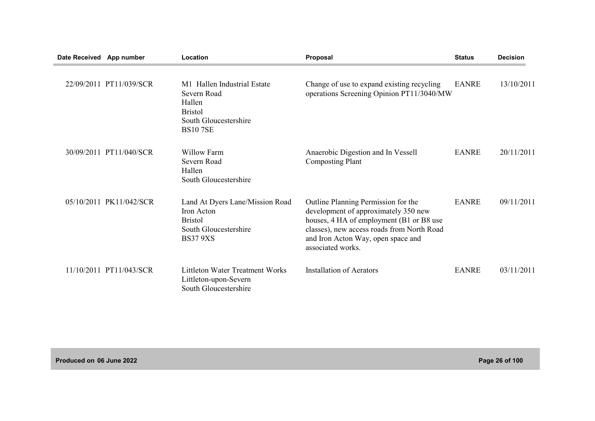| Date Received App number |                         | Location                                                                                                          | Proposal                                                                                                                                                                                                                         | <b>Status</b> | <b>Decision</b> |
|--------------------------|-------------------------|-------------------------------------------------------------------------------------------------------------------|----------------------------------------------------------------------------------------------------------------------------------------------------------------------------------------------------------------------------------|---------------|-----------------|
|                          | 22/09/2011 PT11/039/SCR | M1 Hallen Industrial Estate<br>Severn Road<br>Hallen<br><b>Bristol</b><br>South Gloucestershire<br><b>BS107SE</b> | Change of use to expand existing recycling<br>operations Screening Opinion PT11/3040/MW                                                                                                                                          | <b>EANRE</b>  | 13/10/2011      |
|                          | 30/09/2011 PT11/040/SCR | <b>Willow Farm</b><br>Severn Road<br>Hallen<br>South Gloucestershire                                              | Anaerobic Digestion and In Vessell<br><b>Composting Plant</b>                                                                                                                                                                    | <b>EANRE</b>  | 20/11/2011      |
|                          | 05/10/2011 PK11/042/SCR | Land At Dyers Lane/Mission Road<br>Iron Acton<br><b>Bristol</b><br>South Gloucestershire<br><b>BS37 9XS</b>       | Outline Planning Permission for the<br>development of approximately 350 new<br>houses, 4 HA of employment (B1 or B8 use<br>classes), new access roads from North Road<br>and Iron Acton Way, open space and<br>associated works. | <b>EANRE</b>  | 09/11/2011      |
|                          | 11/10/2011 PT11/043/SCR | <b>Littleton Water Treatment Works</b><br>Littleton-upon-Severn<br>South Gloucestershire                          | <b>Installation of Aerators</b>                                                                                                                                                                                                  | <b>EANRE</b>  | 03/11/2011      |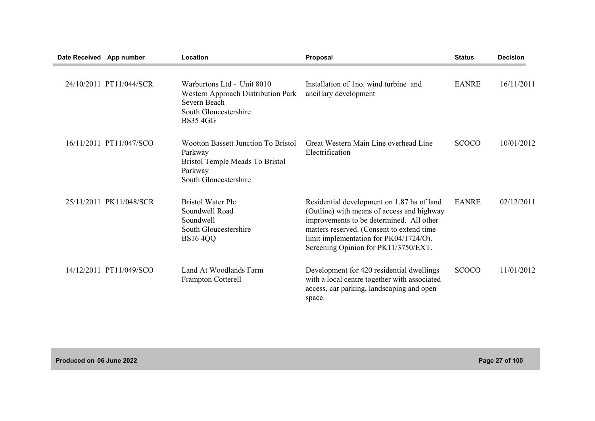| Date Received App number |                         | Location                                                                                                                     | <b>Proposal</b>                                                                                                                                                                                                                                                     | <b>Status</b> | <b>Decision</b> |
|--------------------------|-------------------------|------------------------------------------------------------------------------------------------------------------------------|---------------------------------------------------------------------------------------------------------------------------------------------------------------------------------------------------------------------------------------------------------------------|---------------|-----------------|
|                          | 24/10/2011 PT11/044/SCR | Warburtons Ltd - Unit 8010<br>Western Approach Distribution Park<br>Severn Beach<br>South Gloucestershire<br><b>BS35 4GG</b> | Installation of 1 no. wind turbine and<br>ancillary development                                                                                                                                                                                                     | <b>EANRE</b>  | 16/11/2011      |
|                          | 16/11/2011 PT11/047/SCO | <b>Wootton Bassett Junction To Bristol</b><br>Parkway<br>Bristol Temple Meads To Bristol<br>Parkway<br>South Gloucestershire | Great Western Main Line overhead Line<br>Electrification                                                                                                                                                                                                            | <b>SCOCO</b>  | 10/01/2012      |
|                          | 25/11/2011 PK11/048/SCR | <b>Bristol Water Plc</b><br>Soundwell Road<br>Soundwell<br>South Gloucestershire<br><b>BS16 4QQ</b>                          | Residential development on 1.87 ha of land<br>(Outline) with means of access and highway<br>improvements to be determined. All other<br>matters reserved. (Consent to extend time<br>limit implementation for PK04/1724/O).<br>Screening Opinion for PK11/3750/EXT. | <b>EANRE</b>  | 02/12/2011      |
|                          | 14/12/2011 PT11/049/SCO | Land At Woodlands Farm<br>Frampton Cotterell                                                                                 | Development for 420 residential dwellings<br>with a local centre together with associated<br>access, car parking, landscaping and open<br>space.                                                                                                                    | <b>SCOCO</b>  | 11/01/2012      |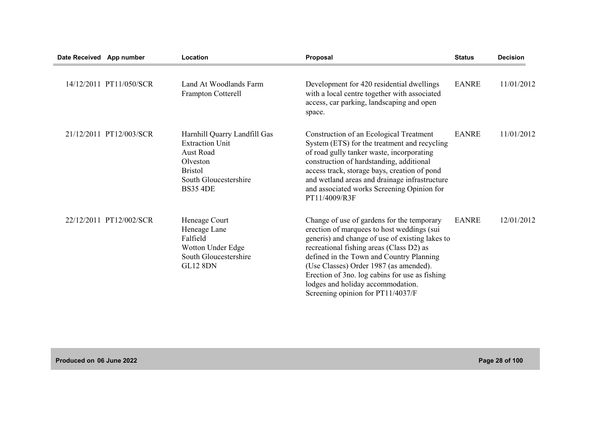| Date Received App number |                         | Location                                                                                                                                      | Proposal                                                                                                                                                                                                                                                                                                                                                                                                  | <b>Status</b> | <b>Decision</b> |
|--------------------------|-------------------------|-----------------------------------------------------------------------------------------------------------------------------------------------|-----------------------------------------------------------------------------------------------------------------------------------------------------------------------------------------------------------------------------------------------------------------------------------------------------------------------------------------------------------------------------------------------------------|---------------|-----------------|
|                          | 14/12/2011 PT11/050/SCR | Land At Woodlands Farm<br>Frampton Cotterell                                                                                                  | Development for 420 residential dwellings<br>with a local centre together with associated<br>access, car parking, landscaping and open<br>space.                                                                                                                                                                                                                                                          | <b>EANRE</b>  | 11/01/2012      |
|                          | 21/12/2011 PT12/003/SCR | Harnhill Quarry Landfill Gas<br><b>Extraction Unit</b><br>Aust Road<br>Olveston<br><b>Bristol</b><br>South Gloucestershire<br><b>BS35 4DE</b> | Construction of an Ecological Treatment<br>System (ETS) for the treatment and recycling<br>of road gully tanker waste, incorporating<br>construction of hardstanding, additional<br>access track, storage bays, creation of pond<br>and wetland areas and drainage infrastructure<br>and associated works Screening Opinion for<br>PT11/4009/R3F                                                          | <b>EANRE</b>  | 11/01/2012      |
|                          | 22/12/2011 PT12/002/SCR | Heneage Court<br>Heneage Lane<br>Falfield<br>Wotton Under Edge<br>South Gloucestershire<br><b>GL12 8DN</b>                                    | Change of use of gardens for the temporary<br>erection of marquees to host weddings (sui<br>generis) and change of use of existing lakes to<br>recreational fishing areas (Class D2) as<br>defined in the Town and Country Planning<br>(Use Classes) Order 1987 (as amended).<br>Erection of 3no. log cabins for use as fishing<br>lodges and holiday accommodation.<br>Screening opinion for PT11/4037/F | <b>EANRE</b>  | 12/01/2012      |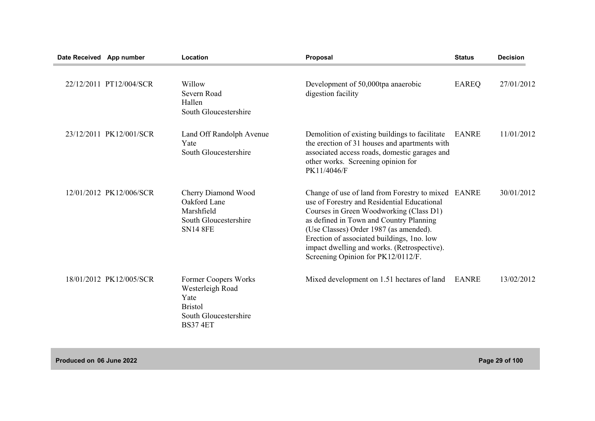| Date Received App number |                         | Location                                                                                                       | Proposal                                                                                                                                                                                                                                                                                                                                                             | <b>Status</b> | <b>Decision</b> |
|--------------------------|-------------------------|----------------------------------------------------------------------------------------------------------------|----------------------------------------------------------------------------------------------------------------------------------------------------------------------------------------------------------------------------------------------------------------------------------------------------------------------------------------------------------------------|---------------|-----------------|
|                          | 22/12/2011 PT12/004/SCR | Willow<br>Severn Road<br>Hallen<br>South Gloucestershire                                                       | Development of 50,000tpa anaerobic<br>digestion facility                                                                                                                                                                                                                                                                                                             | <b>EAREQ</b>  | 27/01/2012      |
|                          | 23/12/2011 PK12/001/SCR | Land Off Randolph Avenue<br>Yate<br>South Gloucestershire                                                      | Demolition of existing buildings to facilitate<br>the erection of 31 houses and apartments with<br>associated access roads, domestic garages and<br>other works. Screening opinion for<br>PK11/4046/F                                                                                                                                                                | <b>EANRE</b>  | 11/01/2012      |
|                          | 12/01/2012 PK12/006/SCR | Cherry Diamond Wood<br>Oakford Lane<br>Marshfield<br>South Gloucestershire<br><b>SN14 8FE</b>                  | Change of use of land from Forestry to mixed EANRE<br>use of Forestry and Residential Educational<br>Courses in Green Woodworking (Class D1)<br>as defined in Town and Country Planning<br>(Use Classes) Order 1987 (as amended).<br>Erection of associated buildings, 1no. low<br>impact dwelling and works. (Retrospective).<br>Screening Opinion for PK12/0112/F. |               | 30/01/2012      |
|                          | 18/01/2012 PK12/005/SCR | Former Coopers Works<br>Westerleigh Road<br>Yate<br><b>Bristol</b><br>South Gloucestershire<br><b>BS37 4ET</b> | Mixed development on 1.51 hectares of land                                                                                                                                                                                                                                                                                                                           | <b>EANRE</b>  | 13/02/2012      |

**Produced on 06 June 2022 Page 29 of 100**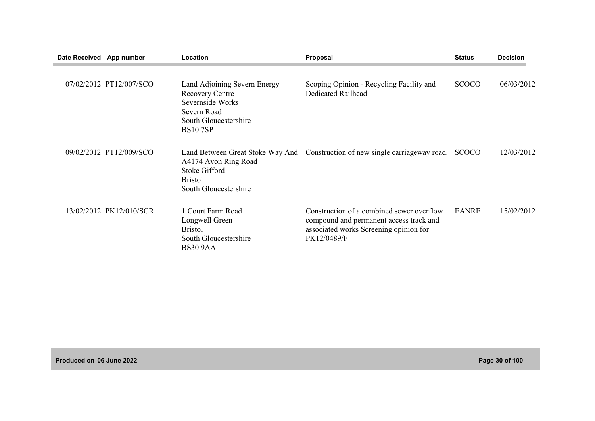| Date Received App number |                         | Location                                                                                                                             | Proposal                                                                                                                                      | <b>Status</b> | <b>Decision</b> |
|--------------------------|-------------------------|--------------------------------------------------------------------------------------------------------------------------------------|-----------------------------------------------------------------------------------------------------------------------------------------------|---------------|-----------------|
|                          | 07/02/2012 PT12/007/SCO | Land Adjoining Severn Energy<br><b>Recovery Centre</b><br>Severnside Works<br>Severn Road<br>South Gloucestershire<br><b>BS107SP</b> | Scoping Opinion - Recycling Facility and<br>Dedicated Railhead                                                                                | <b>SCOCO</b>  | 06/03/2012      |
|                          | 09/02/2012 PT12/009/SCO | A4174 Avon Ring Road<br><b>Stoke Gifford</b><br><b>Bristol</b><br>South Gloucestershire                                              | Land Between Great Stoke Way And Construction of new single carriageway road.                                                                 | <b>SCOCO</b>  | 12/03/2012      |
|                          | 13/02/2012 PK12/010/SCR | 1 Court Farm Road<br>Longwell Green<br><b>Bristol</b><br>South Gloucestershire<br><b>BS30 9AA</b>                                    | Construction of a combined sewer overflow<br>compound and permanent access track and<br>associated works Screening opinion for<br>PK12/0489/F | <b>EANRE</b>  | 15/02/2012      |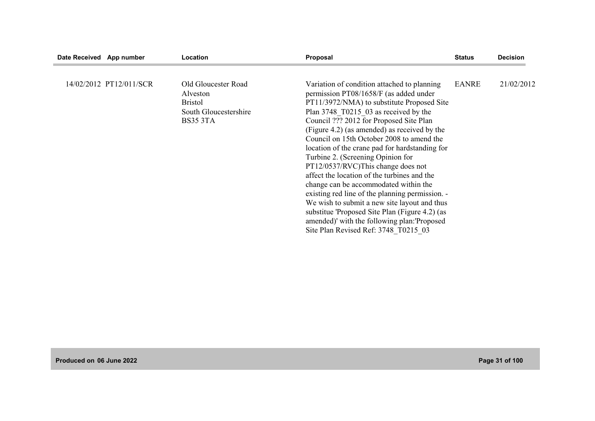| Date Received App number |                         | <b>Location</b>                                                                               | Proposal                                                                                                                                                                                                                                                                                                                                                                                                                                                                                                                                                                                                                                                                                                                                                                              | <b>Status</b> | <b>Decision</b> |
|--------------------------|-------------------------|-----------------------------------------------------------------------------------------------|---------------------------------------------------------------------------------------------------------------------------------------------------------------------------------------------------------------------------------------------------------------------------------------------------------------------------------------------------------------------------------------------------------------------------------------------------------------------------------------------------------------------------------------------------------------------------------------------------------------------------------------------------------------------------------------------------------------------------------------------------------------------------------------|---------------|-----------------|
|                          | 14/02/2012 PT12/011/SCR | Old Gloucester Road<br>Alveston<br><b>Bristol</b><br>South Gloucestershire<br><b>BS35 3TA</b> | Variation of condition attached to planning<br>permission PT08/1658/F (as added under<br>PT11/3972/NMA) to substitute Proposed Site<br>Plan 3748 T0215 03 as received by the<br>Council ??? 2012 for Proposed Site Plan<br>(Figure 4.2) (as amended) as received by the<br>Council on 15th October 2008 to amend the<br>location of the crane pad for hardstanding for<br>Turbine 2. (Screening Opinion for<br>PT12/0537/RVC)This change does not<br>affect the location of the turbines and the<br>change can be accommodated within the<br>existing red line of the planning permission. -<br>We wish to submit a new site layout and thus<br>substitue 'Proposed Site Plan (Figure 4.2) (as<br>amended)' with the following plan:'Proposed<br>Site Plan Revised Ref: 3748 T0215 03 | <b>EANRE</b>  | 21/02/2012      |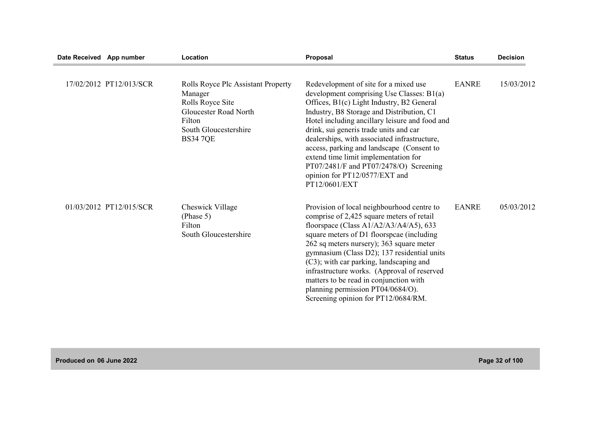| Date Received App number |                         | Location                                                                                                                                                | Proposal                                                                                                                                                                                                                                                                                                                                                                                                                                                                                                  | <b>Status</b> | <b>Decision</b> |
|--------------------------|-------------------------|---------------------------------------------------------------------------------------------------------------------------------------------------------|-----------------------------------------------------------------------------------------------------------------------------------------------------------------------------------------------------------------------------------------------------------------------------------------------------------------------------------------------------------------------------------------------------------------------------------------------------------------------------------------------------------|---------------|-----------------|
|                          | 17/02/2012 PT12/013/SCR | Rolls Royce Plc Assistant Property<br>Manager<br>Rolls Royce Site<br><b>Gloucester Road North</b><br>Filton<br>South Gloucestershire<br><b>BS34 7QE</b> | Redevelopment of site for a mixed use<br>development comprising Use Classes: B1(a)<br>Offices, B1(c) Light Industry, B2 General<br>Industry, B8 Storage and Distribution, C1<br>Hotel including ancillary leisure and food and<br>drink, sui generis trade units and car<br>dealerships, with associated infrastructure,<br>access, parking and landscape (Consent to<br>extend time limit implementation for<br>PT07/2481/F and PT07/2478/O) Screening<br>opinion for PT12/0577/EXT and<br>PT12/0601/EXT | <b>EANRE</b>  | 15/03/2012      |
|                          | 01/03/2012 PT12/015/SCR | Cheswick Village<br>(Phase 5)<br>Filton<br>South Gloucestershire                                                                                        | Provision of local neighbourhood centre to<br>comprise of 2,425 square meters of retail<br>floorspace (Class $A1/A2/A3/A4/A5$ ), 633<br>square meters of D1 floorspeae (including)<br>262 sq meters nursery); 363 square meter<br>gymnasium (Class D2); 137 residential units<br>(C3); with car parking, landscaping and<br>infrastructure works. (Approval of reserved<br>matters to be read in conjunction with<br>planning permission PT04/0684/O).<br>Screening opinion for PT12/0684/RM.             | <b>EANRE</b>  | 05/03/2012      |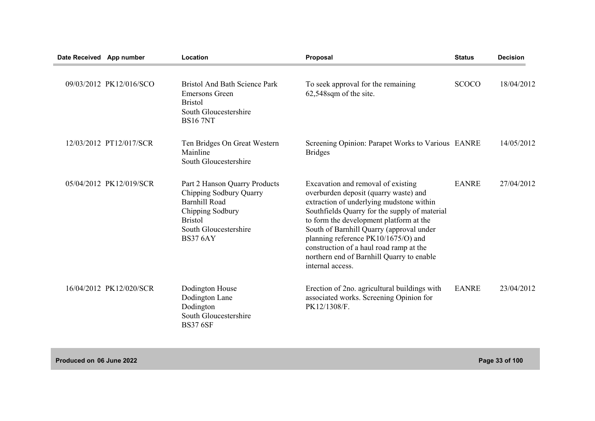| Date Received App number |                         | Location                                                                                                                                                           | Proposal                                                                                                                                                                                                                                                                                                                                                                                                           | <b>Status</b> | <b>Decision</b> |
|--------------------------|-------------------------|--------------------------------------------------------------------------------------------------------------------------------------------------------------------|--------------------------------------------------------------------------------------------------------------------------------------------------------------------------------------------------------------------------------------------------------------------------------------------------------------------------------------------------------------------------------------------------------------------|---------------|-----------------|
|                          | 09/03/2012 PK12/016/SCO | <b>Bristol And Bath Science Park</b><br><b>Emersons Green</b><br><b>Bristol</b><br>South Gloucestershire<br><b>BS16 7NT</b>                                        | To seek approval for the remaining<br>62,548sqm of the site.                                                                                                                                                                                                                                                                                                                                                       | <b>SCOCO</b>  | 18/04/2012      |
|                          | 12/03/2012 PT12/017/SCR | Ten Bridges On Great Western<br>Mainline<br>South Gloucestershire                                                                                                  | Screening Opinion: Parapet Works to Various EANRE<br><b>Bridges</b>                                                                                                                                                                                                                                                                                                                                                |               | 14/05/2012      |
|                          | 05/04/2012 PK12/019/SCR | Part 2 Hanson Quarry Products<br>Chipping Sodbury Quarry<br><b>Barnhill Road</b><br>Chipping Sodbury<br><b>Bristol</b><br>South Gloucestershire<br><b>BS37 6AY</b> | Excavation and removal of existing<br>overburden deposit (quarry waste) and<br>extraction of underlying mudstone within<br>Southfields Quarry for the supply of material<br>to form the development platform at the<br>South of Barnhill Quarry (approval under<br>planning reference PK10/1675/O) and<br>construction of a haul road ramp at the<br>northern end of Barnhill Quarry to enable<br>internal access. | <b>EANRE</b>  | 27/04/2012      |
|                          | 16/04/2012 PK12/020/SCR | Dodington House<br>Dodington Lane<br>Dodington<br>South Gloucestershire<br><b>BS37 6SF</b>                                                                         | Erection of 2no. agricultural buildings with<br>associated works. Screening Opinion for<br>PK12/1308/F.                                                                                                                                                                                                                                                                                                            | <b>EANRE</b>  | 23/04/2012      |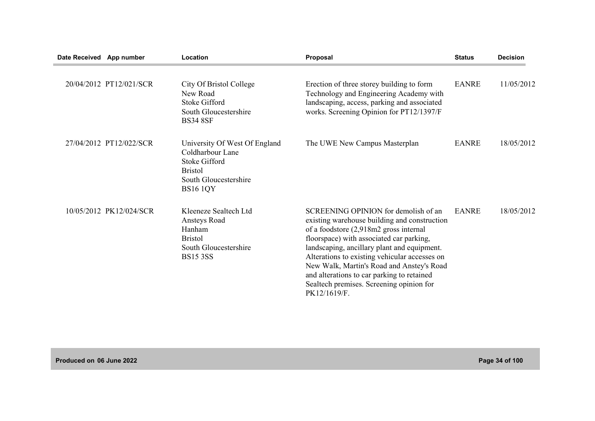| Date Received App number |                         | Location                                                                                                                                | Proposal                                                                                                                                                                                                                                                                                                                                                                                                                          | <b>Status</b> | <b>Decision</b> |
|--------------------------|-------------------------|-----------------------------------------------------------------------------------------------------------------------------------------|-----------------------------------------------------------------------------------------------------------------------------------------------------------------------------------------------------------------------------------------------------------------------------------------------------------------------------------------------------------------------------------------------------------------------------------|---------------|-----------------|
|                          | 20/04/2012 PT12/021/SCR | City Of Bristol College<br>New Road<br><b>Stoke Gifford</b><br>South Gloucestershire<br><b>BS34 8SF</b>                                 | Erection of three storey building to form<br>Technology and Engineering Academy with<br>landscaping, access, parking and associated<br>works. Screening Opinion for PT12/1397/F                                                                                                                                                                                                                                                   | <b>EANRE</b>  | 11/05/2012      |
|                          | 27/04/2012 PT12/022/SCR | University Of West Of England<br>Coldharbour Lane<br><b>Stoke Gifford</b><br><b>Bristol</b><br>South Gloucestershire<br><b>BS16 1QY</b> | The UWE New Campus Masterplan                                                                                                                                                                                                                                                                                                                                                                                                     | <b>EANRE</b>  | 18/05/2012      |
|                          | 10/05/2012 PK12/024/SCR | Kleeneze Sealtech Ltd<br>Ansteys Road<br>Hanham<br><b>Bristol</b><br>South Gloucestershire<br><b>BS15 3SS</b>                           | SCREENING OPINION for demolish of an<br>existing warehouse building and construction<br>of a foodstore (2,918m2 gross internal<br>floorspace) with associated car parking,<br>landscaping, ancillary plant and equipment.<br>Alterations to existing vehicular accesses on<br>New Walk, Martin's Road and Anstey's Road<br>and alterations to car parking to retained<br>Sealtech premises. Screening opinion for<br>PK12/1619/F. | <b>EANRE</b>  | 18/05/2012      |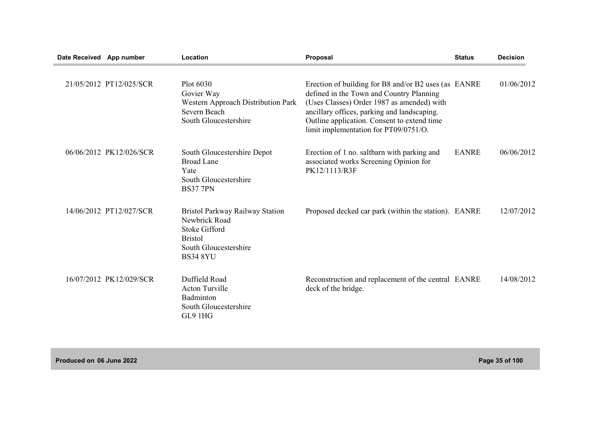| Date Received App number |                         | Location                                                                                                                               | <b>Proposal</b>                                                                                                                                                                                                                                                                       | <b>Status</b> | <b>Decision</b> |
|--------------------------|-------------------------|----------------------------------------------------------------------------------------------------------------------------------------|---------------------------------------------------------------------------------------------------------------------------------------------------------------------------------------------------------------------------------------------------------------------------------------|---------------|-----------------|
|                          | 21/05/2012 PT12/025/SCR | Plot 6030<br>Govier Way<br>Western Approach Distribution Park<br>Severn Beach<br>South Gloucestershire                                 | Erection of building for B8 and/or B2 uses (as EANRE<br>defined in the Town and Country Planning<br>(Uses Classes) Order 1987 as amended) with<br>ancillary offices, parking and landscaping.<br>Outline application. Consent to extend time<br>limit implementation for PT09/0751/O. |               | 01/06/2012      |
|                          | 06/06/2012 PK12/026/SCR | South Gloucestershire Depot<br><b>Broad Lane</b><br>Yate<br>South Gloucestershire<br><b>BS37 7PN</b>                                   | Erection of 1 no. saltbarn with parking and<br>associated works Screening Opinion for<br>PK12/1113/R3F                                                                                                                                                                                | <b>EANRE</b>  | 06/06/2012      |
|                          | 14/06/2012 PT12/027/SCR | Bristol Parkway Railway Station<br>Newbrick Road<br><b>Stoke Gifford</b><br><b>Bristol</b><br>South Gloucestershire<br><b>BS34 8YU</b> | Proposed decked car park (within the station). EANRE                                                                                                                                                                                                                                  |               | 12/07/2012      |
|                          | 16/07/2012 PK12/029/SCR | Duffield Road<br><b>Acton Turville</b><br>Badminton<br>South Gloucestershire<br>GL9 1HG                                                | Reconstruction and replacement of the central EANRE<br>deck of the bridge.                                                                                                                                                                                                            |               | 14/08/2012      |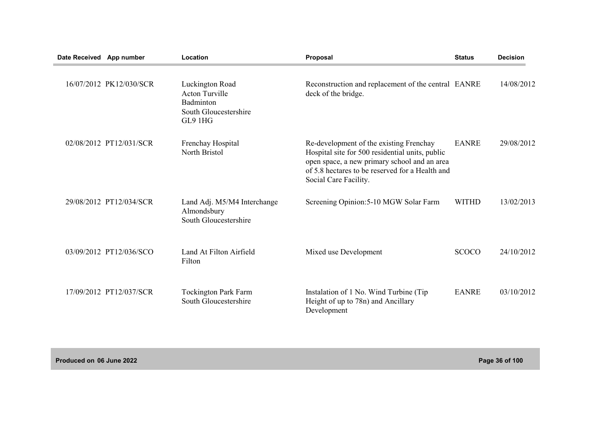| Date Received App number |                         | Location                                                                                  | Proposal                                                                                                                                                                                                               | <b>Status</b> | <b>Decision</b> |
|--------------------------|-------------------------|-------------------------------------------------------------------------------------------|------------------------------------------------------------------------------------------------------------------------------------------------------------------------------------------------------------------------|---------------|-----------------|
|                          | 16/07/2012 PK12/030/SCR | Luckington Road<br><b>Acton Turville</b><br>Badminton<br>South Gloucestershire<br>GL9 1HG | Reconstruction and replacement of the central EANRE<br>deck of the bridge.                                                                                                                                             |               | 14/08/2012      |
|                          | 02/08/2012 PT12/031/SCR | Frenchay Hospital<br>North Bristol                                                        | Re-development of the existing Frenchay<br>Hospital site for 500 residential units, public<br>open space, a new primary school and an area<br>of 5.8 hectares to be reserved for a Health and<br>Social Care Facility. | <b>EANRE</b>  | 29/08/2012      |
|                          | 29/08/2012 PT12/034/SCR | Land Adj. M5/M4 Interchange<br>Almondsbury<br>South Gloucestershire                       | Screening Opinion: 5-10 MGW Solar Farm                                                                                                                                                                                 | <b>WITHD</b>  | 13/02/2013      |
|                          | 03/09/2012 PT12/036/SCO | Land At Filton Airfield<br>Filton                                                         | Mixed use Development                                                                                                                                                                                                  | <b>SCOCO</b>  | 24/10/2012      |
|                          | 17/09/2012 PT12/037/SCR | <b>Tockington Park Farm</b><br>South Gloucestershire                                      | Instalation of 1 No. Wind Turbine (Tip<br>Height of up to 78n) and Ancillary<br>Development                                                                                                                            | <b>EANRE</b>  | 03/10/2012      |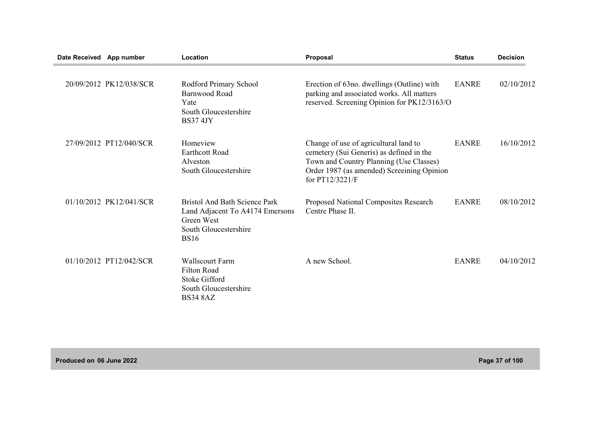| Date Received App number |                         | Location                                                                                                                      | Proposal                                                                                                                                                                                      | <b>Status</b> | <b>Decision</b> |
|--------------------------|-------------------------|-------------------------------------------------------------------------------------------------------------------------------|-----------------------------------------------------------------------------------------------------------------------------------------------------------------------------------------------|---------------|-----------------|
|                          | 20/09/2012 PK12/038/SCR | Rodford Primary School<br>Barnwood Road<br>Yate<br>South Gloucestershire<br><b>BS37 4JY</b>                                   | Erection of 63no. dwellings (Outline) with<br>parking and associated works. All matters<br>reserved. Screening Opinion for PK12/3163/O                                                        | <b>EANRE</b>  | 02/10/2012      |
|                          | 27/09/2012 PT12/040/SCR | Homeview<br><b>Earthcott Road</b><br>Alveston<br>South Gloucestershire                                                        | Change of use of agricultural land to<br>cemetery (Sui Generis) as defined in the<br>Town and Country Planning (Use Classes)<br>Order 1987 (as amended) Screeining Opinion<br>for PT12/3221/F | <b>EANRE</b>  | 16/10/2012      |
|                          | 01/10/2012 PK12/041/SCR | <b>Bristol And Bath Science Park</b><br>Land Adjacent To A4174 Emersons<br>Green West<br>South Gloucestershire<br><b>BS16</b> | Proposed National Composites Research<br>Centre Phase II.                                                                                                                                     | <b>EANRE</b>  | 08/10/2012      |
|                          | 01/10/2012 PT12/042/SCR | <b>Wallscourt Farm</b><br><b>Filton Road</b><br><b>Stoke Gifford</b><br>South Gloucestershire<br><b>BS34 8AZ</b>              | A new School.                                                                                                                                                                                 | <b>EANRE</b>  | 04/10/2012      |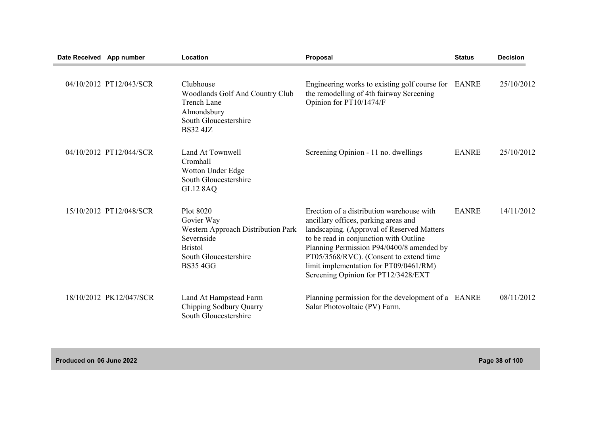| Date Received App number |                         | Location                                                                                                                                 | Proposal                                                                                                                                                                                                                                                                                                                                           | <b>Status</b> | <b>Decision</b> |
|--------------------------|-------------------------|------------------------------------------------------------------------------------------------------------------------------------------|----------------------------------------------------------------------------------------------------------------------------------------------------------------------------------------------------------------------------------------------------------------------------------------------------------------------------------------------------|---------------|-----------------|
|                          | 04/10/2012 PT12/043/SCR | Clubhouse<br><b>Woodlands Golf And Country Club</b><br><b>Trench Lane</b><br>Almondsbury<br>South Gloucestershire<br><b>BS32 4JZ</b>     | Engineering works to existing golf course for EANRE<br>the remodelling of 4th fairway Screening<br>Opinion for PT10/1474/F                                                                                                                                                                                                                         |               | 25/10/2012      |
|                          | 04/10/2012 PT12/044/SCR | Land At Townwell<br>Cromhall<br>Wotton Under Edge<br>South Gloucestershire<br><b>GL12 8AQ</b>                                            | Screening Opinion - 11 no. dwellings                                                                                                                                                                                                                                                                                                               | <b>EANRE</b>  | 25/10/2012      |
|                          | 15/10/2012 PT12/048/SCR | Plot 8020<br>Govier Way<br>Western Approach Distribution Park<br>Severnside<br><b>Bristol</b><br>South Gloucestershire<br><b>BS354GG</b> | Erection of a distribution warehouse with<br>ancillary offices, parking areas and<br>landscaping. (Approval of Reserved Matters<br>to be read in conjunction with Outline<br>Planning Permission P94/0400/8 amended by<br>PT05/3568/RVC). (Consent to extend time<br>limit implementation for PT09/0461/RM)<br>Screening Opinion for PT12/3428/EXT | <b>EANRE</b>  | 14/11/2012      |
|                          | 18/10/2012 PK12/047/SCR | Land At Hampstead Farm<br>Chipping Sodbury Quarry<br>South Gloucestershire                                                               | Planning permission for the development of a EANRE<br>Salar Photovoltaic (PV) Farm.                                                                                                                                                                                                                                                                |               | 08/11/2012      |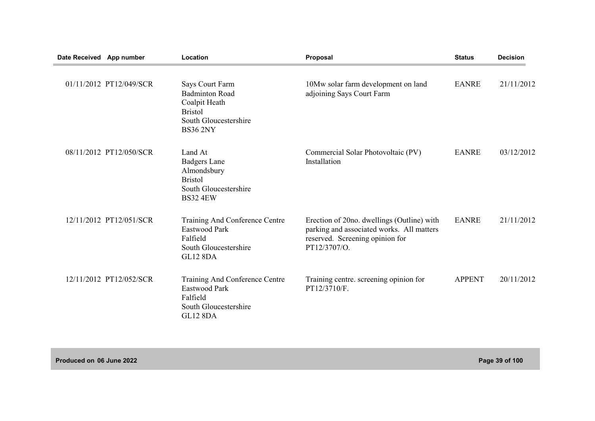| Date Received App number |                         | Location                                                                                                                | Proposal                                                                                                                                   | <b>Status</b> | <b>Decision</b> |
|--------------------------|-------------------------|-------------------------------------------------------------------------------------------------------------------------|--------------------------------------------------------------------------------------------------------------------------------------------|---------------|-----------------|
|                          | 01/11/2012 PT12/049/SCR | Says Court Farm<br><b>Badminton Road</b><br>Coalpit Heath<br><b>Bristol</b><br>South Gloucestershire<br><b>BS36 2NY</b> | 10Mw solar farm development on land<br>adjoining Says Court Farm                                                                           | <b>EANRE</b>  | 21/11/2012      |
|                          | 08/11/2012 PT12/050/SCR | Land At<br><b>Badgers Lane</b><br>Almondsbury<br><b>Bristol</b><br>South Gloucestershire<br><b>BS32 4EW</b>             | Commercial Solar Photovoltaic (PV)<br>Installation                                                                                         | <b>EANRE</b>  | 03/12/2012      |
|                          | 12/11/2012 PT12/051/SCR | Training And Conference Centre<br>Eastwood Park<br>Falfield<br>South Gloucestershire<br><b>GL12 8DA</b>                 | Erection of 20no. dwellings (Outline) with<br>parking and associated works. All matters<br>reserved. Screening opinion for<br>PT12/3707/O. | <b>EANRE</b>  | 21/11/2012      |
|                          | 12/11/2012 PT12/052/SCR | Training And Conference Centre<br><b>Eastwood Park</b><br>Falfield<br>South Gloucestershire<br><b>GL12 8DA</b>          | Training centre. screening opinion for<br>PT12/3710/F.                                                                                     | <b>APPENT</b> | 20/11/2012      |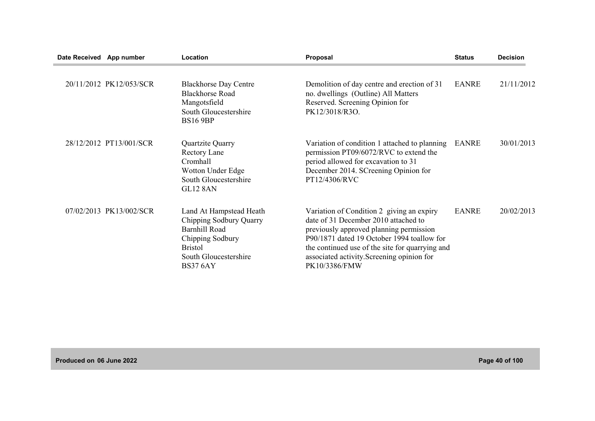| Date Received App number |                         | Location                                                                                                                                                     | Proposal                                                                                                                                                                                                                                                                                     | <b>Status</b> | <b>Decision</b> |
|--------------------------|-------------------------|--------------------------------------------------------------------------------------------------------------------------------------------------------------|----------------------------------------------------------------------------------------------------------------------------------------------------------------------------------------------------------------------------------------------------------------------------------------------|---------------|-----------------|
|                          | 20/11/2012 PK12/053/SCR | <b>Blackhorse Day Centre</b><br><b>Blackhorse Road</b><br>Mangotsfield<br>South Gloucestershire<br><b>BS16 9BP</b>                                           | Demolition of day centre and erection of 31<br>no. dwellings (Outline) All Matters<br>Reserved. Screening Opinion for<br>PK12/3018/R3O.                                                                                                                                                      | <b>EANRE</b>  | 21/11/2012      |
|                          | 28/12/2012 PT13/001/SCR | Quartzite Quarry<br>Rectory Lane<br>Cromhall<br>Wotton Under Edge<br>South Gloucestershire<br><b>GL12 8AN</b>                                                | Variation of condition 1 attached to planning<br>permission PT09/6072/RVC to extend the<br>period allowed for excavation to 31<br>December 2014. SCreening Opinion for<br>PT12/4306/RVC                                                                                                      | <b>EANRE</b>  | 30/01/2013      |
|                          | 07/02/2013 PK13/002/SCR | Land At Hampstead Heath<br>Chipping Sodbury Quarry<br><b>Barnhill Road</b><br>Chipping Sodbury<br><b>Bristol</b><br>South Gloucestershire<br><b>BS37 6AY</b> | Variation of Condition 2 giving an expiry<br>date of 31 December 2010 attached to<br>previously approved planning permission<br>P90/1871 dated 19 October 1994 toallow for<br>the continued use of the site for quarrying and<br>associated activity. Screening opinion for<br>PK10/3386/FMW | <b>EANRE</b>  | 20/02/2013      |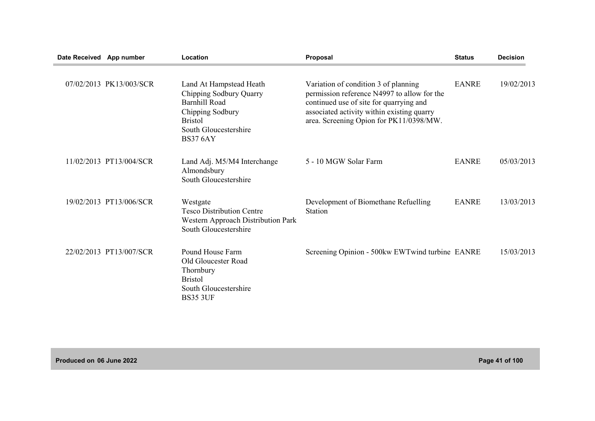| Date Received App number |                         | Location                                                                                                                                                     | Proposal                                                                                                                                                                                                                | <b>Status</b> | <b>Decision</b> |
|--------------------------|-------------------------|--------------------------------------------------------------------------------------------------------------------------------------------------------------|-------------------------------------------------------------------------------------------------------------------------------------------------------------------------------------------------------------------------|---------------|-----------------|
|                          | 07/02/2013 PK13/003/SCR | Land At Hampstead Heath<br>Chipping Sodbury Quarry<br><b>Barnhill Road</b><br>Chipping Sodbury<br><b>Bristol</b><br>South Gloucestershire<br><b>BS37 6AY</b> | Variation of condition 3 of planning<br>permission reference N4997 to allow for the<br>continued use of site for quarrying and<br>associated activity within existing quarry<br>area. Screening Opion for PK11/0398/MW. | <b>EANRE</b>  | 19/02/2013      |
|                          | 11/02/2013 PT13/004/SCR | Land Adj. M5/M4 Interchange<br>Almondsbury<br>South Gloucestershire                                                                                          | 5 - 10 MGW Solar Farm                                                                                                                                                                                                   | <b>EANRE</b>  | 05/03/2013      |
|                          | 19/02/2013 PT13/006/SCR | Westgate<br><b>Tesco Distribution Centre</b><br>Western Approach Distribution Park<br>South Gloucestershire                                                  | Development of Biomethane Refuelling<br><b>Station</b>                                                                                                                                                                  | <b>EANRE</b>  | 13/03/2013      |
|                          | 22/02/2013 PT13/007/SCR | Pound House Farm<br>Old Gloucester Road<br>Thornbury<br><b>Bristol</b><br>South Gloucestershire<br><b>BS35 3UF</b>                                           | Screening Opinion - 500kw EWTwind turbine EANRE                                                                                                                                                                         |               | 15/03/2013      |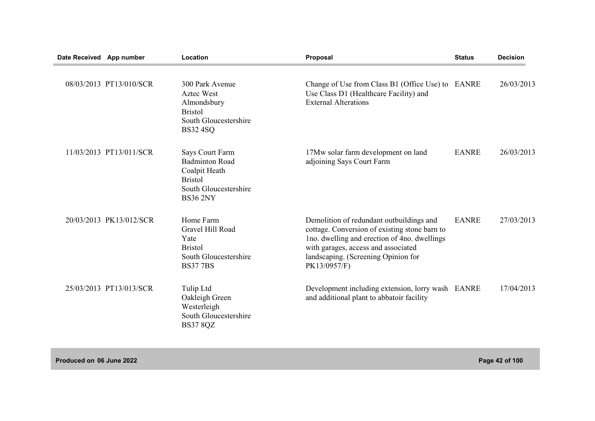| Date Received App number |                         | Location                                                                                                                | <b>Proposal</b>                                                                                                                                                                                                                         | <b>Status</b> | <b>Decision</b> |
|--------------------------|-------------------------|-------------------------------------------------------------------------------------------------------------------------|-----------------------------------------------------------------------------------------------------------------------------------------------------------------------------------------------------------------------------------------|---------------|-----------------|
|                          | 08/03/2013 PT13/010/SCR | 300 Park Avenue<br><b>Aztec West</b><br>Almondsbury<br><b>Bristol</b><br>South Gloucestershire<br><b>BS32 4SQ</b>       | Change of Use from Class B1 (Office Use) to EANRE<br>Use Class D1 (Healthcare Facility) and<br><b>External Alterations</b>                                                                                                              |               | 26/03/2013      |
|                          | 11/03/2013 PT13/011/SCR | Says Court Farm<br><b>Badminton Road</b><br>Coalpit Heath<br><b>Bristol</b><br>South Gloucestershire<br><b>BS36 2NY</b> | 17Mw solar farm development on land<br>adjoining Says Court Farm                                                                                                                                                                        | <b>EANRE</b>  | 26/03/2013      |
|                          | 20/03/2013 PK13/012/SCR | Home Farm<br>Gravel Hill Road<br>Yate<br><b>Bristol</b><br>South Gloucestershire<br><b>BS377BS</b>                      | Demolition of redundant outbuildings and<br>cottage. Conversion of existing stone barn to<br>Ino. dwelling and erection of 4no. dwellings<br>with garages, access and associated<br>landscaping. (Screening Opinion for<br>PK13/0957/F) | <b>EANRE</b>  | 27/03/2013      |
|                          | 25/03/2013 PT13/013/SCR | Tulip Ltd<br>Oakleigh Green<br>Westerleigh<br>South Gloucestershire<br><b>BS37 8QZ</b>                                  | Development including extension, lorry wash EANRE<br>and additional plant to abbatoir facility                                                                                                                                          |               | 17/04/2013      |

**Produced on 06 June 2022 Page 42 of 100**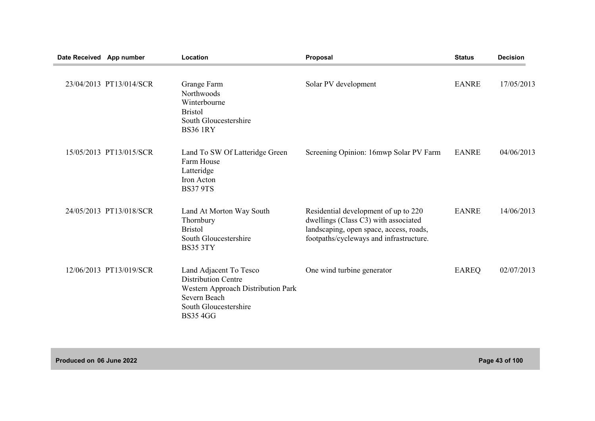| Date Received App number |                         | Location                                                                                                                                               | Proposal                                                                                                                                                           | <b>Status</b> | <b>Decision</b> |
|--------------------------|-------------------------|--------------------------------------------------------------------------------------------------------------------------------------------------------|--------------------------------------------------------------------------------------------------------------------------------------------------------------------|---------------|-----------------|
|                          | 23/04/2013 PT13/014/SCR | Grange Farm<br>Northwoods<br>Winterbourne<br><b>Bristol</b><br>South Gloucestershire<br><b>BS36 1RY</b>                                                | Solar PV development                                                                                                                                               | <b>EANRE</b>  | 17/05/2013      |
|                          | 15/05/2013 PT13/015/SCR | Land To SW Of Latteridge Green<br>Farm House<br>Latteridge<br>Iron Acton<br><b>BS37 9TS</b>                                                            | Screening Opinion: 16mwp Solar PV Farm                                                                                                                             | <b>EANRE</b>  | 04/06/2013      |
|                          | 24/05/2013 PT13/018/SCR | Land At Morton Way South<br>Thornbury<br><b>Bristol</b><br>South Gloucestershire<br><b>BS35 3TY</b>                                                    | Residential development of up to 220<br>dwellings (Class C3) with associated<br>landscaping, open space, access, roads,<br>footpaths/cycleways and infrastructure. | <b>EANRE</b>  | 14/06/2013      |
|                          | 12/06/2013 PT13/019/SCR | Land Adjacent To Tesco<br><b>Distribution Centre</b><br>Western Approach Distribution Park<br>Severn Beach<br>South Gloucestershire<br><b>BS35 4GG</b> | One wind turbine generator                                                                                                                                         | EAREQ         | 02/07/2013      |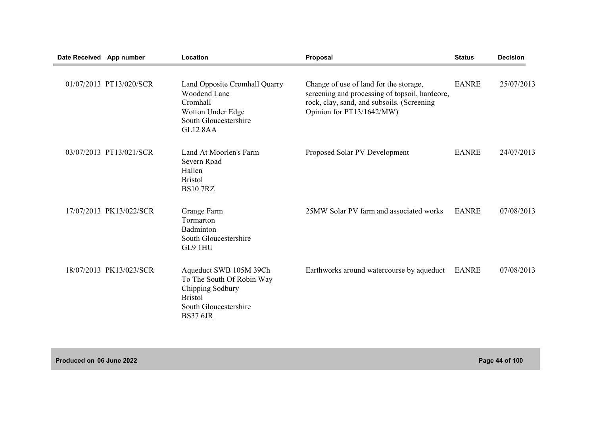| Date Received App number |                         | Location                                                                                                                              | Proposal                                                                                                                                                            | <b>Status</b> | <b>Decision</b> |
|--------------------------|-------------------------|---------------------------------------------------------------------------------------------------------------------------------------|---------------------------------------------------------------------------------------------------------------------------------------------------------------------|---------------|-----------------|
|                          | 01/07/2013 PT13/020/SCR | Land Opposite Cromhall Quarry<br><b>Woodend Lane</b><br>Cromhall<br>Wotton Under Edge<br>South Gloucestershire<br><b>GL12 8AA</b>     | Change of use of land for the storage,<br>screening and processing of topsoil, hardcore,<br>rock, clay, sand, and subsoils. (Screening<br>Opinion for PT13/1642/MW) | <b>EANRE</b>  | 25/07/2013      |
|                          | 03/07/2013 PT13/021/SCR | Land At Moorlen's Farm<br>Severn Road<br>Hallen<br><b>Bristol</b><br><b>BS10 7RZ</b>                                                  | Proposed Solar PV Development                                                                                                                                       | <b>EANRE</b>  | 24/07/2013      |
|                          | 17/07/2013 PK13/022/SCR | Grange Farm<br>Tormarton<br>Badminton<br>South Gloucestershire<br>GL9 1HU                                                             | 25MW Solar PV farm and associated works                                                                                                                             | <b>EANRE</b>  | 07/08/2013      |
|                          | 18/07/2013 PK13/023/SCR | Aqueduct SWB 105M 39Ch<br>To The South Of Robin Way<br>Chipping Sodbury<br><b>Bristol</b><br>South Gloucestershire<br><b>BS37 6JR</b> | Earthworks around watercourse by aqueduct                                                                                                                           | <b>EANRE</b>  | 07/08/2013      |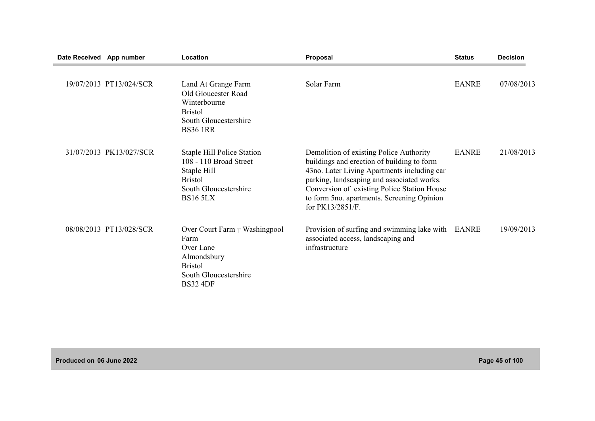| Date Received App number |                         | Location                                                                                                                                 | <b>Proposal</b>                                                                                                                                                                                                                                                                                     | <b>Status</b> | <b>Decision</b> |
|--------------------------|-------------------------|------------------------------------------------------------------------------------------------------------------------------------------|-----------------------------------------------------------------------------------------------------------------------------------------------------------------------------------------------------------------------------------------------------------------------------------------------------|---------------|-----------------|
|                          | 19/07/2013 PT13/024/SCR | Land At Grange Farm<br>Old Gloucester Road<br>Winterbourne<br><b>Bristol</b><br>South Gloucestershire<br><b>BS36 1RR</b>                 | Solar Farm                                                                                                                                                                                                                                                                                          | <b>EANRE</b>  | 07/08/2013      |
|                          | 31/07/2013 PK13/027/SCR | <b>Staple Hill Police Station</b><br>108 - 110 Broad Street<br>Staple Hill<br><b>Bristol</b><br>South Gloucestershire<br><b>BS16 5LX</b> | Demolition of existing Police Authority<br>buildings and erection of building to form<br>43no. Later Living Apartments including car<br>parking, landscaping and associated works.<br>Conversion of existing Police Station House<br>to form 5no. apartments. Screening Opinion<br>for PK13/2851/F. | <b>EANRE</b>  | 21/08/2013      |
|                          | 08/08/2013 PT13/028/SCR | Over Court Farm $\top$ Washingpool<br>Farm<br>Over Lane<br>Almondsbury<br><b>Bristol</b><br>South Gloucestershire<br><b>BS32 4DF</b>     | Provision of surfing and swimming lake with EANRE<br>associated access, landscaping and<br>infrastructure                                                                                                                                                                                           |               | 19/09/2013      |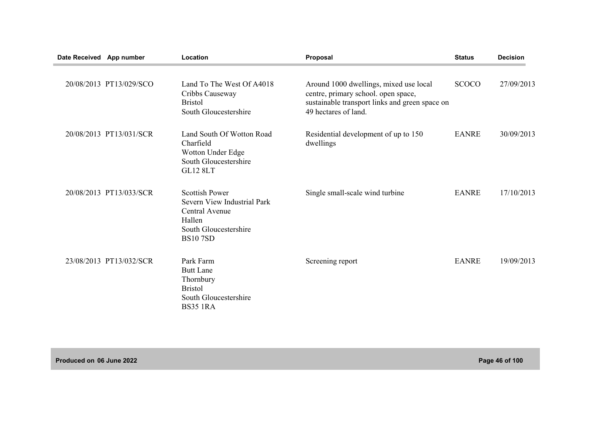| Date Received App number |                         | Location                                                                                                                    | Proposal                                                                                                                                                | <b>Status</b> | <b>Decision</b> |
|--------------------------|-------------------------|-----------------------------------------------------------------------------------------------------------------------------|---------------------------------------------------------------------------------------------------------------------------------------------------------|---------------|-----------------|
|                          | 20/08/2013 PT13/029/SCO | Land To The West Of A4018<br>Cribbs Causeway<br><b>Bristol</b><br>South Gloucestershire                                     | Around 1000 dwellings, mixed use local<br>centre, primary school. open space,<br>sustainable transport links and green space on<br>49 hectares of land. | <b>SCOCO</b>  | 27/09/2013      |
|                          | 20/08/2013 PT13/031/SCR | Land South Of Wotton Road<br>Charfield<br>Wotton Under Edge<br>South Gloucestershire<br><b>GL12 8LT</b>                     | Residential development of up to 150<br>dwellings                                                                                                       | <b>EANRE</b>  | 30/09/2013      |
|                          | 20/08/2013 PT13/033/SCR | <b>Scottish Power</b><br>Severn View Industrial Park<br>Central Avenue<br>Hallen<br>South Gloucestershire<br><b>BS107SD</b> | Single small-scale wind turbine                                                                                                                         | <b>EANRE</b>  | 17/10/2013      |
|                          | 23/08/2013 PT13/032/SCR | Park Farm<br><b>Butt Lane</b><br>Thornbury<br><b>Bristol</b><br>South Gloucestershire<br><b>BS35 1RA</b>                    | Screening report                                                                                                                                        | <b>EANRE</b>  | 19/09/2013      |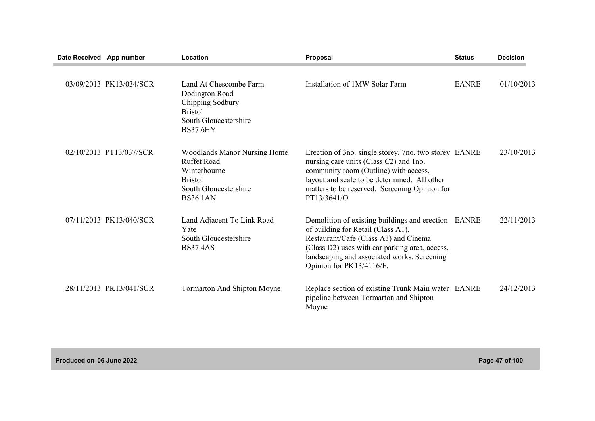| Date Received App number |                         | Location                                                                                                                                | <b>Proposal</b>                                                                                                                                                                                                                                                 | <b>Status</b> | <b>Decision</b> |
|--------------------------|-------------------------|-----------------------------------------------------------------------------------------------------------------------------------------|-----------------------------------------------------------------------------------------------------------------------------------------------------------------------------------------------------------------------------------------------------------------|---------------|-----------------|
|                          | 03/09/2013 PK13/034/SCR | Land At Chescombe Farm<br>Dodington Road<br>Chipping Sodbury<br><b>Bristol</b><br>South Gloucestershire<br><b>BS37 6HY</b>              | Installation of 1MW Solar Farm                                                                                                                                                                                                                                  | <b>EANRE</b>  | 01/10/2013      |
|                          | 02/10/2013 PT13/037/SCR | <b>Woodlands Manor Nursing Home</b><br><b>Ruffet Road</b><br>Winterbourne<br><b>Bristol</b><br>South Gloucestershire<br><b>BS36 1AN</b> | Erection of 3no. single storey, 7no. two storey EANRE<br>nursing care units (Class C2) and 1no.<br>community room (Outline) with access,<br>layout and scale to be determined. All other<br>matters to be reserved. Screening Opinion for<br>PT13/3641/O        |               | 23/10/2013      |
|                          | 07/11/2013 PK13/040/SCR | Land Adjacent To Link Road<br>Yate<br>South Gloucestershire<br><b>BS374AS</b>                                                           | Demolition of existing buildings and erection EANRE<br>of building for Retail (Class A1),<br>Restaurant/Cafe (Class A3) and Cinema<br>(Class D2) uses with car parking area, access,<br>landscaping and associated works. Screening<br>Opinion for PK13/4116/F. |               | 22/11/2013      |
|                          | 28/11/2013 PK13/041/SCR | <b>Tormarton And Shipton Moyne</b>                                                                                                      | Replace section of existing Trunk Main water EANRE<br>pipeline between Tormarton and Shipton<br>Moyne                                                                                                                                                           |               | 24/12/2013      |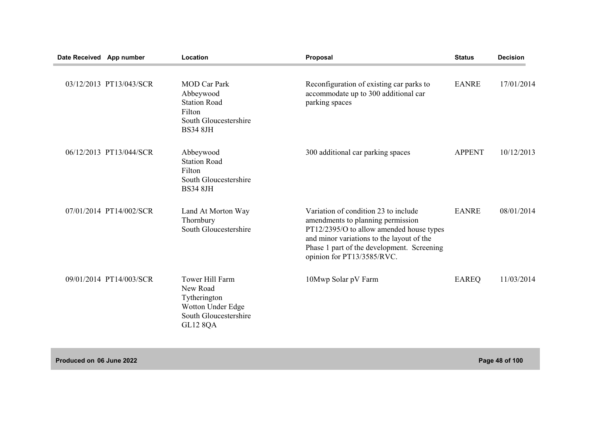| Date Received App number |                         | Location                                                                                                      | Proposal                                                                                                                                                                                                                                       | <b>Status</b> | <b>Decision</b> |
|--------------------------|-------------------------|---------------------------------------------------------------------------------------------------------------|------------------------------------------------------------------------------------------------------------------------------------------------------------------------------------------------------------------------------------------------|---------------|-----------------|
|                          | 03/12/2013 PT13/043/SCR | <b>MOD Car Park</b><br>Abbeywood<br><b>Station Road</b><br>Filton<br>South Gloucestershire<br><b>BS34 8JH</b> | Reconfiguration of existing car parks to<br>accommodate up to 300 additional car<br>parking spaces                                                                                                                                             | <b>EANRE</b>  | 17/01/2014      |
|                          | 06/12/2013 PT13/044/SCR | Abbeywood<br><b>Station Road</b><br>Filton<br>South Gloucestershire<br><b>BS34 8JH</b>                        | 300 additional car parking spaces                                                                                                                                                                                                              | <b>APPENT</b> | 10/12/2013      |
|                          | 07/01/2014 PT14/002/SCR | Land At Morton Way<br>Thornbury<br>South Gloucestershire                                                      | Variation of condition 23 to include<br>amendments to planning permission<br>PT12/2395/O to allow amended house types<br>and minor variations to the layout of the<br>Phase 1 part of the development. Screening<br>opinion for PT13/3585/RVC. | <b>EANRE</b>  | 08/01/2014      |
|                          | 09/01/2014 PT14/003/SCR | <b>Tower Hill Farm</b><br>New Road<br>Tytherington<br>Wotton Under Edge<br>South Gloucestershire<br>GL12 8QA  | 10Mwp Solar pV Farm                                                                                                                                                                                                                            | <b>EAREQ</b>  | 11/03/2014      |

**Produced on 06 June 2022 Page 48 of 100**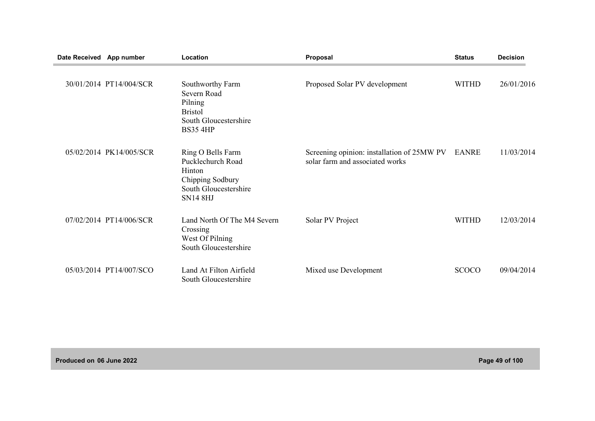| Date Received App number |                         | Location                                                                                                         | Proposal                                                                      | <b>Status</b> | <b>Decision</b> |
|--------------------------|-------------------------|------------------------------------------------------------------------------------------------------------------|-------------------------------------------------------------------------------|---------------|-----------------|
|                          | 30/01/2014 PT14/004/SCR | Southworthy Farm<br>Severn Road<br>Pilning<br><b>Bristol</b><br>South Gloucestershire<br><b>BS35 4HP</b>         | Proposed Solar PV development                                                 | <b>WITHD</b>  | 26/01/2016      |
|                          | 05/02/2014 PK14/005/SCR | Ring O Bells Farm<br>Pucklechurch Road<br>Hinton<br>Chipping Sodbury<br>South Gloucestershire<br><b>SN14 8HJ</b> | Screening opinion: installation of 25MW PV<br>solar farm and associated works | EANRE         | 11/03/2014      |
|                          | 07/02/2014 PT14/006/SCR | Land North Of The M4 Severn<br>Crossing<br>West Of Pilning<br>South Gloucestershire                              | Solar PV Project                                                              | <b>WITHD</b>  | 12/03/2014      |
|                          | 05/03/2014 PT14/007/SCO | Land At Filton Airfield<br>South Gloucestershire                                                                 | Mixed use Development                                                         | <b>SCOCO</b>  | 09/04/2014      |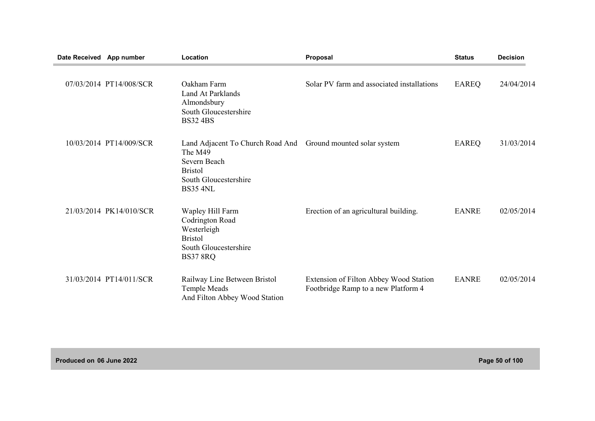| Date Received App number |                         | Location                                                                                                                  | Proposal                                                                      | <b>Status</b> | <b>Decision</b> |
|--------------------------|-------------------------|---------------------------------------------------------------------------------------------------------------------------|-------------------------------------------------------------------------------|---------------|-----------------|
|                          | 07/03/2014 PT14/008/SCR | Oakham Farm<br><b>Land At Parklands</b><br>Almondsbury<br>South Gloucestershire<br><b>BS32 4BS</b>                        | Solar PV farm and associated installations                                    | EAREQ         | 24/04/2014      |
|                          | 10/03/2014 PT14/009/SCR | Land Adjacent To Church Road And<br>The M49<br>Severn Beach<br><b>Bristol</b><br>South Gloucestershire<br><b>BS35 4NL</b> | Ground mounted solar system                                                   | <b>EAREQ</b>  | 31/03/2014      |
|                          | 21/03/2014 PK14/010/SCR | Wapley Hill Farm<br>Codrington Road<br>Westerleigh<br><b>Bristol</b><br>South Gloucestershire<br><b>BS37 8RQ</b>          | Erection of an agricultural building.                                         | <b>EANRE</b>  | 02/05/2014      |
|                          | 31/03/2014 PT14/011/SCR | Railway Line Between Bristol<br>Temple Meads<br>And Filton Abbey Wood Station                                             | Extension of Filton Abbey Wood Station<br>Footbridge Ramp to a new Platform 4 | <b>EANRE</b>  | 02/05/2014      |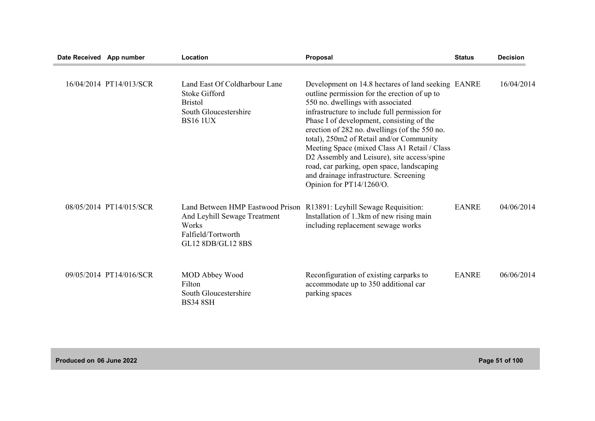| Date Received App number |                         | Location                                                                                                             | Proposal                                                                                                                                                                                                                                                                                                                                                                                                                                                                                                                                              | <b>Status</b> | <b>Decision</b> |
|--------------------------|-------------------------|----------------------------------------------------------------------------------------------------------------------|-------------------------------------------------------------------------------------------------------------------------------------------------------------------------------------------------------------------------------------------------------------------------------------------------------------------------------------------------------------------------------------------------------------------------------------------------------------------------------------------------------------------------------------------------------|---------------|-----------------|
|                          | 16/04/2014 PT14/013/SCR | Land East Of Coldharbour Lane<br><b>Stoke Gifford</b><br><b>Bristol</b><br>South Gloucestershire<br><b>BS16 1UX</b>  | Development on 14.8 hectares of land seeking EANRE<br>outline permission for the erection of up to<br>550 no. dwellings with associated<br>infrastructure to include full permission for<br>Phase I of development, consisting of the<br>erection of 282 no. dwellings (of the 550 no.<br>total), 250m2 of Retail and/or Community<br>Meeting Space (mixed Class A1 Retail / Class<br>D2 Assembly and Leisure), site access/spine<br>road, car parking, open space, landscaping<br>and drainage infrastructure. Screening<br>Opinion for PT14/1260/O. |               | 16/04/2014      |
|                          | 08/05/2014 PT14/015/SCR | Land Between HMP Eastwood Prison<br>And Leyhill Sewage Treatment<br>Works<br>Falfield/Tortworth<br>GL12 8DB/GL12 8BS | R13891: Leyhill Sewage Requisition:<br>Installation of 1.3km of new rising main<br>including replacement sewage works                                                                                                                                                                                                                                                                                                                                                                                                                                 | <b>EANRE</b>  | 04/06/2014      |
|                          | 09/05/2014 PT14/016/SCR | MOD Abbey Wood<br>Filton<br>South Gloucestershire<br><b>BS34 8SH</b>                                                 | Reconfiguration of existing carparks to<br>accommodate up to 350 additional car<br>parking spaces                                                                                                                                                                                                                                                                                                                                                                                                                                                     | <b>EANRE</b>  | 06/06/2014      |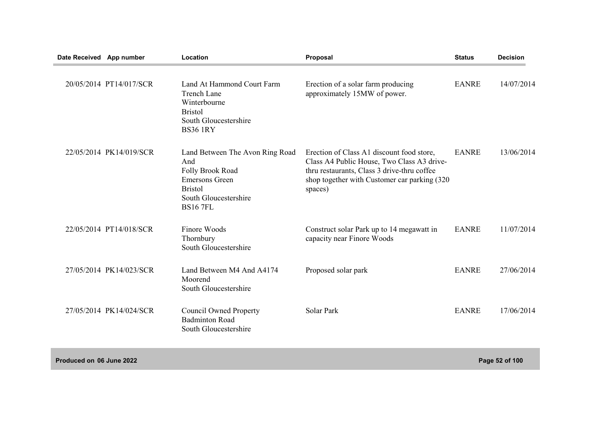| Date Received App number |                         | Location                                                                                                                                          | Proposal                                                                                                                                                                                           | <b>Status</b> | <b>Decision</b> |
|--------------------------|-------------------------|---------------------------------------------------------------------------------------------------------------------------------------------------|----------------------------------------------------------------------------------------------------------------------------------------------------------------------------------------------------|---------------|-----------------|
|                          | 20/05/2014 PT14/017/SCR | Land At Hammond Court Farm<br><b>Trench Lane</b><br>Winterbourne<br><b>Bristol</b><br>South Gloucestershire<br><b>BS36 1RY</b>                    | Erection of a solar farm producing<br>approximately 15MW of power.                                                                                                                                 | <b>EANRE</b>  | 14/07/2014      |
|                          | 22/05/2014 PK14/019/SCR | Land Between The Avon Ring Road<br>And<br>Folly Brook Road<br><b>Emersons Green</b><br><b>Bristol</b><br>South Gloucestershire<br><b>BS16 7FL</b> | Erection of Class A1 discount food store,<br>Class A4 Public House, Two Class A3 drive-<br>thru restaurants, Class 3 drive-thru coffee<br>shop together with Customer car parking (320)<br>spaces) | <b>EANRE</b>  | 13/06/2014      |
|                          | 22/05/2014 PT14/018/SCR | Finore Woods<br>Thornbury<br>South Gloucestershire                                                                                                | Construct solar Park up to 14 megawatt in<br>capacity near Finore Woods                                                                                                                            | <b>EANRE</b>  | 11/07/2014      |
|                          | 27/05/2014 PK14/023/SCR | Land Between M4 And A4174<br>Moorend<br>South Gloucestershire                                                                                     | Proposed solar park                                                                                                                                                                                | <b>EANRE</b>  | 27/06/2014      |
|                          | 27/05/2014 PK14/024/SCR | <b>Council Owned Property</b><br><b>Badminton Road</b><br>South Gloucestershire                                                                   | Solar Park                                                                                                                                                                                         | <b>EANRE</b>  | 17/06/2014      |
|                          |                         |                                                                                                                                                   |                                                                                                                                                                                                    |               |                 |

**Produced on 06 June 2022 Page 52 of 100**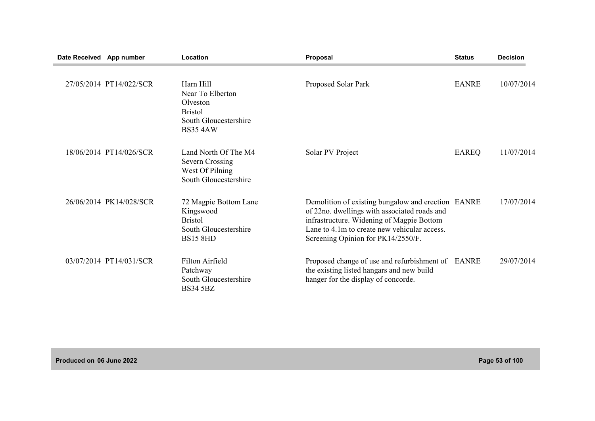| Date Received App number |                         | Location                                                                                                | Proposal                                                                                                                                                                                                                              | <b>Status</b> | <b>Decision</b> |
|--------------------------|-------------------------|---------------------------------------------------------------------------------------------------------|---------------------------------------------------------------------------------------------------------------------------------------------------------------------------------------------------------------------------------------|---------------|-----------------|
|                          | 27/05/2014 PT14/022/SCR | Harn Hill<br>Near To Elberton<br>Olveston<br><b>Bristol</b><br>South Gloucestershire<br><b>BS35 4AW</b> | Proposed Solar Park                                                                                                                                                                                                                   | <b>EANRE</b>  | 10/07/2014      |
|                          | 18/06/2014 PT14/026/SCR | Land North Of The M4<br><b>Severn Crossing</b><br>West Of Pilning<br>South Gloucestershire              | Solar PV Project                                                                                                                                                                                                                      | EAREQ         | 11/07/2014      |
|                          | 26/06/2014 PK14/028/SCR | 72 Magpie Bottom Lane<br>Kingswood<br><b>Bristol</b><br>South Gloucestershire<br><b>BS15 8HD</b>        | Demolition of existing bungalow and erection EANRE<br>of 22no. dwellings with associated roads and<br>infrastructure. Widening of Magpie Bottom<br>Lane to 4.1m to create new vehicular access.<br>Screening Opinion for PK14/2550/F. |               | 17/07/2014      |
|                          | 03/07/2014 PT14/031/SCR | Filton Airfield<br>Patchway<br>South Gloucestershire<br><b>BS34 5BZ</b>                                 | Proposed change of use and refurbishment of EANRE<br>the existing listed hangars and new build<br>hanger for the display of concorde.                                                                                                 |               | 29/07/2014      |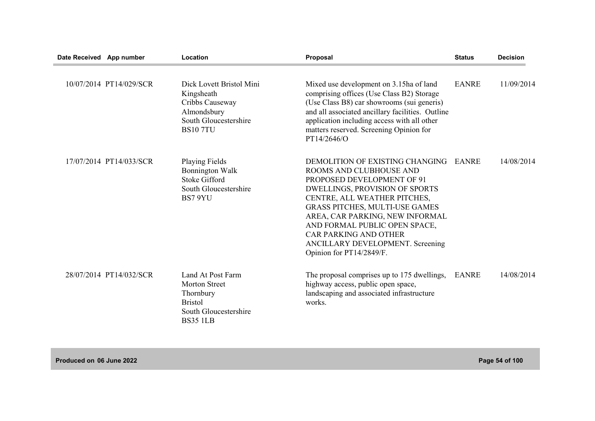| Date Received App number |                         | Location                                                                                                            | Proposal                                                                                                                                                                                                                                                                                                                                                                | <b>Status</b> | <b>Decision</b> |
|--------------------------|-------------------------|---------------------------------------------------------------------------------------------------------------------|-------------------------------------------------------------------------------------------------------------------------------------------------------------------------------------------------------------------------------------------------------------------------------------------------------------------------------------------------------------------------|---------------|-----------------|
|                          | 10/07/2014 PT14/029/SCR | Dick Lovett Bristol Mini<br>Kingsheath<br>Cribbs Causeway<br>Almondsbury<br>South Gloucestershire<br><b>BS107TU</b> | Mixed use development on 3.15ha of land<br>comprising offices (Use Class B2) Storage<br>(Use Class B8) car showrooms (sui generis)<br>and all associated ancillary facilities. Outline<br>application including access with all other<br>matters reserved. Screening Opinion for<br>PT14/2646/O                                                                         | <b>EANRE</b>  | 11/09/2014      |
|                          | 17/07/2014 PT14/033/SCR | <b>Playing Fields</b><br><b>Bonnington Walk</b><br><b>Stoke Gifford</b><br>South Gloucestershire<br>BS7 9YU         | DEMOLITION OF EXISTING CHANGING<br>ROOMS AND CLUBHOUSE AND<br>PROPOSED DEVELOPMENT OF 91<br><b>DWELLINGS, PROVISION OF SPORTS</b><br>CENTRE, ALL WEATHER PITCHES,<br>GRASS PITCHES, MULTI-USE GAMES<br>AREA, CAR PARKING, NEW INFORMAL<br>AND FORMAL PUBLIC OPEN SPACE,<br><b>CAR PARKING AND OTHER</b><br>ANCILLARY DEVELOPMENT. Screening<br>Opinion for PT14/2849/F. | EANRE         | 14/08/2014      |
|                          | 28/07/2014 PT14/032/SCR | Land At Post Farm<br>Morton Street<br>Thornbury<br><b>Bristol</b><br>South Gloucestershire<br><b>BS35 1LB</b>       | The proposal comprises up to 175 dwellings,<br>highway access, public open space,<br>landscaping and associated infrastructure<br>works.                                                                                                                                                                                                                                | <b>EANRE</b>  | 14/08/2014      |

**Produced on 06 June 2022 Page 54 of 100**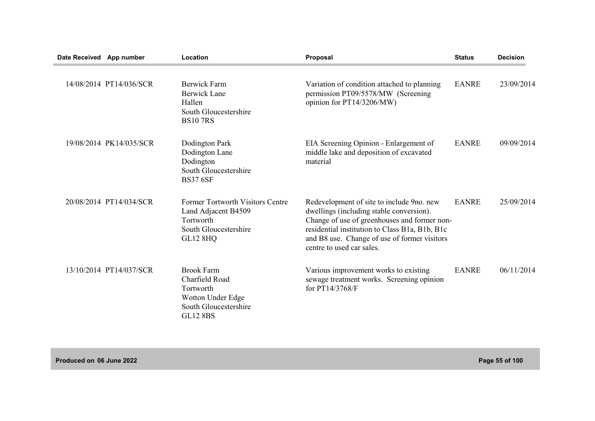| Date Received App number |                         | Location                                                                                                                | Proposal                                                                                                                                                                                                                                                             | <b>Status</b> | <b>Decision</b> |
|--------------------------|-------------------------|-------------------------------------------------------------------------------------------------------------------------|----------------------------------------------------------------------------------------------------------------------------------------------------------------------------------------------------------------------------------------------------------------------|---------------|-----------------|
|                          | 14/08/2014 PT14/036/SCR | Berwick Farm<br>Berwick Lane<br>Hallen<br>South Gloucestershire<br><b>BS107RS</b>                                       | Variation of condition attached to planning<br>permission PT09/5578/MW (Screening<br>opinion for PT14/3206/MW)                                                                                                                                                       | <b>EANRE</b>  | 23/09/2014      |
|                          | 19/08/2014 PK14/035/SCR | Dodington Park<br>Dodington Lane<br>Dodington<br>South Gloucestershire<br><b>BS37 6SF</b>                               | EIA Screening Opinion - Enlargement of<br>middle lake and deposition of excavated<br>material                                                                                                                                                                        | <b>EANRE</b>  | 09/09/2014      |
|                          | 20/08/2014 PT14/034/SCR | <b>Former Tortworth Visitors Centre</b><br>Land Adjacent B4509<br>Tortworth<br>South Gloucestershire<br><b>GL12 8HQ</b> | Redevelopment of site to include 9no. new<br>dwellings (including stable conversion).<br>Change of use of greenhouses and former non-<br>residential institution to Class B1a, B1b, B1c<br>and B8 use. Change of use of former visitors<br>centre to used car sales. | <b>EANRE</b>  | 25/09/2014      |
|                          | 13/10/2014 PT14/037/SCR | <b>Brook Farm</b><br>Charfield Road<br>Tortworth<br>Wotton Under Edge<br>South Gloucestershire<br><b>GL12 8BS</b>       | Various improvement works to existing<br>sewage treatment works. Screening opinion<br>for PT14/3768/F                                                                                                                                                                | <b>EANRE</b>  | 06/11/2014      |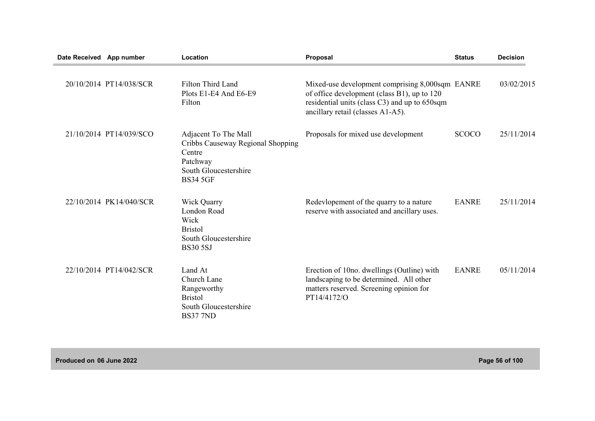| Date Received App number |                         | Location                                                                                                                    | Proposal                                                                                                                                                                             | <b>Status</b> | <b>Decision</b> |
|--------------------------|-------------------------|-----------------------------------------------------------------------------------------------------------------------------|--------------------------------------------------------------------------------------------------------------------------------------------------------------------------------------|---------------|-----------------|
|                          | 20/10/2014 PT14/038/SCR | Filton Third Land<br>Plots E1-E4 And E6-E9<br>Filton                                                                        | Mixed-use development comprising 8,000sqm EANRE<br>of office development (class B1), up to 120<br>residential units (class C3) and up to 650sqm<br>ancillary retail (classes A1-A5). |               | 03/02/2015      |
|                          | 21/10/2014 PT14/039/SCO | Adjacent To The Mall<br>Cribbs Causeway Regional Shopping<br>Centre<br>Patchway<br>South Gloucestershire<br><b>BS34 5GF</b> | Proposals for mixed use development                                                                                                                                                  | <b>SCOCO</b>  | 25/11/2014      |
|                          | 22/10/2014 PK14/040/SCR | <b>Wick Quarry</b><br>London Road<br>Wick<br><b>Bristol</b><br>South Gloucestershire<br><b>BS30 5SJ</b>                     | Redevlopement of the quarry to a nature<br>reserve with associated and ancillary uses.                                                                                               | <b>EANRE</b>  | 25/11/2014      |
|                          | 22/10/2014 PT14/042/SCR | Land At<br>Church Lane<br>Rangeworthy<br><b>Bristol</b><br>South Gloucestershire<br><b>BS37 7ND</b>                         | Erection of 10no. dwellings (Outline) with<br>landscaping to be determined. All other<br>matters reserved. Screening opinion for<br>PT14/4172/O                                      | <b>EANRE</b>  | 05/11/2014      |

**Produced on 06 June 2022 Page 56 of 100**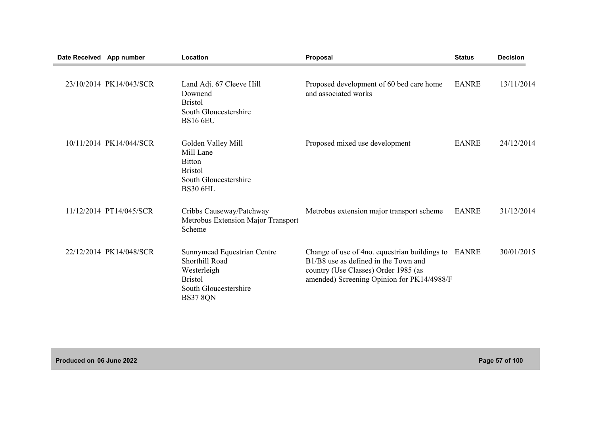| Date Received App number |                         | Location                                                                                                                   | <b>Proposal</b>                                                                                                                                                             | <b>Status</b> | <b>Decision</b> |
|--------------------------|-------------------------|----------------------------------------------------------------------------------------------------------------------------|-----------------------------------------------------------------------------------------------------------------------------------------------------------------------------|---------------|-----------------|
|                          | 23/10/2014 PK14/043/SCR | Land Adj. 67 Cleeve Hill<br>Downend<br><b>Bristol</b><br>South Gloucestershire<br><b>BS16 6EU</b>                          | Proposed development of 60 bed care home<br>and associated works                                                                                                            | <b>EANRE</b>  | 13/11/2014      |
|                          | 10/11/2014 PK14/044/SCR | Golden Valley Mill<br>Mill Lane<br><b>Bitton</b><br><b>Bristol</b><br>South Gloucestershire<br><b>BS30 6HL</b>             | Proposed mixed use development                                                                                                                                              | <b>EANRE</b>  | 24/12/2014      |
|                          | 11/12/2014 PT14/045/SCR | Cribbs Causeway/Patchway<br>Metrobus Extension Major Transport<br>Scheme                                                   | Metrobus extension major transport scheme                                                                                                                                   | <b>EANRE</b>  | 31/12/2014      |
|                          | 22/12/2014 PK14/048/SCR | Sunnymead Equestrian Centre<br>Shorthill Road<br>Westerleigh<br><b>Bristol</b><br>South Gloucestershire<br><b>BS37 8QN</b> | Change of use of 4no. equestrian buildings to<br>B1/B8 use as defined in the Town and<br>country (Use Classes) Order 1985 (as<br>amended) Screening Opinion for PK14/4988/F | EANRE         | 30/01/2015      |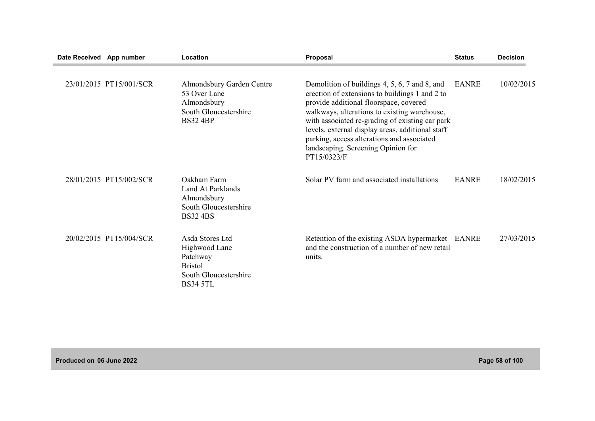| Date Received App number |                         | Location                                                                                                   | Proposal                                                                                                                                                                                                                                                                                                                                                                                            | <b>Status</b> | <b>Decision</b> |
|--------------------------|-------------------------|------------------------------------------------------------------------------------------------------------|-----------------------------------------------------------------------------------------------------------------------------------------------------------------------------------------------------------------------------------------------------------------------------------------------------------------------------------------------------------------------------------------------------|---------------|-----------------|
|                          | 23/01/2015 PT15/001/SCR | Almondsbury Garden Centre<br>53 Over Lane<br>Almondsbury<br>South Gloucestershire<br><b>BS32 4BP</b>       | Demolition of buildings 4, 5, 6, 7 and 8, and<br>erection of extensions to buildings 1 and 2 to<br>provide additional floorspace, covered<br>walkways, alterations to existing warehouse,<br>with associated re-grading of existing car park<br>levels, external display areas, additional staff<br>parking, access alterations and associated<br>landscaping. Screening Opinion for<br>PT15/0323/F | <b>EANRE</b>  | 10/02/2015      |
|                          | 28/01/2015 PT15/002/SCR | Oakham Farm<br>Land At Parklands<br>Almondsbury<br>South Gloucestershire<br><b>BS32 4BS</b>                | Solar PV farm and associated installations                                                                                                                                                                                                                                                                                                                                                          | <b>EANRE</b>  | 18/02/2015      |
|                          | 20/02/2015 PT15/004/SCR | Asda Stores Ltd<br>Highwood Lane<br>Patchway<br><b>Bristol</b><br>South Gloucestershire<br><b>BS34 5TL</b> | Retention of the existing ASDA hypermarket EANRE<br>and the construction of a number of new retail<br>units.                                                                                                                                                                                                                                                                                        |               | 27/03/2015      |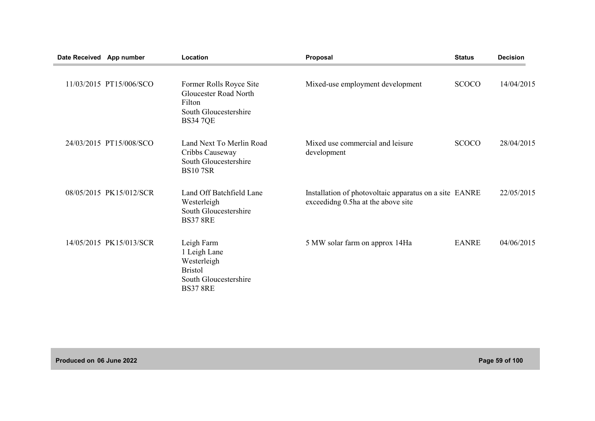| Date Received App number |                         | Location                                                                                                      | Proposal                                                                                     | <b>Status</b> | <b>Decision</b> |
|--------------------------|-------------------------|---------------------------------------------------------------------------------------------------------------|----------------------------------------------------------------------------------------------|---------------|-----------------|
|                          | 11/03/2015 PT15/006/SCO | Former Rolls Royce Site<br><b>Gloucester Road North</b><br>Filton<br>South Gloucestershire<br><b>BS34 7QE</b> | Mixed-use employment development                                                             | <b>SCOCO</b>  | 14/04/2015      |
|                          | 24/03/2015 PT15/008/SCO | Land Next To Merlin Road<br>Cribbs Causeway<br>South Gloucestershire<br><b>BS107SR</b>                        | Mixed use commercial and leisure<br>development                                              | <b>SCOCO</b>  | 28/04/2015      |
|                          | 08/05/2015 PK15/012/SCR | Land Off Batchfield Lane<br>Westerleigh<br>South Gloucestershire<br><b>BS37 8RE</b>                           | Installation of photovoltaic apparatus on a site EANRE<br>exceedidng 0.5ha at the above site |               | 22/05/2015      |
|                          | 14/05/2015 PK15/013/SCR | Leigh Farm<br>1 Leigh Lane<br>Westerleigh<br><b>Bristol</b><br>South Gloucestershire<br><b>BS37 8RE</b>       | 5 MW solar farm on approx 14Ha                                                               | <b>EANRE</b>  | 04/06/2015      |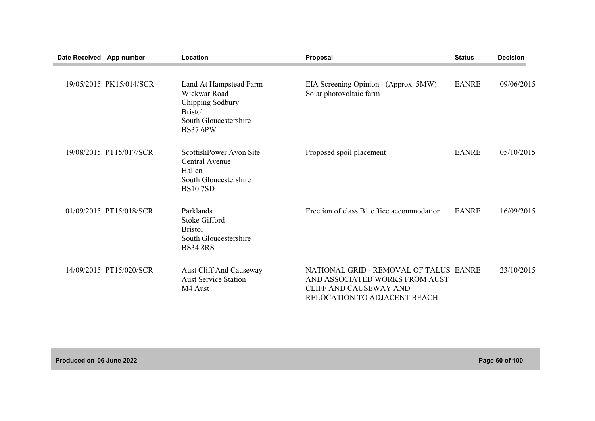| Date Received App number |                         | Location                                                                                                                 | Proposal                                                                                                                                  | <b>Status</b> | <b>Decision</b> |
|--------------------------|-------------------------|--------------------------------------------------------------------------------------------------------------------------|-------------------------------------------------------------------------------------------------------------------------------------------|---------------|-----------------|
|                          | 19/05/2015 PK15/014/SCR | Land At Hampstead Farm<br>Wickwar Road<br>Chipping Sodbury<br><b>Bristol</b><br>South Gloucestershire<br><b>BS37 6PW</b> | EIA Screening Opinion - (Approx. 5MW)<br>Solar photovoltaic farm                                                                          | <b>EANRE</b>  | 09/06/2015      |
|                          | 19/08/2015 PT15/017/SCR | ScottishPower Avon Site<br>Central Avenue<br>Hallen<br>South Gloucestershire<br><b>BS107SD</b>                           | Proposed spoil placement                                                                                                                  | <b>EANRE</b>  | 05/10/2015      |
|                          | 01/09/2015 PT15/018/SCR | Parklands<br><b>Stoke Gifford</b><br><b>Bristol</b><br>South Gloucestershire<br><b>BS34 8RS</b>                          | Erection of class B1 office accommodation                                                                                                 | <b>EANRE</b>  | 16/09/2015      |
|                          | 14/09/2015 PT15/020/SCR | Aust Cliff And Causeway<br><b>Aust Service Station</b><br>M4 Aust                                                        | NATIONAL GRID - REMOVAL OF TALUS EANRE<br>AND ASSOCIATED WORKS FROM AUST<br><b>CLIFF AND CAUSEWAY AND</b><br>RELOCATION TO ADJACENT BEACH |               | 23/10/2015      |

**Produced on 06 June 2022 Page 60 of 100**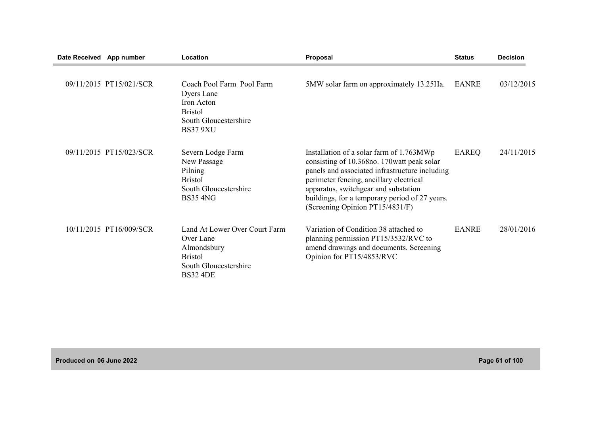| Date Received App number |                         | Location                                                                                                                | Proposal                                                                                                                                                                                                                                                                                                          | <b>Status</b> | <b>Decision</b> |
|--------------------------|-------------------------|-------------------------------------------------------------------------------------------------------------------------|-------------------------------------------------------------------------------------------------------------------------------------------------------------------------------------------------------------------------------------------------------------------------------------------------------------------|---------------|-----------------|
|                          | 09/11/2015 PT15/021/SCR | Coach Pool Farm Pool Farm<br>Dyers Lane<br>Iron Acton<br><b>Bristol</b><br>South Gloucestershire<br><b>BS37 9XU</b>     | 5MW solar farm on approximately 13.25Ha.                                                                                                                                                                                                                                                                          | <b>EANRE</b>  | 03/12/2015      |
|                          | 09/11/2015 PT15/023/SCR | Severn Lodge Farm<br>New Passage<br>Pilning<br><b>Bristol</b><br>South Gloucestershire<br><b>BS35 4NG</b>               | Installation of a solar farm of 1.763MWp<br>consisting of 10.368no. 170 watt peak solar<br>panels and associated infrastructure including<br>perimeter fencing, ancillary electrical<br>apparatus, switchgear and substation<br>buildings, for a temporary period of 27 years.<br>(Screening Opinion PT15/4831/F) | <b>EAREQ</b>  | 24/11/2015      |
|                          | 10/11/2015 PT16/009/SCR | Land At Lower Over Court Farm<br>Over Lane<br>Almondsbury<br><b>Bristol</b><br>South Gloucestershire<br><b>BS32 4DE</b> | Variation of Condition 38 attached to<br>planning permission PT15/3532/RVC to<br>amend drawings and documents. Screening<br>Opinion for PT15/4853/RVC                                                                                                                                                             | <b>EANRE</b>  | 28/01/2016      |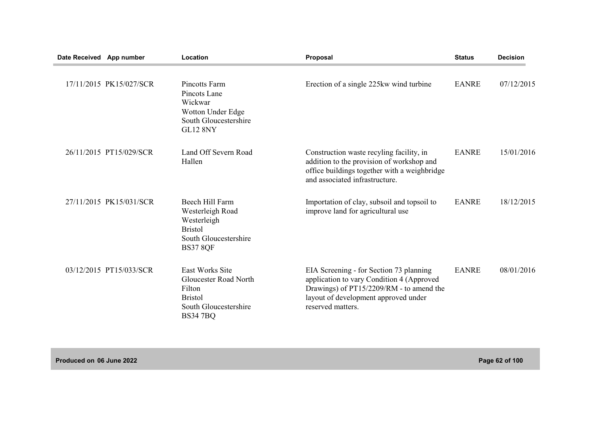| Date Received App number |                         | Location                                                                                                         | Proposal                                                                                                                                                                                      | <b>Status</b> | <b>Decision</b> |
|--------------------------|-------------------------|------------------------------------------------------------------------------------------------------------------|-----------------------------------------------------------------------------------------------------------------------------------------------------------------------------------------------|---------------|-----------------|
|                          | 17/11/2015 PK15/027/SCR | <b>Pincotts Farm</b><br>Pincots Lane<br>Wickwar<br>Wotton Under Edge<br>South Gloucestershire<br><b>GL12 8NY</b> | Erection of a single 225kw wind turbine                                                                                                                                                       | <b>EANRE</b>  | 07/12/2015      |
|                          | 26/11/2015 PT15/029/SCR | Land Off Severn Road<br>Hallen                                                                                   | Construction waste recyling facility, in<br>addition to the provision of workshop and<br>office buildings together with a weighbridge<br>and associated infrastructure.                       | <b>EANRE</b>  | 15/01/2016      |
|                          | 27/11/2015 PK15/031/SCR | Beech Hill Farm<br>Westerleigh Road<br>Westerleigh<br><b>Bristol</b><br>South Gloucestershire<br><b>BS37 8QF</b> | Importation of clay, subsoil and topsoil to<br>improve land for agricultural use                                                                                                              | <b>EANRE</b>  | 18/12/2015      |
|                          | 03/12/2015 PT15/033/SCR | East Works Site<br>Gloucester Road North<br>Filton<br><b>Bristol</b><br>South Gloucestershire<br><b>BS34 7BQ</b> | EIA Screening - for Section 73 planning<br>application to vary Condition 4 (Approved<br>Drawings) of PT15/2209/RM - to amend the<br>layout of development approved under<br>reserved matters. | <b>EANRE</b>  | 08/01/2016      |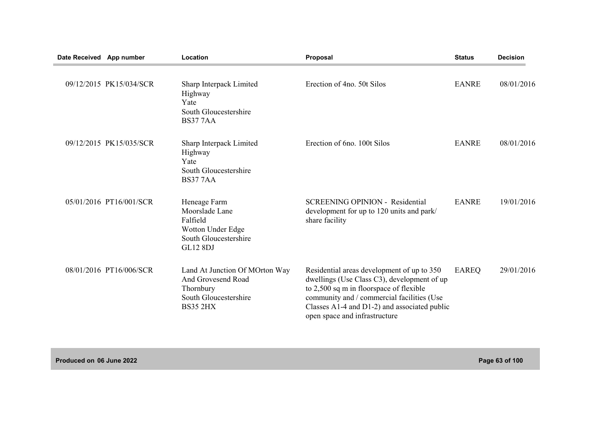| Date Received App number |                         | Location                                                                                                      | Proposal                                                                                                                                                                                                                                                                 | <b>Status</b> | <b>Decision</b> |
|--------------------------|-------------------------|---------------------------------------------------------------------------------------------------------------|--------------------------------------------------------------------------------------------------------------------------------------------------------------------------------------------------------------------------------------------------------------------------|---------------|-----------------|
|                          | 09/12/2015 PK15/034/SCR | Sharp Interpack Limited<br>Highway<br>Yate<br>South Gloucestershire<br><b>BS377AA</b>                         | Erection of 4no. 50t Silos                                                                                                                                                                                                                                               | <b>EANRE</b>  | 08/01/2016      |
|                          | 09/12/2015 PK15/035/SCR | Sharp Interpack Limited<br>Highway<br>Yate<br>South Gloucestershire<br><b>BS377AA</b>                         | Erection of 6no. 100t Silos                                                                                                                                                                                                                                              | <b>EANRE</b>  | 08/01/2016      |
|                          | 05/01/2016 PT16/001/SCR | Heneage Farm<br>Moorslade Lane<br>Falfield<br>Wotton Under Edge<br>South Gloucestershire<br><b>GL12 8DJ</b>   | <b>SCREENING OPINION - Residential</b><br>development for up to 120 units and park/<br>share facility                                                                                                                                                                    | <b>EANRE</b>  | 19/01/2016      |
|                          | 08/01/2016 PT16/006/SCR | Land At Junction Of MOrton Way<br>And Grovesend Road<br>Thornbury<br>South Gloucestershire<br><b>BS35 2HX</b> | Residential areas development of up to 350<br>dwellings (Use Class C3), development of up<br>to 2,500 sq m in floorspace of flexible<br>community and / commercial facilities (Use<br>Classes $A1-4$ and $D1-2$ ) and associated public<br>open space and infrastructure | <b>EAREQ</b>  | 29/01/2016      |

**Produced on 06 June 2022 Page 63 of 100**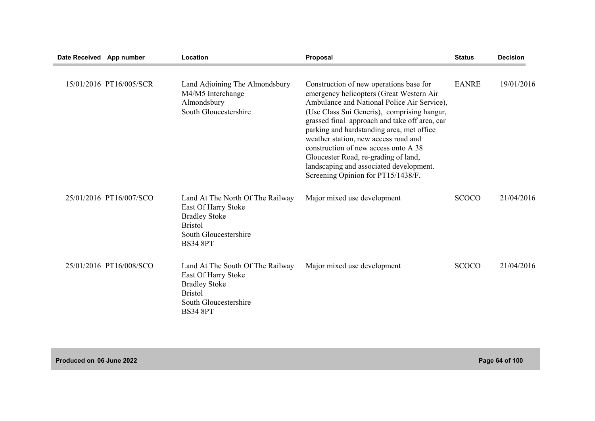| Date Received App number |                         | Location                                                                                                                                      | Proposal                                                                                                                                                                                                                                                                                                                                                                                                                                                                                 | <b>Status</b> | <b>Decision</b> |
|--------------------------|-------------------------|-----------------------------------------------------------------------------------------------------------------------------------------------|------------------------------------------------------------------------------------------------------------------------------------------------------------------------------------------------------------------------------------------------------------------------------------------------------------------------------------------------------------------------------------------------------------------------------------------------------------------------------------------|---------------|-----------------|
|                          | 15/01/2016 PT16/005/SCR | Land Adjoining The Almondsbury<br>M4/M5 Interchange<br>Almondsbury<br>South Gloucestershire                                                   | Construction of new operations base for<br>emergency helicopters (Great Western Air<br>Ambulance and National Police Air Service),<br>(Use Class Sui Generis), comprising hangar,<br>grassed final approach and take off area, car<br>parking and hardstanding area, met office<br>weather station, new access road and<br>construction of new access onto A 38<br>Gloucester Road, re-grading of land,<br>landscaping and associated development.<br>Screening Opinion for PT15/1438/F. | <b>EANRE</b>  | 19/01/2016      |
|                          | 25/01/2016 PT16/007/SCO | Land At The North Of The Railway<br>East Of Harry Stoke<br><b>Bradley Stoke</b><br><b>Bristol</b><br>South Gloucestershire<br><b>BS34 8PT</b> | Major mixed use development                                                                                                                                                                                                                                                                                                                                                                                                                                                              | <b>SCOCO</b>  | 21/04/2016      |
|                          | 25/01/2016 PT16/008/SCO | Land At The South Of The Railway<br>East Of Harry Stoke<br><b>Bradley Stoke</b><br><b>Bristol</b><br>South Gloucestershire<br><b>BS34 8PT</b> | Major mixed use development                                                                                                                                                                                                                                                                                                                                                                                                                                                              | <b>SCOCO</b>  | 21/04/2016      |

**Produced on 06 June 2022 Page 64 of 100**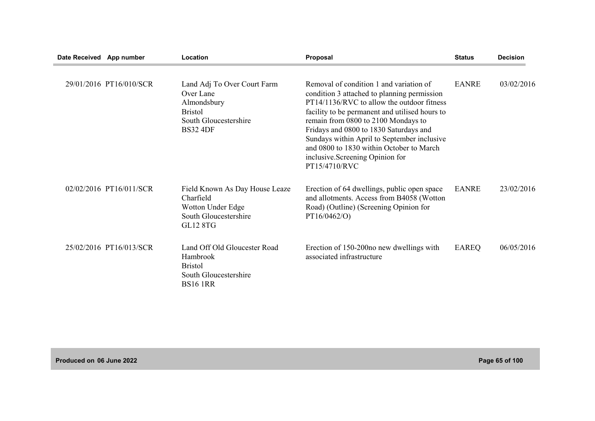| Date Received App number |                         | Location                                                                                                              | Proposal                                                                                                                                                                                                                                                                                                                                                                                                                | <b>Status</b> | <b>Decision</b> |
|--------------------------|-------------------------|-----------------------------------------------------------------------------------------------------------------------|-------------------------------------------------------------------------------------------------------------------------------------------------------------------------------------------------------------------------------------------------------------------------------------------------------------------------------------------------------------------------------------------------------------------------|---------------|-----------------|
|                          | 29/01/2016 PT16/010/SCR | Land Adj To Over Court Farm<br>Over Lane<br>Almondsbury<br><b>Bristol</b><br>South Gloucestershire<br><b>BS32 4DF</b> | Removal of condition 1 and variation of<br>condition 3 attached to planning permission<br>PT14/1136/RVC to allow the outdoor fitness<br>facility to be permanent and utilised hours to<br>remain from 0800 to 2100 Mondays to<br>Fridays and 0800 to 1830 Saturdays and<br>Sundays within April to September inclusive<br>and 0800 to 1830 within October to March<br>inclusive. Screening Opinion for<br>PT15/4710/RVC | <b>EANRE</b>  | 03/02/2016      |
|                          | 02/02/2016 PT16/011/SCR | Field Known As Day House Leaze<br>Charfield<br>Wotton Under Edge<br>South Gloucestershire<br><b>GL12 8TG</b>          | Erection of 64 dwellings, public open space<br>and allotments. Access from B4058 (Wotton<br>Road) (Outline) (Screening Opinion for<br>PT16/0462/O)                                                                                                                                                                                                                                                                      | <b>EANRE</b>  | 23/02/2016      |
|                          | 25/02/2016 PT16/013/SCR | Land Off Old Gloucester Road<br>Hambrook<br><b>Bristol</b><br>South Gloucestershire<br><b>BS16 1RR</b>                | Erection of 150-200 no new dwellings with<br>associated infrastructure                                                                                                                                                                                                                                                                                                                                                  | <b>EAREQ</b>  | 06/05/2016      |

**Produced on 06 June 2022 Page 65 of 100**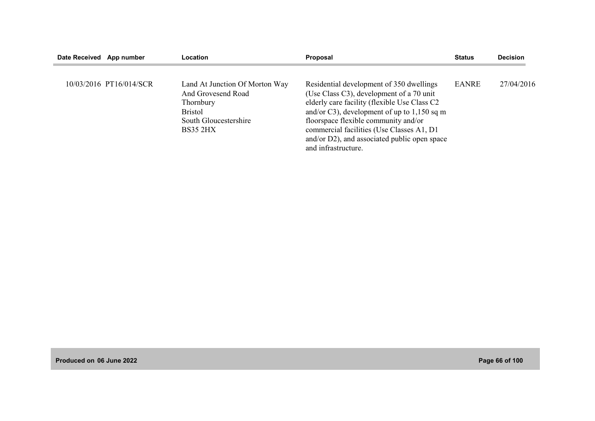| Date Received App number |                         | Location                                                                                                                        | Proposal                                                                                                                                                                                                                                                                                                                                          | <b>Status</b> | <b>Decision</b> |
|--------------------------|-------------------------|---------------------------------------------------------------------------------------------------------------------------------|---------------------------------------------------------------------------------------------------------------------------------------------------------------------------------------------------------------------------------------------------------------------------------------------------------------------------------------------------|---------------|-----------------|
|                          | 10/03/2016 PT16/014/SCR | Land At Junction Of Morton Way<br>And Grovesend Road<br>Thornbury<br><b>Bristol</b><br>South Gloucestershire<br><b>BS35 2HX</b> | Residential development of 350 dwellings<br>(Use Class C3), development of a 70 unit<br>elderly care facility (flexible Use Class C2<br>and/or C3), development of up to $1,150$ sq m<br>floorspace flexible community and/or<br>commercial facilities (Use Classes A1, D1<br>and/or D2), and associated public open space<br>and infrastructure. | <b>EANRE</b>  | 27/04/2016      |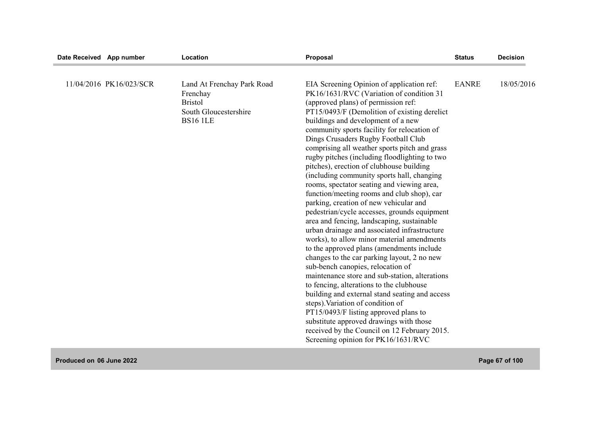| Date Received App number |                         | Location                                                                                             | Proposal                                                                                                                                                                                                                                                                                                                                                                                                                                                                                                                                                                                                                                                                                                                                                                                                                                                                                                                                                                                                                  | <b>Status</b> | <b>Decision</b> |
|--------------------------|-------------------------|------------------------------------------------------------------------------------------------------|---------------------------------------------------------------------------------------------------------------------------------------------------------------------------------------------------------------------------------------------------------------------------------------------------------------------------------------------------------------------------------------------------------------------------------------------------------------------------------------------------------------------------------------------------------------------------------------------------------------------------------------------------------------------------------------------------------------------------------------------------------------------------------------------------------------------------------------------------------------------------------------------------------------------------------------------------------------------------------------------------------------------------|---------------|-----------------|
|                          | 11/04/2016 PK16/023/SCR | Land At Frenchay Park Road<br>Frenchay<br><b>Bristol</b><br>South Gloucestershire<br><b>BS16 1LE</b> | EIA Screening Opinion of application ref:<br>PK16/1631/RVC (Variation of condition 31<br>(approved plans) of permission ref:<br>PT15/0493/F (Demolition of existing derelict<br>buildings and development of a new<br>community sports facility for relocation of<br>Dings Crusaders Rugby Football Club<br>comprising all weather sports pitch and grass<br>rugby pitches (including floodlighting to two<br>pitches), erection of clubhouse building<br>(including community sports hall, changing<br>rooms, spectator seating and viewing area,<br>function/meeting rooms and club shop), car<br>parking, creation of new vehicular and<br>pedestrian/cycle accesses, grounds equipment<br>area and fencing, landscaping, sustainable<br>urban drainage and associated infrastructure<br>works), to allow minor material amendments<br>to the approved plans (amendments include<br>changes to the car parking layout, 2 no new<br>sub-bench canopies, relocation of<br>maintenance store and sub-station, alterations | <b>EANRE</b>  | 18/05/2016      |
|                          |                         |                                                                                                      | to fencing, alterations to the clubhouse<br>building and external stand seating and access<br>steps). Variation of condition of<br>PT15/0493/F listing approved plans to<br>substitute approved drawings with those<br>received by the Council on 12 February 2015.<br>Screening opinion for PK16/1631/RVC                                                                                                                                                                                                                                                                                                                                                                                                                                                                                                                                                                                                                                                                                                                |               |                 |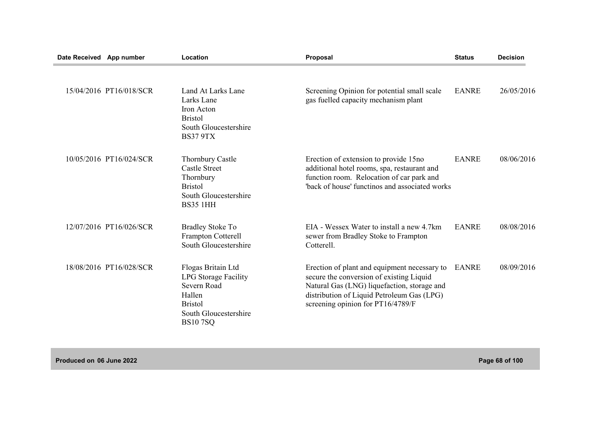| Date Received App number |                         | Location                                                                                                                         | Proposal                                                                                                                                                                                                                   | <b>Status</b> | <b>Decision</b> |
|--------------------------|-------------------------|----------------------------------------------------------------------------------------------------------------------------------|----------------------------------------------------------------------------------------------------------------------------------------------------------------------------------------------------------------------------|---------------|-----------------|
|                          | 15/04/2016 PT16/018/SCR | Land At Larks Lane<br>Larks Lane<br>Iron Acton<br><b>Bristol</b><br>South Gloucestershire<br><b>BS37 9TX</b>                     | Screening Opinion for potential small scale<br>gas fuelled capacity mechanism plant                                                                                                                                        | <b>EANRE</b>  | 26/05/2016      |
|                          | 10/05/2016 PT16/024/SCR | <b>Thornbury Castle</b><br><b>Castle Street</b><br>Thornbury<br><b>Bristol</b><br>South Gloucestershire<br><b>BS35 1HH</b>       | Erection of extension to provide 15no<br>additional hotel rooms, spa, restaurant and<br>function room. Relocation of car park and<br>"back of house' functinos and associated works                                        | <b>EANRE</b>  | 08/06/2016      |
|                          | 12/07/2016 PT16/026/SCR | <b>Bradley Stoke To</b><br>Frampton Cotterell<br>South Gloucestershire                                                           | EIA - Wessex Water to install a new 4.7km<br>sewer from Bradley Stoke to Frampton<br>Cotterell.                                                                                                                            | <b>EANRE</b>  | 08/08/2016      |
|                          | 18/08/2016 PT16/028/SCR | Flogas Britain Ltd<br>LPG Storage Facility<br>Severn Road<br>Hallen<br><b>Bristol</b><br>South Gloucestershire<br><b>BS107SQ</b> | Erection of plant and equipment necessary to<br>secure the conversion of existing Liquid<br>Natural Gas (LNG) liquefaction, storage and<br>distribution of Liquid Petroleum Gas (LPG)<br>screening opinion for PT16/4789/F | <b>EANRE</b>  | 08/09/2016      |

**Produced on 06 June 2022 Page 68 of 100**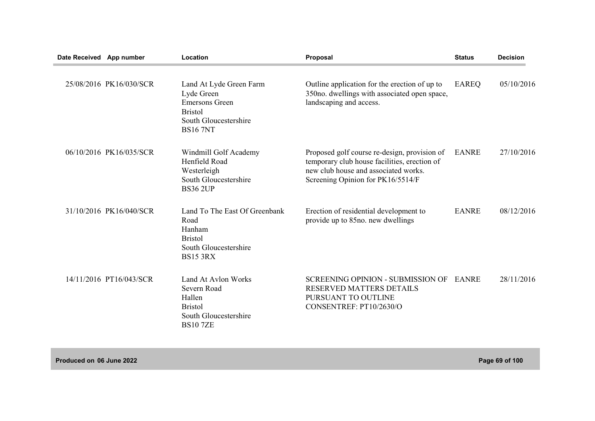| Date Received App number |                         | Location                                                                                                                     | Proposal                                                                                                                                                                  | <b>Status</b> | <b>Decision</b> |
|--------------------------|-------------------------|------------------------------------------------------------------------------------------------------------------------------|---------------------------------------------------------------------------------------------------------------------------------------------------------------------------|---------------|-----------------|
|                          | 25/08/2016 PK16/030/SCR | Land At Lyde Green Farm<br>Lyde Green<br><b>Emersons Green</b><br><b>Bristol</b><br>South Gloucestershire<br><b>BS16 7NT</b> | Outline application for the erection of up to<br>350no. dwellings with associated open space,<br>landscaping and access.                                                  | <b>EAREQ</b>  | 05/10/2016      |
|                          | 06/10/2016 PK16/035/SCR | Windmill Golf Academy<br>Henfield Road<br>Westerleigh<br>South Gloucestershire<br><b>BS36 2UP</b>                            | Proposed golf course re-design, provision of<br>temporary club house facilities, erection of<br>new club house and associated works.<br>Screening Opinion for PK16/5514/F | <b>EANRE</b>  | 27/10/2016      |
|                          | 31/10/2016 PK16/040/SCR | Land To The East Of Greenbank<br>Road<br>Hanham<br><b>Bristol</b><br>South Gloucestershire<br><b>BS15 3RX</b>                | Erection of residential development to<br>provide up to 85no. new dwellings                                                                                               | <b>EANRE</b>  | 08/12/2016      |
|                          | 14/11/2016 PT16/043/SCR | Land At Aylon Works<br>Severn Road<br>Hallen<br><b>Bristol</b><br>South Gloucestershire<br><b>BS107ZE</b>                    | <b>SCREENING OPINION - SUBMISSION OF</b><br><b>RESERVED MATTERS DETAILS</b><br>PURSUANT TO OUTLINE<br>CONSENTREF: PT10/2630/O                                             | EANRE         | 28/11/2016      |

**Produced on 06 June 2022 Page 69 of 100**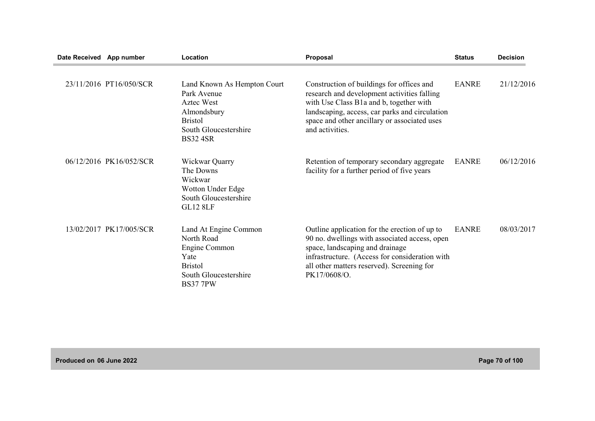| Date Received App number |                         | Location                                                                                                                              | <b>Proposal</b>                                                                                                                                                                                                                                          | <b>Status</b> | <b>Decision</b> |
|--------------------------|-------------------------|---------------------------------------------------------------------------------------------------------------------------------------|----------------------------------------------------------------------------------------------------------------------------------------------------------------------------------------------------------------------------------------------------------|---------------|-----------------|
|                          | 23/11/2016 PT16/050/SCR | Land Known As Hempton Court<br>Park Avenue<br>Aztec West<br>Almondsbury<br><b>Bristol</b><br>South Gloucestershire<br><b>BS32 4SR</b> | Construction of buildings for offices and<br>research and development activities falling<br>with Use Class B1a and b, together with<br>landscaping, access, car parks and circulation<br>space and other ancillary or associated uses<br>and activities. | <b>EANRE</b>  | 21/12/2016      |
|                          | 06/12/2016 PK16/052/SCR | Wickwar Quarry<br>The Downs<br>Wickwar<br>Wotton Under Edge<br>South Gloucestershire<br><b>GL12 8LF</b>                               | Retention of temporary secondary aggregate<br>facility for a further period of five years                                                                                                                                                                | <b>EANRE</b>  | 06/12/2016      |
|                          | 13/02/2017 PK17/005/SCR | Land At Engine Common<br>North Road<br>Engine Common<br>Yate<br><b>Bristol</b><br>South Gloucestershire<br><b>BS37 7PW</b>            | Outline application for the erection of up to<br>90 no. dwellings with associated access, open<br>space, landscaping and drainage<br>infrastructure. (Access for consideration with<br>all other matters reserved). Screening for<br>PK17/0608/O.        | <b>EANRE</b>  | 08/03/2017      |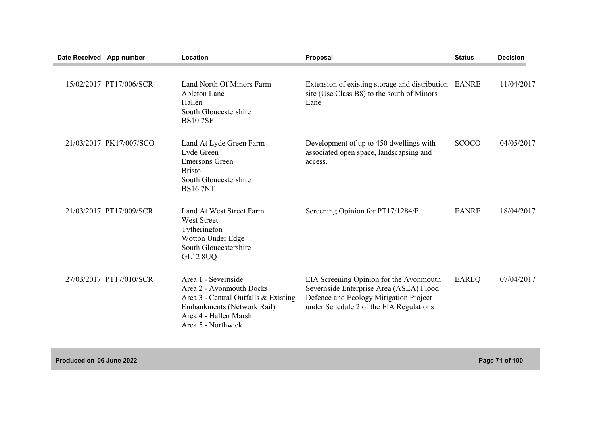| Date Received App number |                         | Location                                                                                                                                                             | <b>Proposal</b>                                                                                                                                                         | <b>Status</b> | <b>Decision</b> |
|--------------------------|-------------------------|----------------------------------------------------------------------------------------------------------------------------------------------------------------------|-------------------------------------------------------------------------------------------------------------------------------------------------------------------------|---------------|-----------------|
|                          | 15/02/2017 PT17/006/SCR | Land North Of Minors Farm<br>Ableton Lane<br>Hallen<br>South Gloucestershire<br><b>BS107SF</b>                                                                       | Extension of existing storage and distribution EANRE<br>site (Use Class B8) to the south of Minors<br>Lane                                                              |               | 11/04/2017      |
|                          | 21/03/2017 PK17/007/SCO | Land At Lyde Green Farm<br>Lyde Green<br><b>Emersons Green</b><br><b>Bristol</b><br>South Gloucestershire<br><b>BS16 7NT</b>                                         | Development of up to 450 dwellings with<br>associated open space, landscapsing and<br>access.                                                                           | <b>SCOCO</b>  | 04/05/2017      |
|                          | 21/03/2017 PT17/009/SCR | Land At West Street Farm<br><b>West Street</b><br>Tytherington<br>Wotton Under Edge<br>South Gloucestershire<br><b>GL12 8UQ</b>                                      | Screening Opinion for PT17/1284/F                                                                                                                                       | <b>EANRE</b>  | 18/04/2017      |
|                          | 27/03/2017 PT17/010/SCR | Area 1 - Severnside<br>Area 2 - Avonmouth Docks<br>Area 3 - Central Outfalls & Existing<br>Embankments (Network Rail)<br>Area 4 - Hallen Marsh<br>Area 5 - Northwick | EIA Screening Opinion for the Avonmouth<br>Severnside Enterprise Area (ASEA) Flood<br>Defence and Ecology Mitigation Project<br>under Schedule 2 of the EIA Regulations | <b>EAREQ</b>  | 07/04/2017      |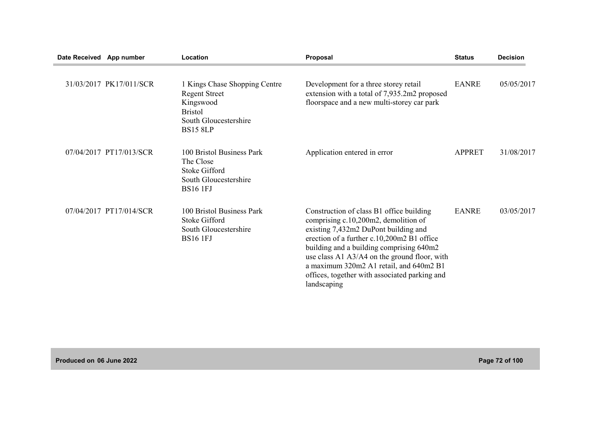| Date Received App number |                         | Location                                                                                                                         | Proposal                                                                                                                                                                                                                                                                                                                                                                      | <b>Status</b> | <b>Decision</b> |
|--------------------------|-------------------------|----------------------------------------------------------------------------------------------------------------------------------|-------------------------------------------------------------------------------------------------------------------------------------------------------------------------------------------------------------------------------------------------------------------------------------------------------------------------------------------------------------------------------|---------------|-----------------|
|                          | 31/03/2017 PK17/011/SCR | 1 Kings Chase Shopping Centre<br><b>Regent Street</b><br>Kingswood<br><b>Bristol</b><br>South Gloucestershire<br><b>BS15 8LP</b> | Development for a three storey retail<br>extension with a total of 7,935.2m2 proposed<br>floorspace and a new multi-storey car park                                                                                                                                                                                                                                           | <b>EANRE</b>  | 05/05/2017      |
|                          | 07/04/2017 PT17/013/SCR | 100 Bristol Business Park<br>The Close<br>Stoke Gifford<br>South Gloucestershire<br><b>BS16 1FJ</b>                              | Application entered in error                                                                                                                                                                                                                                                                                                                                                  | <b>APPRET</b> | 31/08/2017      |
|                          | 07/04/2017 PT17/014/SCR | 100 Bristol Business Park<br><b>Stoke Gifford</b><br>South Gloucestershire<br><b>BS16 1FJ</b>                                    | Construction of class B1 office building<br>comprising c.10,200m2, demolition of<br>existing 7,432m2 DuPont building and<br>erection of a further c.10,200m2 B1 office<br>building and a building comprising 640m2<br>use class A1 A3/A4 on the ground floor, with<br>a maximum 320m2 A1 retail, and 640m2 B1<br>offices, together with associated parking and<br>landscaping | <b>EANRE</b>  | 03/05/2017      |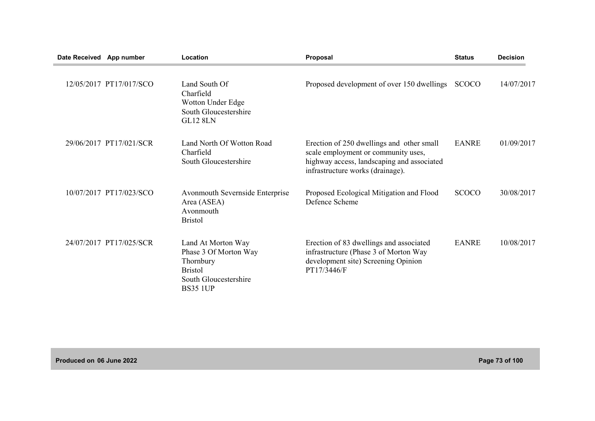| Date Received App number |                         | Location                                                                                                               | Proposal                                                                                                                                                           | <b>Status</b> | <b>Decision</b> |
|--------------------------|-------------------------|------------------------------------------------------------------------------------------------------------------------|--------------------------------------------------------------------------------------------------------------------------------------------------------------------|---------------|-----------------|
|                          | 12/05/2017 PT17/017/SCO | Land South Of<br>Charfield<br>Wotton Under Edge<br>South Gloucestershire<br><b>GL12 8LN</b>                            | Proposed development of over 150 dwellings                                                                                                                         | <b>SCOCO</b>  | 14/07/2017      |
|                          | 29/06/2017 PT17/021/SCR | Land North Of Wotton Road<br>Charfield<br>South Gloucestershire                                                        | Erection of 250 dwellings and other small<br>scale employment or community uses,<br>highway access, landscaping and associated<br>infrastructure works (drainage). | <b>EANRE</b>  | 01/09/2017      |
|                          | 10/07/2017 PT17/023/SCO | Avonmouth Severnside Enterprise<br>Area (ASEA)<br>Avonmouth<br><b>Bristol</b>                                          | Proposed Ecological Mitigation and Flood<br>Defence Scheme                                                                                                         | <b>SCOCO</b>  | 30/08/2017      |
|                          | 24/07/2017 PT17/025/SCR | Land At Morton Way<br>Phase 3 Of Morton Way<br>Thornbury<br><b>Bristol</b><br>South Gloucestershire<br><b>BS35 1UP</b> | Erection of 83 dwellings and associated<br>infrastructure (Phase 3 of Morton Way<br>development site) Screening Opinion<br>PT17/3446/F                             | <b>EANRE</b>  | 10/08/2017      |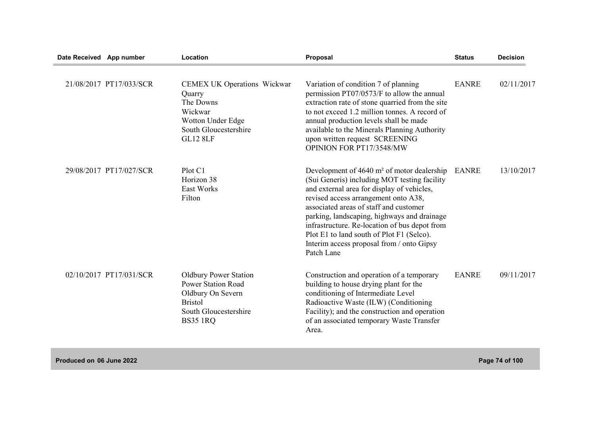| Date Received App number |                         | Location                                                                                                                                     | Proposal                                                                                                                                                                                                                                                                                                                                                                                                                                      | <b>Status</b> | <b>Decision</b> |
|--------------------------|-------------------------|----------------------------------------------------------------------------------------------------------------------------------------------|-----------------------------------------------------------------------------------------------------------------------------------------------------------------------------------------------------------------------------------------------------------------------------------------------------------------------------------------------------------------------------------------------------------------------------------------------|---------------|-----------------|
|                          | 21/08/2017 PT17/033/SCR | <b>CEMEX UK Operations Wickwar</b><br>Quarry<br>The Downs<br>Wickwar<br>Wotton Under Edge<br>South Gloucestershire<br><b>GL12 8LF</b>        | Variation of condition 7 of planning<br>permission PT07/0573/F to allow the annual<br>extraction rate of stone quarried from the site<br>to not exceed 1.2 million tonnes. A record of<br>annual production levels shall be made<br>available to the Minerals Planning Authority<br>upon written request SCREENING<br>OPINION FOR PT17/3548/MW                                                                                                | <b>EANRE</b>  | 02/11/2017      |
|                          | 29/08/2017 PT17/027/SCR | Plot C1<br>Horizon 38<br>East Works<br>Filton                                                                                                | Development of $4640 \text{ m}^2$ of motor dealership<br>(Sui Generis) including MOT testing facility<br>and external area for display of vehicles,<br>revised access arrangement onto A38,<br>associated areas of staff and customer<br>parking, landscaping, highways and drainage<br>infrastructure. Re-location of bus depot from<br>Plot E1 to land south of Plot F1 (Selco).<br>Interim access proposal from / onto Gipsy<br>Patch Lane | <b>EANRE</b>  | 13/10/2017      |
|                          | 02/10/2017 PT17/031/SCR | <b>Oldbury Power Station</b><br><b>Power Station Road</b><br>Oldbury On Severn<br><b>Bristol</b><br>South Gloucestershire<br><b>BS35 1RQ</b> | Construction and operation of a temporary<br>building to house drying plant for the<br>conditioning of Intermediate Level<br>Radioactive Waste (ILW) (Conditioning<br>Facility); and the construction and operation<br>of an associated temporary Waste Transfer<br>Area.                                                                                                                                                                     | <b>EANRE</b>  | 09/11/2017      |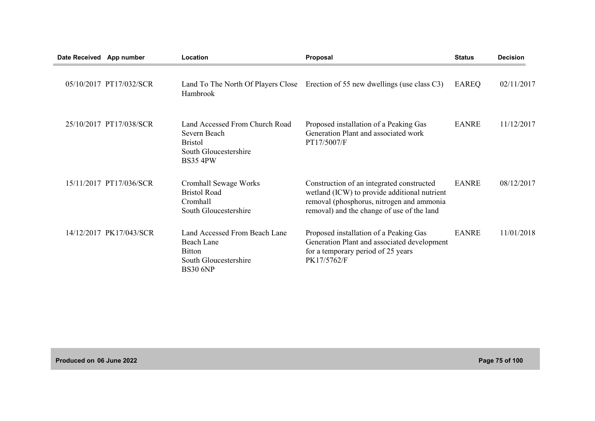| Date Received App number |                         | Location                                                                                                     | Proposal                                                                                                                                                                             | <b>Status</b> | <b>Decision</b> |
|--------------------------|-------------------------|--------------------------------------------------------------------------------------------------------------|--------------------------------------------------------------------------------------------------------------------------------------------------------------------------------------|---------------|-----------------|
|                          | 05/10/2017 PT17/032/SCR | Hambrook                                                                                                     | Land To The North Of Players Close Erection of 55 new dwellings (use class C3)                                                                                                       | EAREQ         | 02/11/2017      |
|                          | 25/10/2017 PT17/038/SCR | Land Accessed From Church Road<br>Severn Beach<br><b>Bristol</b><br>South Gloucestershire<br><b>BS35 4PW</b> | Proposed installation of a Peaking Gas<br>Generation Plant and associated work<br>PT17/5007/F                                                                                        | <b>EANRE</b>  | 11/12/2017      |
|                          | 15/11/2017 PT17/036/SCR | Cromhall Sewage Works<br><b>Bristol Road</b><br>Cromhall<br>South Gloucestershire                            | Construction of an integrated constructed<br>wetland (ICW) to provide additional nutrient<br>removal (phosphorus, nitrogen and ammonia<br>removal) and the change of use of the land | <b>EANRE</b>  | 08/12/2017      |
|                          | 14/12/2017 PK17/043/SCR | Land Accessed From Beach Lane<br>Beach Lane<br><b>Bitton</b><br>South Gloucestershire<br><b>BS30 6NP</b>     | Proposed installation of a Peaking Gas<br>Generation Plant and associated development<br>for a temporary period of 25 years<br>PK17/5762/F                                           | <b>EANRE</b>  | 11/01/2018      |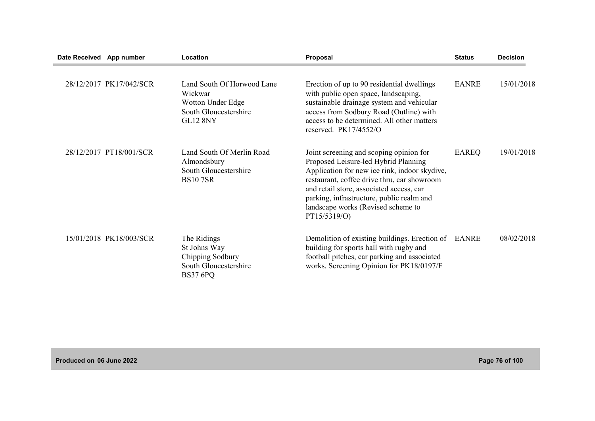| Date Received App number |                         | Location                                                                                               | Proposal                                                                                                                                                                                                                                                                                                                       | <b>Status</b> | <b>Decision</b> |
|--------------------------|-------------------------|--------------------------------------------------------------------------------------------------------|--------------------------------------------------------------------------------------------------------------------------------------------------------------------------------------------------------------------------------------------------------------------------------------------------------------------------------|---------------|-----------------|
|                          | 28/12/2017 PK17/042/SCR | Land South Of Horwood Lane<br>Wickwar<br>Wotton Under Edge<br>South Gloucestershire<br><b>GL12 8NY</b> | Erection of up to 90 residential dwellings<br>with public open space, landscaping,<br>sustainable drainage system and vehicular<br>access from Sodbury Road (Outline) with<br>access to be determined. All other matters<br>reserved. PK17/4552/O                                                                              | <b>EANRE</b>  | 15/01/2018      |
|                          | 28/12/2017 PT18/001/SCR | Land South Of Merlin Road<br>Almondsbury<br>South Gloucestershire<br><b>BS107SR</b>                    | Joint screening and scoping opinion for<br>Proposed Leisure-led Hybrid Planning<br>Application for new ice rink, indoor skydive,<br>restaurant, coffee drive thru, car showroom<br>and retail store, associated access, car<br>parking, infrastructure, public realm and<br>landscape works (Revised scheme to<br>PT15/5319/O) | <b>EAREQ</b>  | 19/01/2018      |
|                          | 15/01/2018 PK18/003/SCR | The Ridings<br>St Johns Way<br>Chipping Sodbury<br>South Gloucestershire<br><b>BS37 6PQ</b>            | Demolition of existing buildings. Erection of EANRE<br>building for sports hall with rugby and<br>football pitches, car parking and associated<br>works. Screening Opinion for PK18/0197/F                                                                                                                                     |               | 08/02/2018      |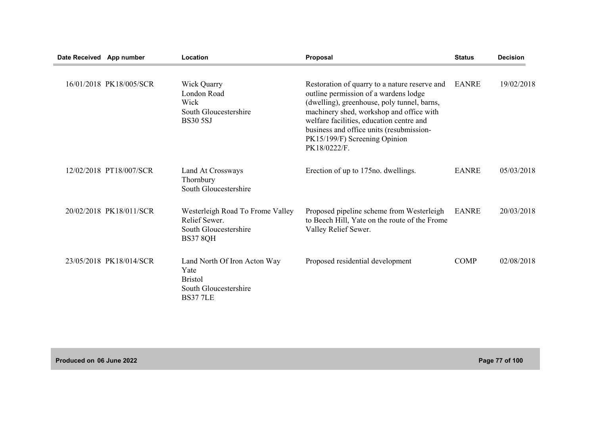| Date Received App number |                         | Location                                                                                          | Proposal                                                                                                                                                                                                                                                                                                                   | <b>Status</b> | <b>Decision</b> |
|--------------------------|-------------------------|---------------------------------------------------------------------------------------------------|----------------------------------------------------------------------------------------------------------------------------------------------------------------------------------------------------------------------------------------------------------------------------------------------------------------------------|---------------|-----------------|
|                          | 16/01/2018 PK18/005/SCR | Wick Quarry<br>London Road<br>Wick<br>South Gloucestershire<br><b>BS30 5SJ</b>                    | Restoration of quarry to a nature reserve and<br>outline permission of a wardens lodge<br>(dwelling), greenhouse, poly tunnel, barns,<br>machinery shed, workshop and office with<br>welfare facilities, education centre and<br>business and office units (resubmission-<br>PK15/199/F) Screening Opinion<br>PK18/0222/F. | EANRE         | 19/02/2018      |
|                          | 12/02/2018 PT18/007/SCR | Land At Crossways<br>Thornbury<br>South Gloucestershire                                           | Erection of up to 175 no. dwellings.                                                                                                                                                                                                                                                                                       | <b>EANRE</b>  | 05/03/2018      |
|                          | 20/02/2018 PK18/011/SCR | Westerleigh Road To Frome Valley<br>Relief Sewer.<br>South Gloucestershire<br><b>BS37 8QH</b>     | Proposed pipeline scheme from Westerleigh<br>to Beech Hill, Yate on the route of the Frome<br>Valley Relief Sewer.                                                                                                                                                                                                         | <b>EANRE</b>  | 20/03/2018      |
|                          | 23/05/2018 PK18/014/SCR | Land North Of Iron Acton Way<br>Yate<br><b>Bristol</b><br>South Gloucestershire<br><b>BS377LE</b> | Proposed residential development                                                                                                                                                                                                                                                                                           | <b>COMP</b>   | 02/08/2018      |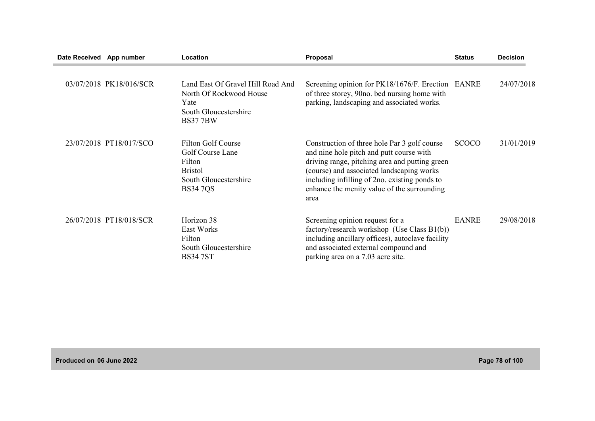| Date Received App number |                         | Location                                                                                                              | Proposal                                                                                                                                                                                                                                                                                        | <b>Status</b> | <b>Decision</b> |
|--------------------------|-------------------------|-----------------------------------------------------------------------------------------------------------------------|-------------------------------------------------------------------------------------------------------------------------------------------------------------------------------------------------------------------------------------------------------------------------------------------------|---------------|-----------------|
|                          | 03/07/2018 PK18/016/SCR | Land East Of Gravel Hill Road And<br>North Of Rockwood House<br>Yate<br>South Gloucestershire<br><b>BS377BW</b>       | Screening opinion for PK18/1676/F. Erection EANRE<br>of three storey, 90no. bed nursing home with<br>parking, landscaping and associated works.                                                                                                                                                 |               | 24/07/2018      |
|                          | 23/07/2018 PT18/017/SCO | <b>Filton Golf Course</b><br>Golf Course Lane<br>Filton<br><b>Bristol</b><br>South Gloucestershire<br><b>BS34 7QS</b> | Construction of three hole Par 3 golf course<br>and nine hole pitch and putt course with<br>driving range, pitching area and putting green<br>(course) and associated landscaping works<br>including infilling of 2no. existing ponds to<br>enhance the menity value of the surrounding<br>area | <b>SCOCO</b>  | 31/01/2019      |
|                          | 26/07/2018 PT18/018/SCR | Horizon 38<br>East Works<br>Filton<br>South Gloucestershire<br><b>BS347ST</b>                                         | Screening opinion request for a<br>factory/research workshop (Use Class $B1(b)$ )<br>including ancillary offices), autoclave facility<br>and associated external compound and<br>parking area on a 7.03 acre site.                                                                              | <b>EANRE</b>  | 29/08/2018      |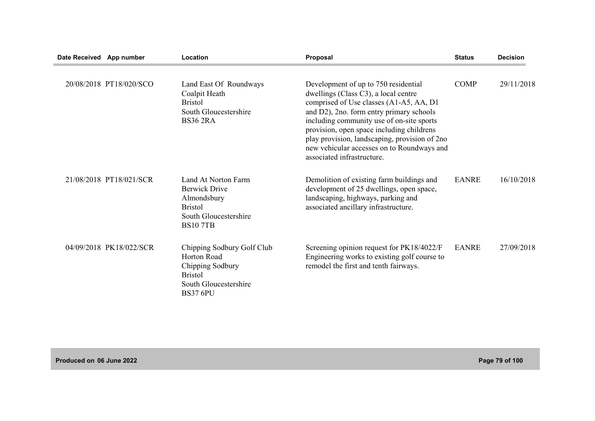| Date Received App number |                         | Location                                                                                                                    | Proposal                                                                                                                                                                                                                                                                                                                                                                                   | <b>Status</b> | <b>Decision</b> |
|--------------------------|-------------------------|-----------------------------------------------------------------------------------------------------------------------------|--------------------------------------------------------------------------------------------------------------------------------------------------------------------------------------------------------------------------------------------------------------------------------------------------------------------------------------------------------------------------------------------|---------------|-----------------|
|                          | 20/08/2018 PT18/020/SCO | Land East Of Roundways<br>Coalpit Heath<br><b>Bristol</b><br>South Gloucestershire<br><b>BS36 2RA</b>                       | Development of up to 750 residential<br>dwellings (Class C3), a local centre<br>comprised of Use classes (A1-A5, AA, D1<br>and D2), 2no. form entry primary schools<br>including community use of on-site sports<br>provision, open space including childrens<br>play provision, landscaping, provision of 2no<br>new vehicular accesses on to Roundways and<br>associated infrastructure. | <b>COMP</b>   | 29/11/2018      |
|                          | 21/08/2018 PT18/021/SCR | Land At Norton Farm<br><b>Berwick Drive</b><br>Almondsbury<br><b>Bristol</b><br>South Gloucestershire<br><b>BS107TB</b>     | Demolition of existing farm buildings and<br>development of 25 dwellings, open space,<br>landscaping, highways, parking and<br>associated ancillary infrastructure.                                                                                                                                                                                                                        | <b>EANRE</b>  | 16/10/2018      |
|                          | 04/09/2018 PK18/022/SCR | Chipping Sodbury Golf Club<br>Horton Road<br>Chipping Sodbury<br><b>Bristol</b><br>South Gloucestershire<br><b>BS37 6PU</b> | Screening opinion request for PK18/4022/F<br>Engineering works to existing golf course to<br>remodel the first and tenth fairways.                                                                                                                                                                                                                                                         | <b>EANRE</b>  | 27/09/2018      |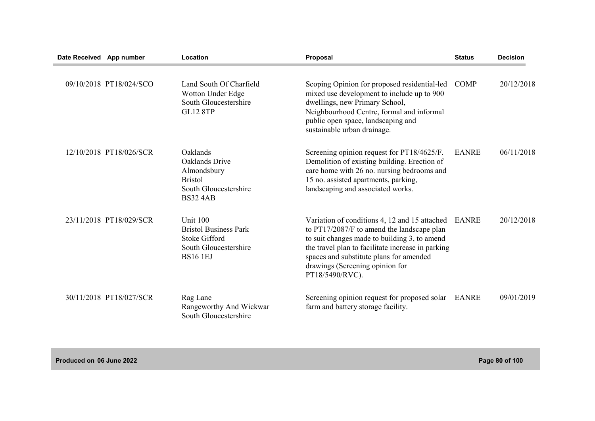| Date Received App number |                         | Location                                                                                                     | Proposal                                                                                                                                                                                                                                                                                          | <b>Status</b> | <b>Decision</b> |
|--------------------------|-------------------------|--------------------------------------------------------------------------------------------------------------|---------------------------------------------------------------------------------------------------------------------------------------------------------------------------------------------------------------------------------------------------------------------------------------------------|---------------|-----------------|
|                          | 09/10/2018 PT18/024/SCO | Land South Of Charfield<br>Wotton Under Edge<br>South Gloucestershire<br><b>GL12 8TP</b>                     | Scoping Opinion for proposed residential-led<br>mixed use development to include up to 900<br>dwellings, new Primary School,<br>Neighbourhood Centre, formal and informal<br>public open space, landscaping and<br>sustainable urban drainage.                                                    | <b>COMP</b>   | 20/12/2018      |
|                          | 12/10/2018 PT18/026/SCR | Oaklands<br>Oaklands Drive<br>Almondsbury<br><b>Bristol</b><br>South Gloucestershire<br><b>BS32 4AB</b>      | Screening opinion request for PT18/4625/F.<br>Demolition of existing building. Erection of<br>care home with 26 no. nursing bedrooms and<br>15 no. assisted apartments, parking,<br>landscaping and associated works.                                                                             | <b>EANRE</b>  | 06/11/2018      |
|                          | 23/11/2018 PT18/029/SCR | Unit 100<br><b>Bristol Business Park</b><br><b>Stoke Gifford</b><br>South Gloucestershire<br><b>BS16 1EJ</b> | Variation of conditions 4, 12 and 15 attached<br>to PT17/2087/F to amend the landscape plan<br>to suit changes made to building 3, to amend<br>the travel plan to facilitate increase in parking<br>spaces and substitute plans for amended<br>drawings (Screening opinion for<br>PT18/5490/RVC). | <b>EANRE</b>  | 20/12/2018      |
|                          | 30/11/2018 PT18/027/SCR | Rag Lane<br>Rangeworthy And Wickwar<br>South Gloucestershire                                                 | Screening opinion request for proposed solar<br>farm and battery storage facility.                                                                                                                                                                                                                | <b>EANRE</b>  | 09/01/2019      |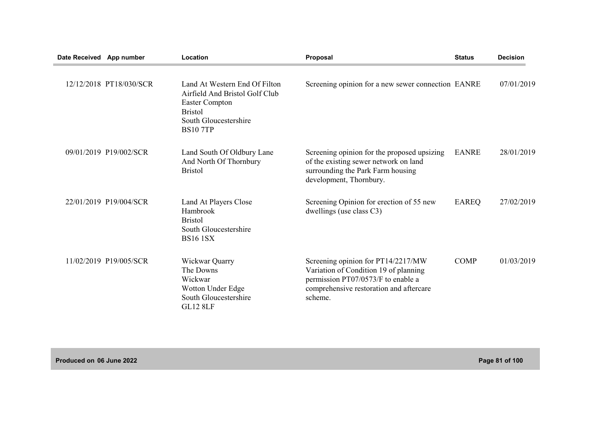| Date Received App number |                         | Location                                                                                                                                               | Proposal                                                                                                                                                                | <b>Status</b> | <b>Decision</b> |
|--------------------------|-------------------------|--------------------------------------------------------------------------------------------------------------------------------------------------------|-------------------------------------------------------------------------------------------------------------------------------------------------------------------------|---------------|-----------------|
|                          | 12/12/2018 PT18/030/SCR | Land At Western End Of Filton<br>Airfield And Bristol Golf Club<br><b>Easter Compton</b><br><b>Bristol</b><br>South Gloucestershire<br><b>BS10 7TP</b> | Screening opinion for a new sewer connection EANRE                                                                                                                      |               | 07/01/2019      |
|                          | 09/01/2019 P19/002/SCR  | Land South Of Oldbury Lane<br>And North Of Thornbury<br><b>Bristol</b>                                                                                 | Screening opinion for the proposed upsizing<br>of the existing sewer network on land<br>surrounding the Park Farm housing<br>development, Thornbury.                    | <b>EANRE</b>  | 28/01/2019      |
|                          | 22/01/2019 P19/004/SCR  | Land At Players Close<br>Hambrook<br><b>Bristol</b><br>South Gloucestershire<br><b>BS16 1SX</b>                                                        | Screening Opinion for erection of 55 new<br>dwellings (use class C3)                                                                                                    | <b>EAREQ</b>  | 27/02/2019      |
|                          | 11/02/2019 P19/005/SCR  | Wickwar Quarry<br>The Downs<br>Wickwar<br>Wotton Under Edge<br>South Gloucestershire<br><b>GL12 8LF</b>                                                | Screening opinion for PT14/2217/MW<br>Variation of Condition 19 of planning<br>permission PT07/0573/F to enable a<br>comprehensive restoration and aftercare<br>scheme. | <b>COMP</b>   | 01/03/2019      |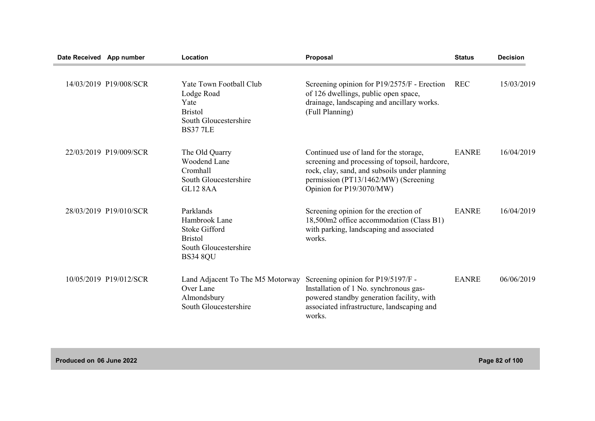| Date Received App number |                        | Location                                                                                                         | Proposal                                                                                                                                                                                                      | <b>Status</b> | <b>Decision</b> |
|--------------------------|------------------------|------------------------------------------------------------------------------------------------------------------|---------------------------------------------------------------------------------------------------------------------------------------------------------------------------------------------------------------|---------------|-----------------|
|                          | 14/03/2019 P19/008/SCR | Yate Town Football Club<br>Lodge Road<br>Yate<br><b>Bristol</b><br>South Gloucestershire<br><b>BS377LE</b>       | Screening opinion for P19/2575/F - Erection<br>of 126 dwellings, public open space,<br>drainage, landscaping and ancillary works.<br>(Full Planning)                                                          | <b>REC</b>    | 15/03/2019      |
|                          | 22/03/2019 P19/009/SCR | The Old Quarry<br><b>Woodend Lane</b><br>Cromhall<br>South Gloucestershire<br><b>GL12 8AA</b>                    | Continued use of land for the storage,<br>screening and processing of topsoil, hardcore,<br>rock, clay, sand, and subsoils under planning<br>permission (PT13/1462/MW) (Screening<br>Opinion for P19/3070/MW) | <b>EANRE</b>  | 16/04/2019      |
|                          | 28/03/2019 P19/010/SCR | Parklands<br>Hambrook Lane<br><b>Stoke Gifford</b><br><b>Bristol</b><br>South Gloucestershire<br><b>BS34 8QU</b> | Screening opinion for the erection of<br>18,500m2 office accommodation (Class B1)<br>with parking, landscaping and associated<br>works.                                                                       | <b>EANRE</b>  | 16/04/2019      |
|                          | 10/05/2019 P19/012/SCR | Land Adjacent To The M5 Motorway<br>Over Lane<br>Almondsbury<br>South Gloucestershire                            | Screening opinion for P19/5197/F -<br>Installation of 1 No. synchronous gas-<br>powered standby generation facility, with<br>associated infrastructure, landscaping and<br>works.                             | <b>EANRE</b>  | 06/06/2019      |

**Produced on 06 June 2022 Page 82 of 100**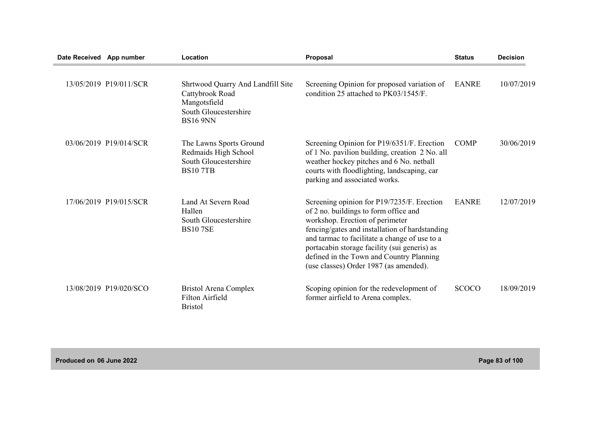| Date Received App number |                        | Location                                                                                                         | Proposal                                                                                                                                                                                                                                                                                                                                                        | <b>Status</b> | <b>Decision</b> |
|--------------------------|------------------------|------------------------------------------------------------------------------------------------------------------|-----------------------------------------------------------------------------------------------------------------------------------------------------------------------------------------------------------------------------------------------------------------------------------------------------------------------------------------------------------------|---------------|-----------------|
|                          | 13/05/2019 P19/011/SCR | Shrtwood Quarry And Landfill Site<br>Cattybrook Road<br>Mangotsfield<br>South Gloucestershire<br><b>BS16 9NN</b> | Screening Opinion for proposed variation of<br>condition 25 attached to PK03/1545/F.                                                                                                                                                                                                                                                                            | <b>EANRE</b>  | 10/07/2019      |
|                          | 03/06/2019 P19/014/SCR | The Lawns Sports Ground<br>Redmaids High School<br>South Gloucestershire<br><b>BS107TB</b>                       | Screening Opinion for P19/6351/F. Erection<br>of 1 No. pavilion building, creation 2 No. all<br>weather hockey pitches and 6 No. netball<br>courts with floodlighting, landscaping, car<br>parking and associated works.                                                                                                                                        | <b>COMP</b>   | 30/06/2019      |
|                          | 17/06/2019 P19/015/SCR | Land At Severn Road<br>Hallen<br>South Gloucestershire<br><b>BS107SE</b>                                         | Screening opinion for P19/7235/F. Erection<br>of 2 no. buildings to form office and<br>workshop. Erection of perimeter<br>fencing/gates and installation of hardstanding<br>and tarmac to facilitate a change of use to a<br>portacabin storage facility (sui generis) as<br>defined in the Town and Country Planning<br>(use classes) Order 1987 (as amended). | <b>EANRE</b>  | 12/07/2019      |
|                          | 13/08/2019 P19/020/SCO | <b>Bristol Arena Complex</b><br>Filton Airfield<br><b>Bristol</b>                                                | Scoping opinion for the redevelopment of<br>former airfield to Arena complex.                                                                                                                                                                                                                                                                                   | <b>SCOCO</b>  | 18/09/2019      |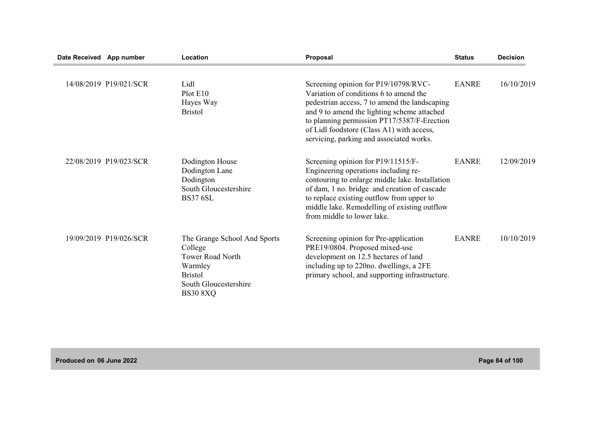| Date Received App number |                        | Location                                                                                                                                    | Proposal                                                                                                                                                                                                                                                                                                               | <b>Status</b> | <b>Decision</b> |
|--------------------------|------------------------|---------------------------------------------------------------------------------------------------------------------------------------------|------------------------------------------------------------------------------------------------------------------------------------------------------------------------------------------------------------------------------------------------------------------------------------------------------------------------|---------------|-----------------|
|                          | 14/08/2019 P19/021/SCR | Lidl<br>Plot E10<br>Hayes Way<br><b>Bristol</b>                                                                                             | Screening opinion for P19/10798/RVC-<br>Variation of conditions 6 to amend the<br>pedestrian access, 7 to amend the landscaping<br>and 9 to amend the lighting scheme attached<br>to planning permission PT17/5387/F-Erection<br>of Lidl foodstore (Class A1) with access,<br>servicing, parking and associated works. | <b>EANRE</b>  | 16/10/2019      |
|                          | 22/08/2019 P19/023/SCR | Dodington House<br>Dodington Lane<br>Dodington<br>South Gloucestershire<br><b>BS37 6SL</b>                                                  | Screening opinion for P19/11515/F-<br>Engineering operations including re-<br>contouring to enlarge middle lake. Installation<br>of dam, 1 no. bridge and creation of cascade<br>to replace existing outflow from upper to<br>middle lake. Remodelling of existing outflow<br>from middle to lower lake.               | <b>EANRE</b>  | 12/09/2019      |
|                          | 19/09/2019 P19/026/SCR | The Grange School And Sports<br>College<br><b>Tower Road North</b><br>Warmley<br><b>Bristol</b><br>South Gloucestershire<br><b>BS30 8XQ</b> | Screening opinion for Pre-application<br>PRE19/0804. Proposed mixed-use<br>development on 12.5 hectares of land<br>including up to 220no. dwellings, a 2FE<br>primary school, and supporting infrastructure.                                                                                                           | <b>EANRE</b>  | 10/10/2019      |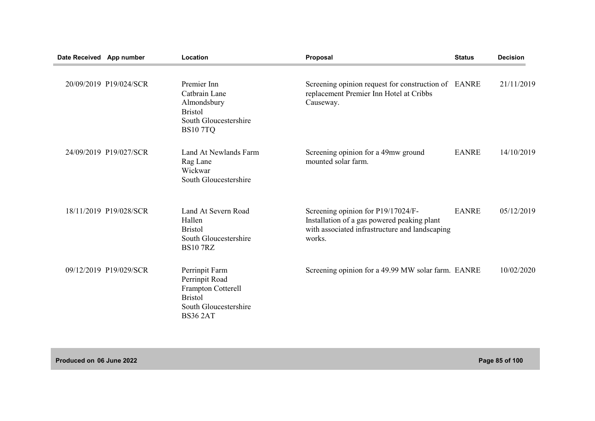| Date Received App number |                        | Location                                                                                                             | Proposal                                                                                                                                      | <b>Status</b> | <b>Decision</b> |
|--------------------------|------------------------|----------------------------------------------------------------------------------------------------------------------|-----------------------------------------------------------------------------------------------------------------------------------------------|---------------|-----------------|
|                          | 20/09/2019 P19/024/SCR | Premier Inn<br>Catbrain Lane<br>Almondsbury<br><b>Bristol</b><br>South Gloucestershire<br><b>BS107TQ</b>             | Screening opinion request for construction of EANRE<br>replacement Premier Inn Hotel at Cribbs<br>Causeway.                                   |               | 21/11/2019      |
|                          | 24/09/2019 P19/027/SCR | Land At Newlands Farm<br>Rag Lane<br>Wickwar<br>South Gloucestershire                                                | Screening opinion for a 49mw ground<br>mounted solar farm.                                                                                    | <b>EANRE</b>  | 14/10/2019      |
|                          | 18/11/2019 P19/028/SCR | Land At Severn Road<br>Hallen<br><b>Bristol</b><br>South Gloucestershire<br><b>BS10 7RZ</b>                          | Screening opinion for P19/17024/F-<br>Installation of a gas powered peaking plant<br>with associated infrastructure and landscaping<br>works. | <b>EANRE</b>  | 05/12/2019      |
|                          | 09/12/2019 P19/029/SCR | Perrinpit Farm<br>Perrinpit Road<br>Frampton Cotterell<br><b>Bristol</b><br>South Gloucestershire<br><b>BS36 2AT</b> | Screening opinion for a 49.99 MW solar farm. EANRE                                                                                            |               | 10/02/2020      |

**Produced on 06 June 2022 Page 85 of 100**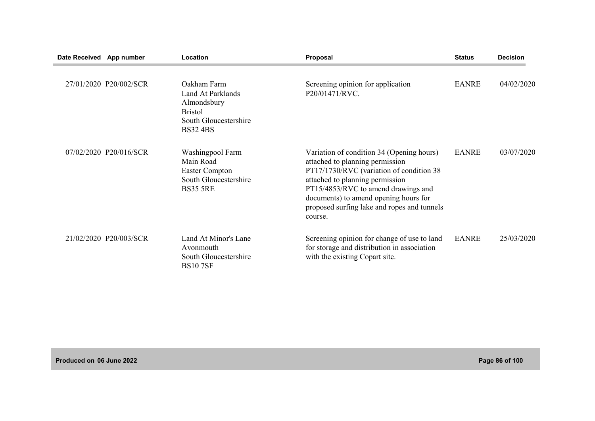| Date Received App number |                        | Location                                                                                                      | Proposal                                                                                                                                                                                                                                                                                              | <b>Status</b> | <b>Decision</b> |
|--------------------------|------------------------|---------------------------------------------------------------------------------------------------------------|-------------------------------------------------------------------------------------------------------------------------------------------------------------------------------------------------------------------------------------------------------------------------------------------------------|---------------|-----------------|
|                          | 27/01/2020 P20/002/SCR | Oakham Farm<br>Land At Parklands<br>Almondsbury<br><b>Bristol</b><br>South Gloucestershire<br><b>BS32 4BS</b> | Screening opinion for application<br>P20/01471/RVC.                                                                                                                                                                                                                                                   | <b>EANRE</b>  | 04/02/2020      |
|                          | 07/02/2020 P20/016/SCR | Washingpool Farm<br>Main Road<br><b>Easter Compton</b><br>South Gloucestershire<br><b>BS35 5RE</b>            | Variation of condition 34 (Opening hours)<br>attached to planning permission<br>PT17/1730/RVC (variation of condition 38<br>attached to planning permission<br>PT15/4853/RVC to amend drawings and<br>documents) to amend opening hours for<br>proposed surfing lake and ropes and tunnels<br>course. | <b>EANRE</b>  | 03/07/2020      |
|                          | 21/02/2020 P20/003/SCR | Land At Minor's Lane<br>Avonmouth<br>South Gloucestershire<br><b>BS107SF</b>                                  | Screening opinion for change of use to land<br>for storage and distribution in association<br>with the existing Copart site.                                                                                                                                                                          | <b>EANRE</b>  | 25/03/2020      |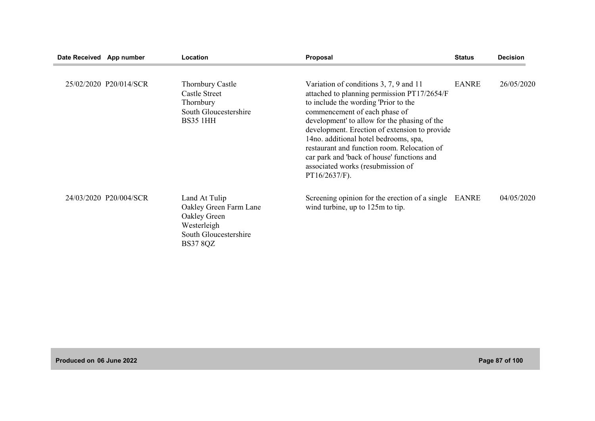| Date Received App number |                        | Location                                                                                                           | Proposal                                                                                                                                                                                                                                                                                                                                                                                                                                                       | <b>Status</b> | <b>Decision</b> |
|--------------------------|------------------------|--------------------------------------------------------------------------------------------------------------------|----------------------------------------------------------------------------------------------------------------------------------------------------------------------------------------------------------------------------------------------------------------------------------------------------------------------------------------------------------------------------------------------------------------------------------------------------------------|---------------|-----------------|
|                          | 25/02/2020 P20/014/SCR | <b>Thornbury Castle</b><br><b>Castle Street</b><br>Thornbury<br>South Gloucestershire<br><b>BS35 1HH</b>           | Variation of conditions 3, 7, 9 and 11<br>attached to planning permission PT17/2654/F<br>to include the wording 'Prior to the<br>commencement of each phase of<br>development' to allow for the phasing of the<br>development. Erection of extension to provide<br>14no. additional hotel bedrooms, spa,<br>restaurant and function room. Relocation of<br>car park and 'back of house' functions and<br>associated works (resubmission of<br>$PT16/2637/F$ ). | <b>EANRE</b>  | 26/05/2020      |
|                          | 24/03/2020 P20/004/SCR | Land At Tulip<br>Oakley Green Farm Lane<br>Oakley Green<br>Westerleigh<br>South Gloucestershire<br><b>BS37 8QZ</b> | Screening opinion for the erection of a single<br>wind turbine, up to 125m to tip.                                                                                                                                                                                                                                                                                                                                                                             | EANRE         | 04/05/2020      |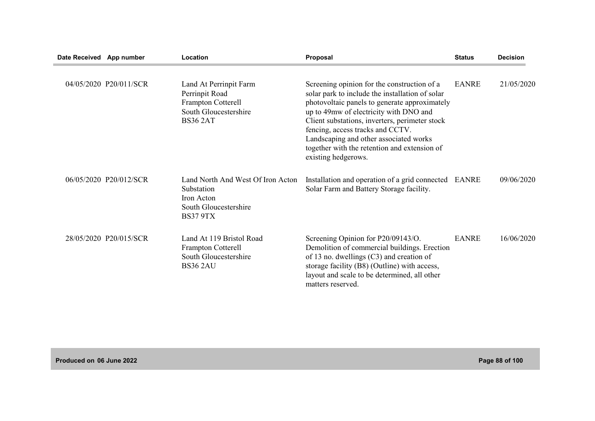| Date Received App number |                        | Location                                                                                                   | Proposal                                                                                                                                                                                                                                                                                                                                                                                         | <b>Status</b> | <b>Decision</b> |
|--------------------------|------------------------|------------------------------------------------------------------------------------------------------------|--------------------------------------------------------------------------------------------------------------------------------------------------------------------------------------------------------------------------------------------------------------------------------------------------------------------------------------------------------------------------------------------------|---------------|-----------------|
|                          | 04/05/2020 P20/011/SCR | Land At Perrinpit Farm<br>Perrinpit Road<br>Frampton Cotterell<br>South Gloucestershire<br><b>BS36 2AT</b> | Screening opinion for the construction of a<br>solar park to include the installation of solar<br>photovoltaic panels to generate approximately<br>up to 49mw of electricity with DNO and<br>Client substations, inverters, perimeter stock<br>fencing, access tracks and CCTV.<br>Landscaping and other associated works<br>together with the retention and extension of<br>existing hedgerows. | <b>EANRE</b>  | 21/05/2020      |
|                          | 06/05/2020 P20/012/SCR | Land North And West Of Iron Acton<br>Substation<br>Iron Acton<br>South Gloucestershire<br><b>BS37 9TX</b>  | Installation and operation of a grid connected EANRE<br>Solar Farm and Battery Storage facility.                                                                                                                                                                                                                                                                                                 |               | 09/06/2020      |
|                          | 28/05/2020 P20/015/SCR | Land At 119 Bristol Road<br>Frampton Cotterell<br>South Gloucestershire<br><b>BS36 2AU</b>                 | Screening Opinion for P20/09143/O.<br>Demolition of commercial buildings. Erection<br>of 13 no. dwellings $(C3)$ and creation of<br>storage facility (B8) (Outline) with access,<br>layout and scale to be determined, all other<br>matters reserved.                                                                                                                                            | <b>EANRE</b>  | 16/06/2020      |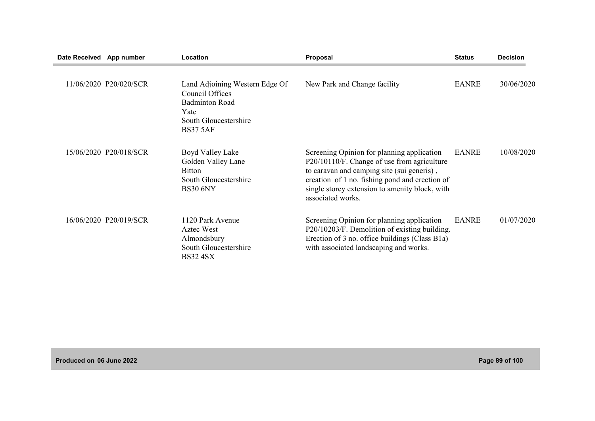| Date Received App number |                        | Location                                                                                                                       | Proposal                                                                                                                                                                                                                                                         | <b>Status</b> | <b>Decision</b> |
|--------------------------|------------------------|--------------------------------------------------------------------------------------------------------------------------------|------------------------------------------------------------------------------------------------------------------------------------------------------------------------------------------------------------------------------------------------------------------|---------------|-----------------|
|                          | 11/06/2020 P20/020/SCR | Land Adjoining Western Edge Of<br>Council Offices<br><b>Badminton Road</b><br>Yate<br>South Gloucestershire<br><b>BS37 5AF</b> | New Park and Change facility                                                                                                                                                                                                                                     | EANRE         | 30/06/2020      |
|                          | 15/06/2020 P20/018/SCR | Boyd Valley Lake<br>Golden Valley Lane<br><b>Bitton</b><br>South Gloucestershire<br><b>BS30 6NY</b>                            | Screening Opinion for planning application<br>P20/10110/F. Change of use from agriculture<br>to caravan and camping site (sui generis),<br>creation of 1 no. fishing pond and erection of<br>single storey extension to amenity block, with<br>associated works. | EANRE         | 10/08/2020      |
|                          | 16/06/2020 P20/019/SCR | 1120 Park Avenue<br>Aztec West<br>Almondsbury<br>South Gloucestershire<br><b>BS32 4SX</b>                                      | Screening Opinion for planning application<br>P20/10203/F. Demolition of existing building.<br>Erection of 3 no. office buildings (Class B1a)<br>with associated landscaping and works.                                                                          | <b>EANRE</b>  | 01/07/2020      |

**Produced on 06 June 2022 Page 89 of 100**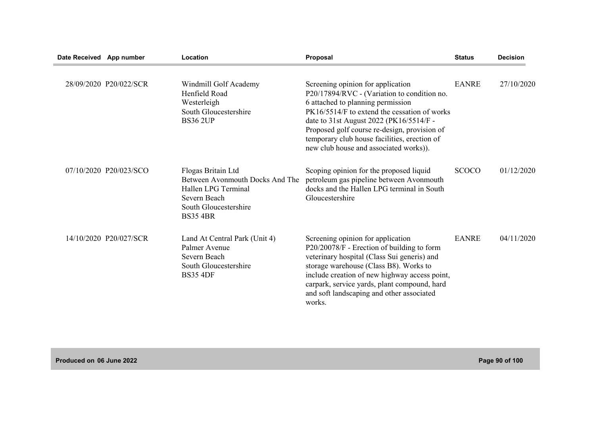| Date Received App number |                        | Location                                                                                                                                 | Proposal                                                                                                                                                                                                                                                                                                                                                   | <b>Status</b> | <b>Decision</b> |
|--------------------------|------------------------|------------------------------------------------------------------------------------------------------------------------------------------|------------------------------------------------------------------------------------------------------------------------------------------------------------------------------------------------------------------------------------------------------------------------------------------------------------------------------------------------------------|---------------|-----------------|
|                          | 28/09/2020 P20/022/SCR | Windmill Golf Academy<br>Henfield Road<br>Westerleigh<br>South Gloucestershire<br><b>BS36 2UP</b>                                        | Screening opinion for application<br>P20/17894/RVC - (Variation to condition no.<br>6 attached to planning permission<br>PK16/5514/F to extend the cessation of works<br>date to 31st August 2022 (PK16/5514/F -<br>Proposed golf course re-design, provision of<br>temporary club house facilities, erection of<br>new club house and associated works)). | <b>EANRE</b>  | 27/10/2020      |
|                          | 07/10/2020 P20/023/SCO | Flogas Britain Ltd<br>Between Avonmouth Docks And The<br>Hallen LPG Terminal<br>Severn Beach<br>South Gloucestershire<br><b>BS35 4BR</b> | Scoping opinion for the proposed liquid<br>petroleum gas pipeline between Avonmouth<br>docks and the Hallen LPG terminal in South<br>Gloucestershire                                                                                                                                                                                                       | <b>SCOCO</b>  | 01/12/2020      |
|                          | 14/10/2020 P20/027/SCR | Land At Central Park (Unit 4)<br>Palmer Avenue<br>Severn Beach<br>South Gloucestershire<br><b>BS35 4DF</b>                               | Screening opinion for application<br>P20/20078/F - Erection of building to form<br>veterinary hospital (Class Sui generis) and<br>storage warehouse (Class B8). Works to<br>include creation of new highway access point,<br>carpark, service yards, plant compound, hard<br>and soft landscaping and other associated<br>works.                           | <b>EANRE</b>  | 04/11/2020      |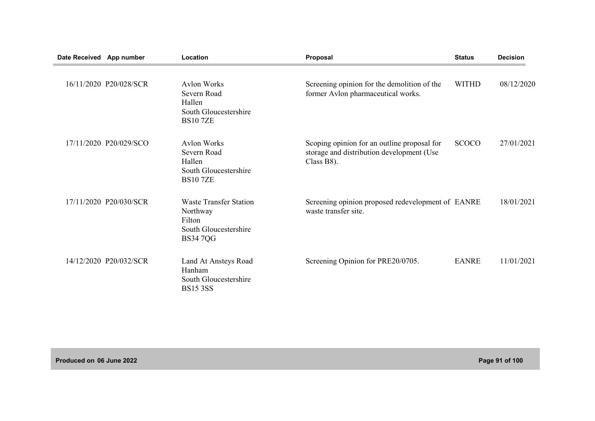| Date Received App number |                        | Location                                                                                       | Proposal                                                                                               | <b>Status</b> | <b>Decision</b> |
|--------------------------|------------------------|------------------------------------------------------------------------------------------------|--------------------------------------------------------------------------------------------------------|---------------|-----------------|
|                          | 16/11/2020 P20/028/SCR | <b>Avlon Works</b><br>Severn Road<br>Hallen<br>South Gloucestershire<br><b>BS107ZE</b>         | Screening opinion for the demolition of the<br>former Avlon pharmaceutical works.                      | <b>WITHD</b>  | 08/12/2020      |
|                          | 17/11/2020 P20/029/SCO | <b>Aylon Works</b><br>Severn Road<br>Hallen<br>South Gloucestershire<br><b>BS107ZE</b>         | Scoping opinion for an outline proposal for<br>storage and distribution development (Use<br>Class B8). | <b>SCOCO</b>  | 27/01/2021      |
|                          | 17/11/2020 P20/030/SCR | <b>Waste Transfer Station</b><br>Northway<br>Filton<br>South Gloucestershire<br><b>BS347QG</b> | Screening opinion proposed redevelopment of EANRE<br>waste transfer site.                              |               | 18/01/2021      |
|                          | 14/12/2020 P20/032/SCR | Land At Ansteys Road<br>Hanham<br>South Gloucestershire<br><b>BS15 3SS</b>                     | Screening Opinion for PRE20/0705.                                                                      | <b>EANRE</b>  | 11/01/2021      |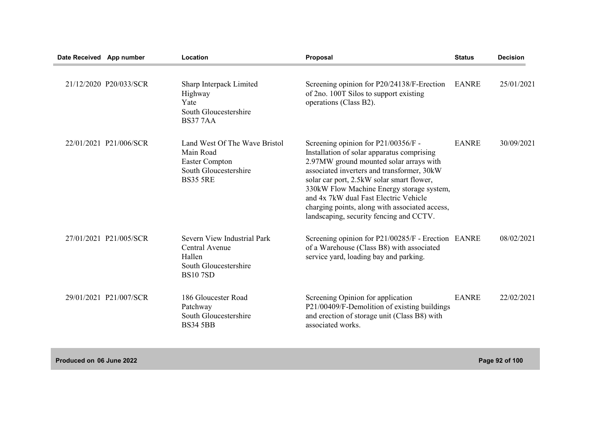| Date Received App number |                        | Location                                                                                                        | Proposal                                                                                                                                                                                                                                                                                                                                                                                                     | <b>Status</b> | <b>Decision</b> |
|--------------------------|------------------------|-----------------------------------------------------------------------------------------------------------------|--------------------------------------------------------------------------------------------------------------------------------------------------------------------------------------------------------------------------------------------------------------------------------------------------------------------------------------------------------------------------------------------------------------|---------------|-----------------|
|                          | 21/12/2020 P20/033/SCR | Sharp Interpack Limited<br>Highway<br>Yate<br>South Gloucestershire<br><b>BS377AA</b>                           | Screening opinion for P20/24138/F-Erection<br>of 2no. 100T Silos to support existing<br>operations (Class B2).                                                                                                                                                                                                                                                                                               | <b>EANRE</b>  | 25/01/2021      |
|                          | 22/01/2021 P21/006/SCR | Land West Of The Wave Bristol<br>Main Road<br><b>Easter Compton</b><br>South Gloucestershire<br><b>BS35 5RE</b> | Screening opinion for $P21/00356/F$ -<br>Installation of solar apparatus comprising<br>2.97MW ground mounted solar arrays with<br>associated inverters and transformer, 30kW<br>solar car port, 2.5kW solar smart flower,<br>330kW Flow Machine Energy storage system,<br>and 4x 7kW dual Fast Electric Vehicle<br>charging points, along with associated access,<br>landscaping, security fencing and CCTV. | <b>EANRE</b>  | 30/09/2021      |
|                          | 27/01/2021 P21/005/SCR | Severn View Industrial Park<br>Central Avenue<br>Hallen<br>South Gloucestershire<br><b>BS107SD</b>              | Screening opinion for P21/00285/F - Erection EANRE<br>of a Warehouse (Class B8) with associated<br>service yard, loading bay and parking.                                                                                                                                                                                                                                                                    |               | 08/02/2021      |
|                          | 29/01/2021 P21/007/SCR | 186 Gloucester Road<br>Patchway<br>South Gloucestershire<br><b>BS34 5BB</b>                                     | Screening Opinion for application<br>P21/00409/F-Demolition of existing buildings<br>and erection of storage unit (Class B8) with<br>associated works.                                                                                                                                                                                                                                                       | <b>EANRE</b>  | 22/02/2021      |

**Produced on 06 June 2022 Page 92 of 100**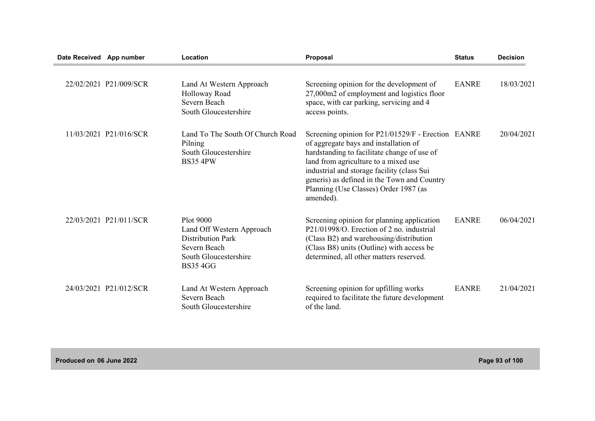| Date Received App number |                        | Location                                                                                                                       | Proposal                                                                                                                                                                                                                                                                                                                              | <b>Status</b> | <b>Decision</b> |
|--------------------------|------------------------|--------------------------------------------------------------------------------------------------------------------------------|---------------------------------------------------------------------------------------------------------------------------------------------------------------------------------------------------------------------------------------------------------------------------------------------------------------------------------------|---------------|-----------------|
|                          | 22/02/2021 P21/009/SCR | Land At Western Approach<br>Holloway Road<br>Severn Beach<br>South Gloucestershire                                             | Screening opinion for the development of<br>27,000m2 of employment and logistics floor<br>space, with car parking, servicing and 4<br>access points.                                                                                                                                                                                  | <b>EANRE</b>  | 18/03/2021      |
|                          | 11/03/2021 P21/016/SCR | Land To The South Of Church Road<br>Pilning<br>South Gloucestershire<br><b>BS35 4PW</b>                                        | Screening opinion for P21/01529/F - Erection EANRE<br>of aggregate bays and installation of<br>hardstanding to facilitate change of use of<br>land from agriculture to a mixed use<br>industrial and storage facility (class Sui<br>generis) as defined in the Town and Country<br>Planning (Use Classes) Order 1987 (as<br>amended). |               | 20/04/2021      |
|                          | 22/03/2021 P21/011/SCR | Plot 9000<br>Land Off Western Approach<br><b>Distribution Park</b><br>Severn Beach<br>South Gloucestershire<br><b>BS35 4GG</b> | Screening opinion for planning application<br>P21/01998/O. Erection of 2 no. industrial<br>(Class B2) and warehousing/distribution<br>(Class B8) units (Outline) with access be<br>determined, all other matters reserved.                                                                                                            | <b>EANRE</b>  | 06/04/2021      |
|                          | 24/03/2021 P21/012/SCR | Land At Western Approach<br>Severn Beach<br>South Gloucestershire                                                              | Screening opinion for upfilling works<br>required to facilitate the future development<br>of the land.                                                                                                                                                                                                                                | <b>EANRE</b>  | 21/04/2021      |

**Produced on 06 June 2022 Page 93 of 100**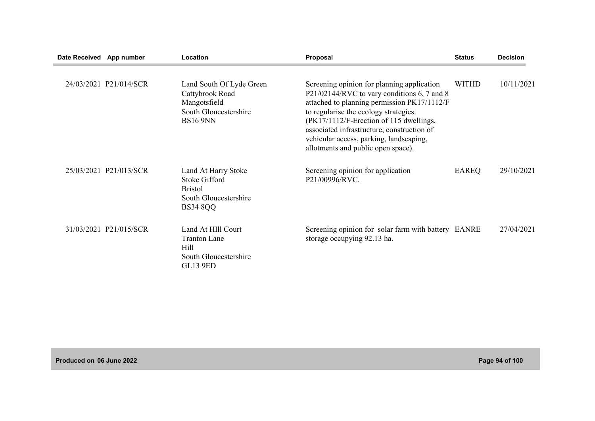| Date Received App number |                        | Location                                                                                                  | Proposal                                                                                                                                                                                                                                                                                                                                                    | <b>Status</b> | <b>Decision</b> |
|--------------------------|------------------------|-----------------------------------------------------------------------------------------------------------|-------------------------------------------------------------------------------------------------------------------------------------------------------------------------------------------------------------------------------------------------------------------------------------------------------------------------------------------------------------|---------------|-----------------|
|                          | 24/03/2021 P21/014/SCR | Land South Of Lyde Green<br>Cattybrook Road<br>Mangotsfield<br>South Gloucestershire<br><b>BS16 9NN</b>   | Screening opinion for planning application<br>P21/02144/RVC to vary conditions 6, 7 and 8<br>attached to planning permission PK17/1112/F<br>to regularise the ecology strategies.<br>(PK17/1112/F-Erection of 115 dwellings,<br>associated infrastructure, construction of<br>vehicular access, parking, landscaping,<br>allotments and public open space). | <b>WITHD</b>  | 10/11/2021      |
|                          | 25/03/2021 P21/013/SCR | Land At Harry Stoke<br><b>Stoke Gifford</b><br><b>Bristol</b><br>South Gloucestershire<br><b>BS34 8QQ</b> | Screening opinion for application<br>P21/00996/RVC.                                                                                                                                                                                                                                                                                                         | EAREQ         | 29/10/2021      |
|                          | 31/03/2021 P21/015/SCR | Land At HIII Court<br><b>Tranton Lane</b><br>Hill<br>South Gloucestershire<br><b>GL13 9ED</b>             | Screening opinion for solar farm with battery EANRE<br>storage occupying 92.13 ha.                                                                                                                                                                                                                                                                          |               | 27/04/2021      |

**Produced on 06 June 2022 Page 94 of 100**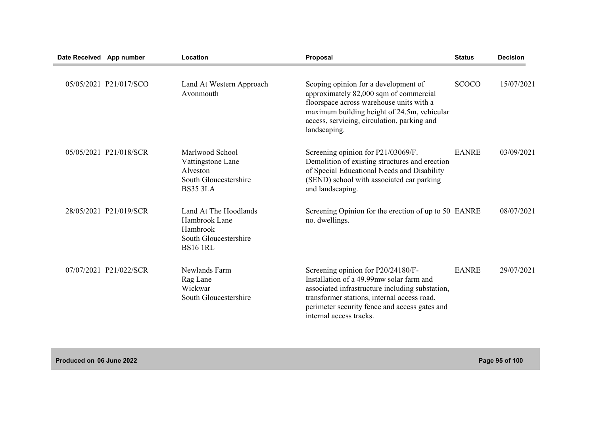| Date Received App number |                        | Location                                                                                       | Proposal                                                                                                                                                                                                                                                     | <b>Status</b> | <b>Decision</b> |
|--------------------------|------------------------|------------------------------------------------------------------------------------------------|--------------------------------------------------------------------------------------------------------------------------------------------------------------------------------------------------------------------------------------------------------------|---------------|-----------------|
|                          | 05/05/2021 P21/017/SCO | Land At Western Approach<br>Avonmouth                                                          | Scoping opinion for a development of<br>approximately 82,000 sqm of commercial<br>floorspace across warehouse units with a<br>maximum building height of 24.5m, vehicular<br>access, servicing, circulation, parking and<br>landscaping.                     | <b>SCOCO</b>  | 15/07/2021      |
|                          | 05/05/2021 P21/018/SCR | Marlwood School<br>Vattingstone Lane<br>Alveston<br>South Gloucestershire<br><b>BS35 3LA</b>   | Screening opinion for P21/03069/F.<br>Demolition of existing structures and erection<br>of Special Educational Needs and Disability<br>(SEND) school with associated car parking<br>and landscaping.                                                         | <b>EANRE</b>  | 03/09/2021      |
|                          | 28/05/2021 P21/019/SCR | Land At The Hoodlands<br>Hambrook Lane<br>Hambrook<br>South Gloucestershire<br><b>BS16 1RL</b> | Screening Opinion for the erection of up to 50 EANRE<br>no. dwellings.                                                                                                                                                                                       |               | 08/07/2021      |
|                          | 07/07/2021 P21/022/SCR | Newlands Farm<br>Rag Lane<br>Wickwar<br>South Gloucestershire                                  | Screening opinion for P20/24180/F-<br>Installation of a 49.99mw solar farm and<br>associated infrastructure including substation,<br>transformer stations, internal access road,<br>perimeter security fence and access gates and<br>internal access tracks. | <b>EANRE</b>  | 29/07/2021      |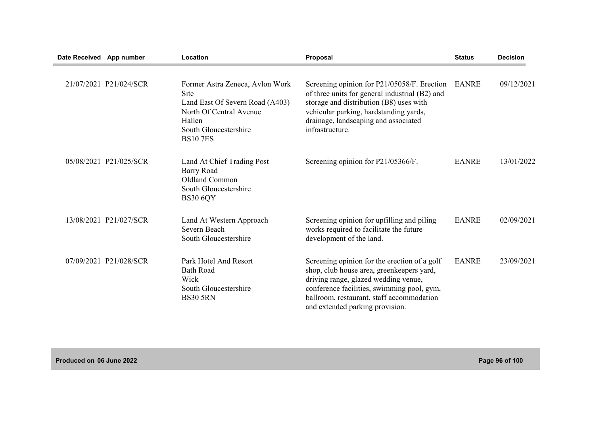| Date Received App number |                        | Location                                                                                                                                                          | Proposal                                                                                                                                                                                                                                                        | <b>Status</b> | <b>Decision</b> |
|--------------------------|------------------------|-------------------------------------------------------------------------------------------------------------------------------------------------------------------|-----------------------------------------------------------------------------------------------------------------------------------------------------------------------------------------------------------------------------------------------------------------|---------------|-----------------|
|                          | 21/07/2021 P21/024/SCR | Former Astra Zeneca, Avlon Work<br><b>Site</b><br>Land East Of Severn Road (A403)<br>North Of Central Avenue<br>Hallen<br>South Gloucestershire<br><b>BS107ES</b> | Screening opinion for P21/05058/F. Erection<br>of three units for general industrial (B2) and<br>storage and distribution (B8) uses with<br>vehicular parking, hardstanding yards,<br>drainage, landscaping and associated<br>infrastructure.                   | <b>EANRE</b>  | 09/12/2021      |
|                          | 05/08/2021 P21/025/SCR | Land At Chief Trading Post<br>Barry Road<br><b>Oldland Common</b><br>South Gloucestershire<br><b>BS30 6QY</b>                                                     | Screening opinion for P21/05366/F.                                                                                                                                                                                                                              | <b>EANRE</b>  | 13/01/2022      |
|                          | 13/08/2021 P21/027/SCR | Land At Western Approach<br>Severn Beach<br>South Gloucestershire                                                                                                 | Screening opinion for upfilling and piling<br>works required to facilitate the future<br>development of the land.                                                                                                                                               | <b>EANRE</b>  | 02/09/2021      |
|                          | 07/09/2021 P21/028/SCR | Park Hotel And Resort<br><b>Bath Road</b><br>Wick<br>South Gloucestershire<br><b>BS30 5RN</b>                                                                     | Screening opinion for the erection of a golf<br>shop, club house area, greenkeepers yard,<br>driving range, glazed wedding venue,<br>conference facilities, swimming pool, gym,<br>ballroom, restaurant, staff accommodation<br>and extended parking provision. | <b>EANRE</b>  | 23/09/2021      |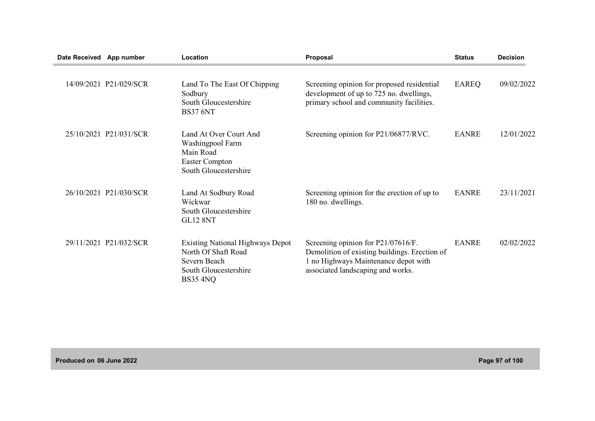| Date Received App number |                        | Location                                                                                                            | <b>Proposal</b>                                                                                                                                                  | <b>Status</b> | <b>Decision</b> |
|--------------------------|------------------------|---------------------------------------------------------------------------------------------------------------------|------------------------------------------------------------------------------------------------------------------------------------------------------------------|---------------|-----------------|
|                          | 14/09/2021 P21/029/SCR | Land To The East Of Chipping<br>Sodbury<br>South Gloucestershire<br><b>BS37 6NT</b>                                 | Screening opinion for proposed residential<br>development of up to 725 no. dwellings,<br>primary school and community facilities.                                | EAREQ         | 09/02/2022      |
|                          | 25/10/2021 P21/031/SCR | Land At Over Court And<br>Washingpool Farm<br>Main Road<br><b>Easter Compton</b><br>South Gloucestershire           | Screening opinion for P21/06877/RVC.                                                                                                                             | <b>EANRE</b>  | 12/01/2022      |
|                          | 26/10/2021 P21/030/SCR | Land At Sodbury Road<br>Wickwar<br>South Gloucestershire<br><b>GL12 8NT</b>                                         | Screening opinion for the erection of up to<br>180 no. dwellings.                                                                                                | <b>EANRE</b>  | 23/11/2021      |
|                          | 29/11/2021 P21/032/SCR | <b>Existing National Highways Depot</b><br>North Of Shaft Road<br>Severn Beach<br>South Gloucestershire<br>BS35 4NQ | Screening opinion for P21/07616/F.<br>Demolition of existing buildings. Erection of<br>1 no Highways Maintenance depot with<br>associated landscaping and works. | <b>EANRE</b>  | 02/02/2022      |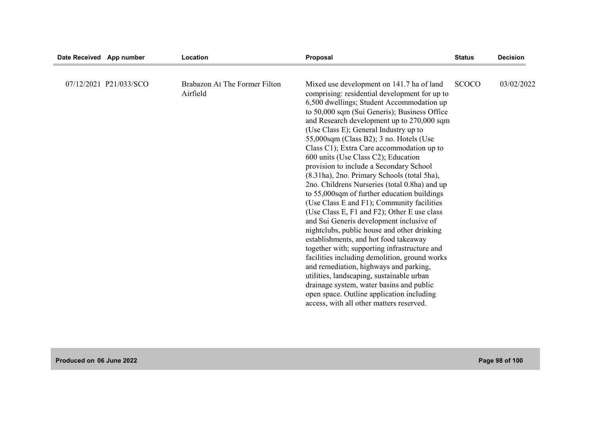| Date Received App number |                        | Location                                  | Proposal                                                                                                                                                                                                                                                                                                                                                                                                                                                                                                                                                                                                                                                                                                                                                                                        | <b>Status</b> | <b>Decision</b> |
|--------------------------|------------------------|-------------------------------------------|-------------------------------------------------------------------------------------------------------------------------------------------------------------------------------------------------------------------------------------------------------------------------------------------------------------------------------------------------------------------------------------------------------------------------------------------------------------------------------------------------------------------------------------------------------------------------------------------------------------------------------------------------------------------------------------------------------------------------------------------------------------------------------------------------|---------------|-----------------|
|                          | 07/12/2021 P21/033/SCO | Brabazon At The Former Filton<br>Airfield | Mixed use development on 141.7 ha of land<br>comprising: residential development for up to<br>6,500 dwellings; Student Accommodation up<br>to 50,000 sqm (Sui Generis); Business Office<br>and Research development up to 270,000 sqm<br>(Use Class E); General Industry up to<br>55,000sqm (Class B2); 3 no. Hotels (Use<br>Class C1); Extra Care accommodation up to<br>600 units (Use Class C2); Education<br>provision to include a Secondary School<br>(8.31ha), 2no. Primary Schools (total 5ha),<br>2no. Childrens Nurseries (total 0.8ha) and up<br>to 55,000sqm of further education buildings<br>(Use Class E and F1); Community facilities<br>(Use Class E, F1 and F2); Other E use class<br>and Sui Generis development inclusive of<br>nightclubs, public house and other drinking | <b>SCOCO</b>  | 03/02/2022      |
|                          |                        |                                           | establishments, and hot food takeaway<br>together with; supporting infrastructure and<br>facilities including demolition, ground works<br>and remediation, highways and parking,<br>utilities, landscaping, sustainable urban<br>drainage system, water basins and public<br>open space. Outline application including<br>access, with all other matters reserved.                                                                                                                                                                                                                                                                                                                                                                                                                              |               |                 |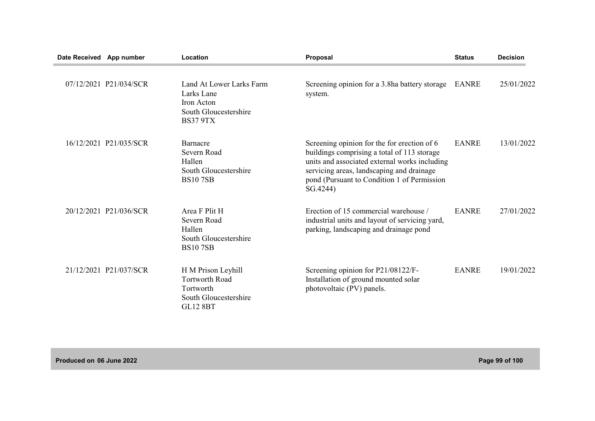| Date Received App number |                        | Location                                                                                             | Proposal                                                                                                                                                                                                                                            | <b>Status</b> | <b>Decision</b> |
|--------------------------|------------------------|------------------------------------------------------------------------------------------------------|-----------------------------------------------------------------------------------------------------------------------------------------------------------------------------------------------------------------------------------------------------|---------------|-----------------|
|                          | 07/12/2021 P21/034/SCR | Land At Lower Larks Farm<br>Larks Lane<br>Iron Acton<br>South Gloucestershire<br><b>BS37 9TX</b>     | Screening opinion for a 3.8ha battery storage<br>system.                                                                                                                                                                                            | <b>EANRE</b>  | 25/01/2022      |
|                          | 16/12/2021 P21/035/SCR | <b>Barnacre</b><br>Severn Road<br>Hallen<br>South Gloucestershire<br><b>BS107SB</b>                  | Screening opinion for the for erection of 6<br>buildings comprising a total of 113 storage<br>units and associated external works including<br>servicing areas, landscaping and drainage<br>pond (Pursuant to Condition 1 of Permission<br>SG.4244) | <b>EANRE</b>  | 13/01/2022      |
|                          | 20/12/2021 P21/036/SCR | Area F Plit H<br>Severn Road<br>Hallen<br>South Gloucestershire<br><b>BS107SB</b>                    | Erection of 15 commercial warehouse /<br>industrial units and layout of servicing yard,<br>parking, landscaping and drainage pond                                                                                                                   | <b>EANRE</b>  | 27/01/2022      |
|                          | 21/12/2021 P21/037/SCR | H M Prison Leyhill<br><b>Tortworth Road</b><br>Tortworth<br>South Gloucestershire<br><b>GL12 8BT</b> | Screening opinion for P21/08122/F-<br>Installation of ground mounted solar<br>photovoltaic (PV) panels.                                                                                                                                             | <b>EANRE</b>  | 19/01/2022      |

**Produced on 06 June 2022 Page 99 of 100**